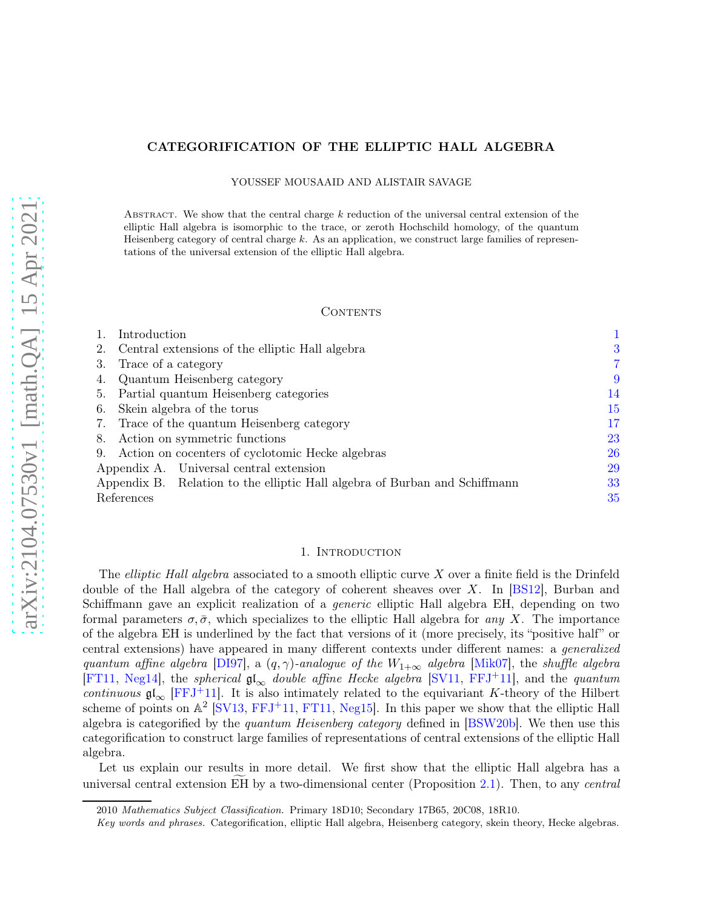## CATEGORIFICATION OF THE ELLIPTIC HALL ALGEBRA

YOUSSEF MOUSAAID AND ALISTAIR SAVAGE

ABSTRACT. We show that the central charge  $k$  reduction of the universal central extension of the elliptic Hall algebra is isomorphic to the trace, or zeroth Hochschild homology, of the quantum Heisenberg category of central charge  $k$ . As an application, we construct large families of representations of the universal extension of the elliptic Hall algebra.

#### CONTENTS

|            | Introduction                                                               |    |
|------------|----------------------------------------------------------------------------|----|
|            | Central extensions of the elliptic Hall algebra                            | 3  |
| 3.         | Trace of a category                                                        |    |
| 4.         | Quantum Heisenberg category                                                | 9  |
| 5.         | Partial quantum Heisenberg categories                                      | 14 |
| 6.         | Skein algebra of the torus                                                 | 15 |
| 7.         | Trace of the quantum Heisenberg category                                   | 17 |
| 8.         | Action on symmetric functions                                              | 23 |
| 9.         | Action on cocenters of cyclotomic Hecke algebras                           | 26 |
|            | Appendix A. Universal central extension                                    | 29 |
|            | Appendix B. Relation to the elliptic Hall algebra of Burban and Schiffmann | 33 |
| References |                                                                            | 35 |

#### 1. INTRODUCTION

<span id="page-0-0"></span>The *elliptic Hall algebra* associated to a smooth elliptic curve  $X$  over a finite field is the Drinfeld double of the Hall algebra of the category of coherent sheaves over X. In [\[BS12\]](#page-34-1), Burban and Schiffmann gave an explicit realization of a *generic* elliptic Hall algebra EH, depending on two formal parameters  $\sigma$ ,  $\bar{\sigma}$ , which specializes to the elliptic Hall algebra for any X. The importance of the algebra EH is underlined by the fact that versions of it (more precisely, its "positive half" or central extensions) have appeared in many different contexts under different names: a generalized quantum affine algebra [\[DI97\]](#page-34-2), a  $(q, \gamma)$ -analogue of the  $W_{1+\infty}$  algebra [\[Mik07\]](#page-34-3), the shuffle algebra [\[FT11,](#page-34-4) [Neg14\]](#page-34-5), the *spherical*  $\mathfrak{gl}_{\infty}$  *double affine Hecke algebra* [\[SV11,](#page-34-6) [FFJ](#page-34-7)<sup>+</sup>11], and the *quantum* continuous  $\mathfrak{gl}_{\infty}$  [\[FFJ](#page-34-7)+11]. It is also intimately related to the equivariant K-theory of the Hilbert scheme of points on  $\mathbb{A}^2$  [\[SV13,](#page-35-0) [FFJ](#page-34-7)<sup>+</sup>11, [FT11,](#page-34-4) [Neg15\]](#page-34-8). In this paper we show that the elliptic Hall algebra is categorified by the quantum Heisenberg category defined in [\[BSW20b\]](#page-34-9). We then use this categorification to construct large families of representations of central extensions of the elliptic Hall algebra.

Let us explain our results in more detail. We first show that the elliptic Hall algebra has a universal central extension EH by a two-dimensional center (Proposition [2.1\)](#page-2-1). Then, to any *central* 

<sup>2010</sup> Mathematics Subject Classification. Primary 18D10; Secondary 17B65, 20C08, 18R10.

Key words and phrases. Categorification, elliptic Hall algebra, Heisenberg category, skein theory, Hecke algebras.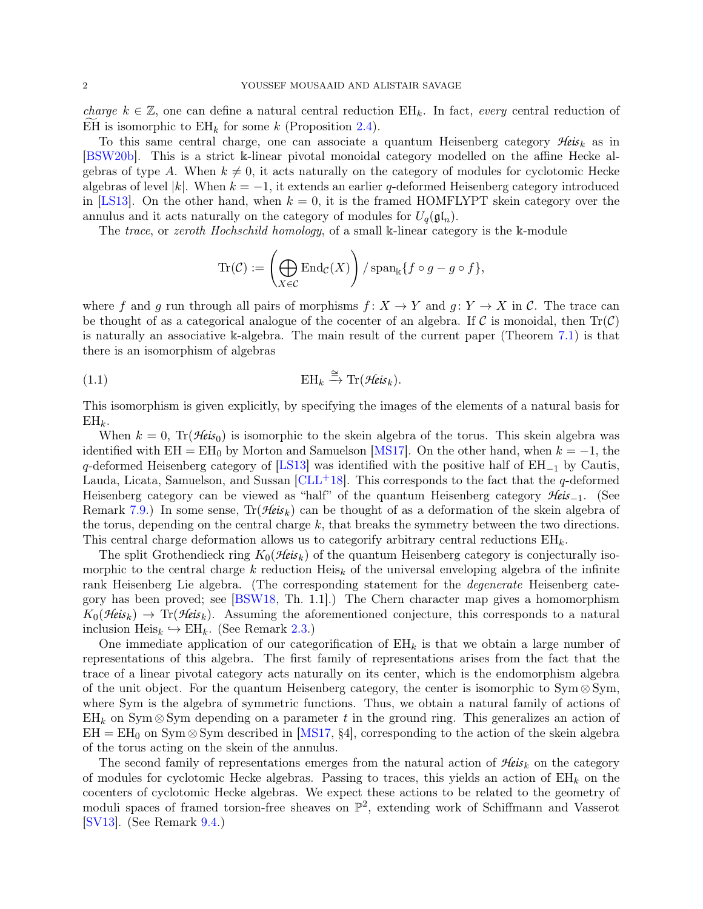charge  $k \in \mathbb{Z}$ , one can define a natural central reduction EH<sub>k</sub>. In fact, every central reduction of EH is isomorphic to  $EH_k$  for some k (Proposition [2.4\)](#page-3-0).

To this same central charge, one can associate a quantum Heisenberg category *Heis*<sup>k</sup> as in [\[BSW20b\]](#page-34-9). This is a strict k-linear pivotal monoidal category modelled on the affine Hecke algebras of type A. When  $k \neq 0$ , it acts naturally on the category of modules for cyclotomic Hecke algebras of level |k|. When  $k = -1$ , it extends an earlier q-deformed Heisenberg category introduced in [\[LS13\]](#page-34-10). On the other hand, when  $k = 0$ , it is the framed HOMFLYPT skein category over the annulus and it acts naturally on the category of modules for  $U_q(\mathfrak{gl}_n)$ .

The trace, or zeroth Hochschild homology, of a small k-linear category is the k-module

$$
\mathrm{Tr}(\mathcal{C}) := \left(\bigoplus_{X \in \mathcal{C}} \mathrm{End}_{\mathcal{C}}(X)\right) / \mathrm{span}_{\Bbbk} \{f \circ g - g \circ f\},\
$$

where f and g run through all pairs of morphisms  $f: X \to Y$  and  $g: Y \to X$  in C. The trace can be thought of as a categorical analogue of the cocenter of an algebra. If C is monoidal, then  $\text{Tr}(\mathcal{C})$ is naturally an associative k-algebra. The main result of the current paper (Theorem [7.1\)](#page-16-1) is that there is an isomorphism of algebras

(1.1) 
$$
\mathbf{EH}_k \stackrel{\cong}{\to} \mathrm{Tr}(\mathcal{H}\mathbf{e}\mathbf{i}\mathbf{s}_k).
$$

This isomorphism is given explicitly, by specifying the images of the elements of a natural basis for  $EH_k$ .

When  $k = 0$ ,  $Tr(\mathcal{H}e^{i\omega}$  is isomorphic to the skein algebra of the torus. This skein algebra was identified with  $EH = EH_0$  by Morton and Samuelson [\[MS17\]](#page-34-11). On the other hand, when  $k = -1$ , the q-deformed Heisenberg category of [\[LS13\]](#page-34-10) was identified with the positive half of  $EH_{-1}$  by Cautis, Lauda, Licata, Samuelson, and Sussan  $\lbrack \text{CLL}^+18 \rbrack$ . This corresponds to the fact that the q-deformed Heisenberg category can be viewed as "half" of the quantum Heisenberg category *Heis*−1. (See Remark [7.9.](#page-22-1)) In some sense,  $\text{Tr}(\mathcal{H}$ *eis*<sub>k</sub>) can be thought of as a deformation of the skein algebra of the torus, depending on the central charge  $k$ , that breaks the symmetry between the two directions. This central charge deformation allows us to categorify arbitrary central reductions  $EH_k$ .

The split Grothendieck ring  $K_0(\mathcal{H}e^{iS_k})$  of the quantum Heisenberg category is conjecturally isomorphic to the central charge k reduction Heis<sub>k</sub> of the universal enveloping algebra of the infinite rank Heisenberg Lie algebra. (The corresponding statement for the *degenerate* Heisenberg category has been proved; see [\[BSW18,](#page-34-13) Th. 1.1].) The Chern character map gives a homomorphism  $K_0(\mathcal{H}eis_k) \to \text{Tr}(\mathcal{H}eis_k)$ . Assuming the aforementioned conjecture, this corresponds to a natural inclusion Heis $_k \hookrightarrow$  EH<sub>k</sub>. (See Remark [2.3.](#page-3-1))

One immediate application of our categorification of  $E H_k$  is that we obtain a large number of representations of this algebra. The first family of representations arises from the fact that the trace of a linear pivotal category acts naturally on its center, which is the endomorphism algebra of the unit object. For the quantum Heisenberg category, the center is isomorphic to  $Sym \otimes Sym$ , where Sym is the algebra of symmetric functions. Thus, we obtain a natural family of actions of  $EH_k$  on Sym  $\otimes$  Sym depending on a parameter t in the ground ring. This generalizes an action of  $EH = EH_0$  on Sym  $\otimes$  Sym described in [\[MS17,](#page-34-11) §4], corresponding to the action of the skein algebra of the torus acting on the skein of the annulus.

The second family of representations emerges from the natural action of  $\mathcal{H}$ eis<sub>k</sub> on the category of modules for cyclotomic Hecke algebras. Passing to traces, this yields an action of  $EH_k$  on the cocenters of cyclotomic Hecke algebras. We expect these actions to be related to the geometry of moduli spaces of framed torsion-free sheaves on  $\mathbb{P}^2$ , extending work of Schiffmann and Vasserot [\[SV13\]](#page-35-0). (See Remark [9.4.](#page-27-0))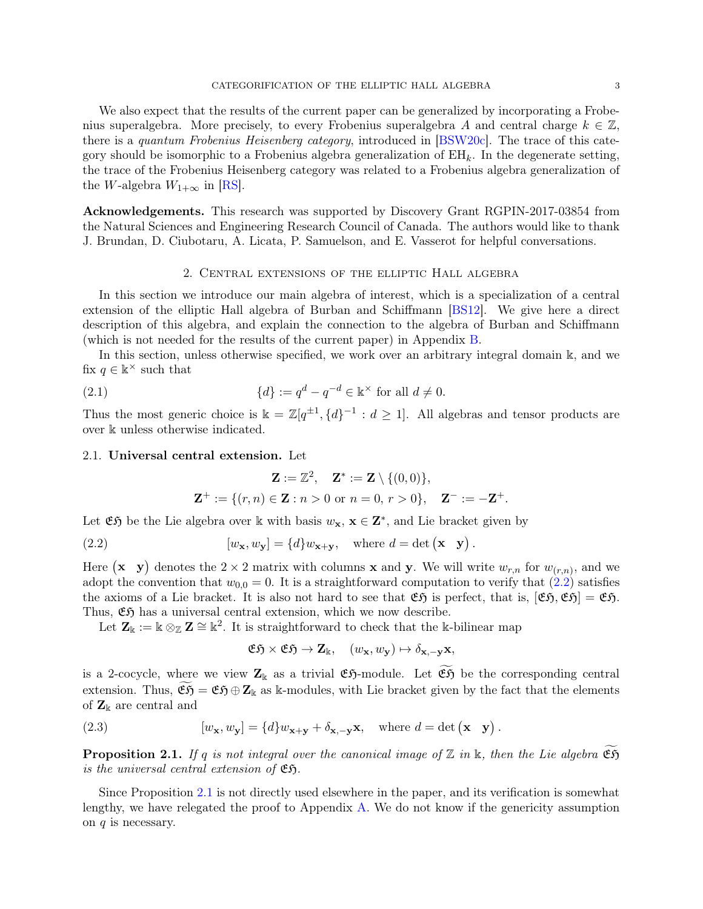We also expect that the results of the current paper can be generalized by incorporating a Frobenius superalgebra. More precisely, to every Frobenius superalgebra A and central charge  $k \in \mathbb{Z}$ , there is a quantum Frobenius Heisenberg category, introduced in [\[BSW20c\]](#page-34-14). The trace of this category should be isomorphic to a Frobenius algebra generalization of  $EH_k$ . In the degenerate setting, the trace of the Frobenius Heisenberg category was related to a Frobenius algebra generalization of the W-algebra  $W_{1+\infty}$  in [\[RS\]](#page-34-15).

Acknowledgements. This research was supported by Discovery Grant RGPIN-2017-03854 from the Natural Sciences and Engineering Research Council of Canada. The authors would like to thank J. Brundan, D. Ciubotaru, A. Licata, P. Samuelson, and E. Vasserot for helpful conversations.

#### 2. Central extensions of the elliptic Hall algebra

<span id="page-2-0"></span>In this section we introduce our main algebra of interest, which is a specialization of a central extension of the elliptic Hall algebra of Burban and Schiffmann [\[BS12\]](#page-34-1). We give here a direct description of this algebra, and explain the connection to the algebra of Burban and Schiffmann (which is not needed for the results of the current paper) in Appendix [B.](#page-32-0)

In this section, unless otherwise specified, we work over an arbitrary integral domain k, and we fix  $q \in \mathbb{k}^{\times}$  such that

(2.1) 
$$
\{d\} := q^d - q^{-d} \in \mathbb{k}^\times \text{ for all } d \neq 0.
$$

Thus the most generic choice is  $\mathbb{k} = \mathbb{Z}[q^{\pm 1}, \{d\}^{-1} : d \geq 1]$ . All algebras and tensor products are over k unless otherwise indicated.

## 2.1. Universal central extension. Let

<span id="page-2-3"></span><span id="page-2-2"></span>
$$
\mathbf{Z} := \mathbb{Z}^2, \quad \mathbf{Z}^* := \mathbf{Z} \setminus \{(0,0)\},
$$
  

$$
\mathbf{Z}^+ := \{(r,n) \in \mathbf{Z} : n > 0 \text{ or } n = 0, r > 0\}, \quad \mathbf{Z}^- := -\mathbf{Z}^+.
$$

Let  $\mathfrak{E}$ f be the Lie algebra over k with basis  $w_x, x \in \mathbb{Z}^*$ , and Lie bracket given by

(2.2) 
$$
[w_{\mathbf{x}}, w_{\mathbf{y}}] = \{d\}w_{\mathbf{x}+\mathbf{y}}, \text{ where } d = \det(\mathbf{x} \mid \mathbf{y}).
$$

Here  $(\mathbf{x} \ \mathbf{y})$  denotes the  $2 \times 2$  matrix with columns **x** and **y**. We will write  $w_{r,n}$  for  $w_{(r,n)}$ , and we adopt the convention that  $w_{0,0} = 0$ . It is a straightforward computation to verify that  $(2.2)$  satisfies the axioms of a Lie bracket. It is also not hard to see that  $\mathfrak{E} \mathfrak{H}$  is perfect, that is,  $[\mathfrak{E} \mathfrak{H}, \mathfrak{E} \mathfrak{H}] = \mathfrak{E} \mathfrak{H}$ . Thus,  $\mathfrak{E}5$  has a universal central extension, which we now describe.

Let  $\mathbf{Z}_{\mathbb{k}} := \mathbb{k} \otimes_{\mathbb{Z}} \mathbf{Z} \cong \mathbb{k}^2$ . It is straightforward to check that the k-bilinear map

<span id="page-2-4"></span>
$$
\mathfrak{E}\mathfrak{H}\times\mathfrak{E}\mathfrak{H}\to\mathbf{Z}_{\mathbb{k}},\quad (w_{\mathbf{x}},w_{\mathbf{y}})\mapsto\delta_{\mathbf{x},-\mathbf{y}}\mathbf{x},
$$

is a 2-cocycle, where we view  $\mathbf{Z}_k$  as a trivial  $\mathfrak{E}\mathfrak{H}$ -module. Let  $\mathfrak{E}\mathfrak{H}$  be the corresponding central extension. Thus,  $\mathfrak{E} \mathfrak{H} = \mathfrak{E} \mathfrak{H} \oplus \mathbf{Z}_{\mathbb{k}}$  as k-modules, with Lie bracket given by the fact that the elements of  $\mathbf{Z}_k$  are central and

<span id="page-2-1"></span>(2.3) 
$$
[w_{\mathbf{x}}, w_{\mathbf{y}}] = \{d\}w_{\mathbf{x}+\mathbf{y}} + \delta_{\mathbf{x}, -\mathbf{y}}\mathbf{x}, \text{ where } d = \det(\mathbf{x} \mid \mathbf{y}).
$$

**Proposition 2.1.** If q is not integral over the canonical image of  $\mathbb{Z}$  in  $\mathbb{k}$ , then the Lie algebra  $\mathfrak{E}$ f is the universal central extension of  $\mathfrak{E}$ 5.

Since Proposition [2.1](#page-2-1) is not directly used elsewhere in the paper, and its verification is somewhat lengthy, we have relegated the proof to Appendix [A.](#page-28-0) We do not know if the genericity assumption on  $q$  is necessary.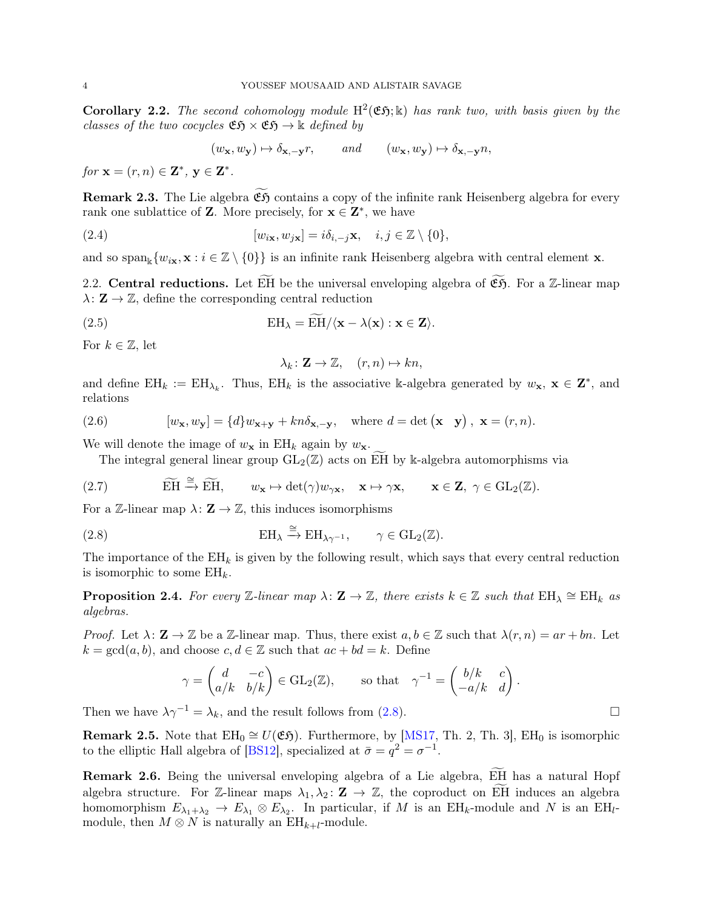**Corollary 2.2.** The second cohomology module  $H^2(\mathfrak{E}\mathfrak{H}; \mathbb{k})$  has rank two, with basis given by the classes of the two cocycles  $\mathfrak{E} \mathfrak{H} \times \mathfrak{E} \mathfrak{H} \to \mathbb{k}$  defined by

$$
(w_{\mathbf{x}}, w_{\mathbf{y}}) \mapsto \delta_{\mathbf{x}, -\mathbf{y}} r
$$
, and  $(w_{\mathbf{x}}, w_{\mathbf{y}}) \mapsto \delta_{\mathbf{x}, -\mathbf{y}} n$ ,

<span id="page-3-1"></span>for  $\mathbf{x} = (r, n) \in \mathbf{Z}^*, \mathbf{y} \in \mathbf{Z}^*.$ 

**Remark 2.3.** The Lie algebra  $\mathfrak{E}$  contains a copy of the infinite rank Heisenberg algebra for every rank one sublattice of **Z**. More precisely, for  $\mathbf{x} \in \mathbf{Z}^*$ , we have

(2.4) 
$$
[w_{i\mathbf{x}}, w_{j\mathbf{x}}] = i\delta_{i,-j}\mathbf{x}, \quad i, j \in \mathbb{Z} \setminus \{0\},
$$

<span id="page-3-5"></span>and so span<sub>k</sub> $\{w_{i\mathbf{x}}, \mathbf{x} : i \in \mathbb{Z} \setminus \{0\}\}\$ is an infinite rank Heisenberg algebra with central element **x**.

2.2. Central reductions. Let  $\widetilde{EH}$  be the universal enveloping algebra of  $\widetilde{\mathfrak{E}}$ , For a Z-linear map  $\lambda: \mathbf{Z} \to \mathbb{Z}$ , define the corresponding central reduction

(2.5) 
$$
EH_{\lambda} = EH/\langle \mathbf{x} - \lambda(\mathbf{x}) : \mathbf{x} \in \mathbf{Z} \rangle.
$$

For  $k \in \mathbb{Z}$ , let

<span id="page-3-6"></span>
$$
\lambda_k \colon \mathbf{Z} \to \mathbb{Z}, \quad (r, n) \mapsto kn,
$$

and define  $EH_k := EH_{\lambda_k}$ . Thus,  $EH_k$  is the associative k-algebra generated by  $w_x, x \in \mathbb{Z}^*$ , and relations

(2.6) 
$$
[w_{\mathbf{x}}, w_{\mathbf{y}}] = \{d\}w_{\mathbf{x}+\mathbf{y}} + kn\delta_{\mathbf{x}, -\mathbf{y}}, \text{ where } d = \det(\mathbf{x} \mid \mathbf{y}), \mathbf{x} = (r, n).
$$

We will denote the image of  $w_x$  in EH<sub>k</sub> again by  $w_x$ .

<span id="page-3-3"></span>The integral general linear group  $GL_2(\mathbb{Z})$  acts on EH by k-algebra automorphisms via

$$
(2.7) \quad \widetilde{\mathbf{EH}} \xrightarrow{\cong} \widetilde{\mathbf{EH}}, \quad w_{\mathbf{x}} \mapsto \det(\gamma)w_{\gamma\mathbf{x}}, \quad \mathbf{x} \mapsto \gamma\mathbf{x}, \quad \mathbf{x} \in \mathbf{Z}, \ \gamma \in \mathrm{GL}_2(\mathbb{Z}).
$$

For a Z-linear map  $\lambda: \mathbf{Z} \to \mathbb{Z}$ , this induces isomorphisms

(2.8) 
$$
\mathbf{EH}_{\lambda} \xrightarrow{\cong} \mathbf{EH}_{\lambda \gamma^{-1}}, \qquad \gamma \in \mathrm{GL}_2(\mathbb{Z}).
$$

<span id="page-3-0"></span>The importance of the  $EH_k$  is given by the following result, which says that every central reduction is isomorphic to some  $EH_k$ .

**Proposition 2.4.** For every  $\mathbb{Z}$ -linear map  $\lambda: \mathbf{Z} \to \mathbb{Z}$ , there exists  $k \in \mathbb{Z}$  such that  $\text{EH}_{\lambda} \cong \text{EH}_{k}$  as algebras.

*Proof.* Let  $\lambda: \mathbf{Z} \to \mathbb{Z}$  be a Z-linear map. Thus, there exist  $a, b \in \mathbb{Z}$  such that  $\lambda(r, n) = ar + bn$ . Let  $k = \gcd(a, b)$ , and choose  $c, d \in \mathbb{Z}$  such that  $ac + bd = k$ . Define

<span id="page-3-2"></span>
$$
\gamma = \begin{pmatrix} d & -c \\ a/k & b/k \end{pmatrix} \in \text{GL}_2(\mathbb{Z}), \qquad \text{so that} \quad \gamma^{-1} = \begin{pmatrix} b/k & c \\ -a/k & d \end{pmatrix}
$$

Then we have  $\lambda \gamma^{-1} = \lambda_k$ , and the result follows from [\(2.8\)](#page-3-2).

**Remark 2.5.** Note that  $EH_0 \cong U(\mathfrak{E5})$ . Furthermore, by [\[MS17,](#page-34-11) Th. 2, Th. 3], EH<sub>0</sub> is isomorphic to the elliptic Hall algebra of [\[BS12\]](#page-34-1), specialized at  $\bar{\sigma} = q^2 = \sigma^{-1}$ .

<span id="page-3-4"></span>Remark 2.6. Being the universal enveloping algebra of a Lie algebra, EH has a natural Hopf algebra structure. For Z-linear maps  $\lambda_1, \lambda_2 \colon \mathbf{Z} \to \mathbb{Z}$ , the coproduct on EH induces an algebra homomorphism  $E_{\lambda_1+\lambda_2} \to E_{\lambda_1} \otimes E_{\lambda_2}$ . In particular, if M is an EH<sub>k</sub>-module and N is an EH<sub>k</sub>module, then  $M \otimes N$  is naturally an  $\text{EH}_{k+l}$ -module.

.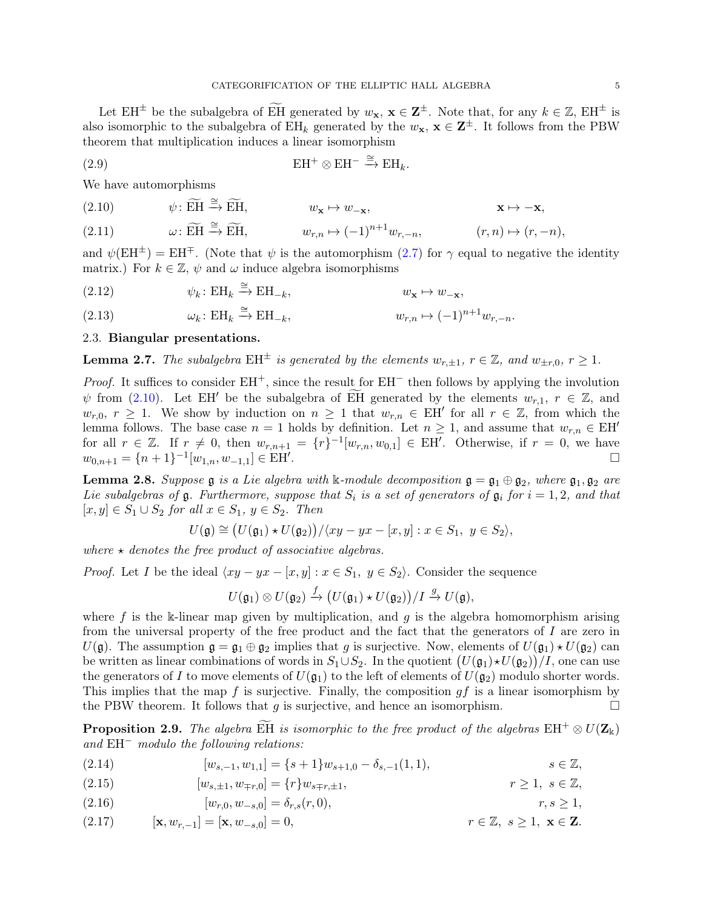Let  $EH^{\pm}$  be the subalgebra of  $\widetilde{EH}$  generated by  $w_{\mathbf{x}}$ ,  $\mathbf{x} \in \mathbf{Z}^{\pm}$ . Note that, for any  $k \in \mathbb{Z}$ ,  $EH^{\pm}$  is also isomorphic to the subalgebra of  $EH_k$  generated by the  $w_x$ ,  $x \in \mathbb{Z}^{\pm}$ . It follows from the PBW theorem that multiplication induces a linear isomorphism

<span id="page-4-8"></span>(2.9) 
$$
EH^{+} \otimes EH^{-} \xrightarrow{\cong} EH_{k}.
$$

We have automorphisms

<span id="page-4-0"></span>(2.10) 
$$
\psi: \widetilde{EH} \xrightarrow{\cong} \widetilde{EH}, \qquad w_{\mathbf{x}} \mapsto w_{-\mathbf{x}}, \qquad \mathbf{x} \mapsto -\mathbf{x},
$$

(2.11) 
$$
\omega: \widetilde{\mathbb{H}} \xrightarrow{\cong} \widetilde{\mathbb{H}}, \qquad w_{r,n} \mapsto (-1)^{n+1} w_{r,-n}, \qquad (r,n) \mapsto (r,-n),
$$

and  $\psi(EH^{\pm}) = EH^{\mp}$ . (Note that  $\psi$  is the automorphism [\(2.7\)](#page-3-3) for  $\gamma$  equal to negative the identity matrix.) For  $k \in \mathbb{Z}$ ,  $\psi$  and  $\omega$  induce algebra isomorphisms

(2.12) 
$$
\psi_k: \text{EH}_k \xrightarrow{\cong} \text{EH}_{-k}, \qquad w_\mathbf{x} \mapsto w_{-\mathbf{x}},
$$

<span id="page-4-7"></span>(2.13) 
$$
\omega_k \colon \mathrm{EH}_k \xrightarrow{\cong} \mathrm{EH}_{-k}, \qquad w_{r,n} \mapsto (-1)^{n+1} w_{r,-n}.
$$

# <span id="page-4-1"></span>2.3. Biangular presentations.

**Lemma 2.7.** The subalgebra  $EH^{\pm}$  is generated by the elements  $w_{r,\pm 1}$ ,  $r \in \mathbb{Z}$ , and  $w_{\pm r,0}$ ,  $r \geq 1$ .

*Proof.* It suffices to consider  $EH^+$ , since the result for  $EH^-$  then follows by applying the involution  $\psi$  from [\(2.10\)](#page-4-0). Let EH' be the subalgebra of EH generated by the elements  $w_{r,1}$ ,  $r \in \mathbb{Z}$ , and  $w_{r,0}, r \geq 1$ . We show by induction on  $n \geq 1$  that  $w_{r,n} \in \text{EH}'$  for all  $r \in \mathbb{Z}$ , from which the lemma follows. The base case  $n = 1$  holds by definition. Let  $n \geq 1$ , and assume that  $w_{r,n} \in \text{EH}'$ for all  $r \in \mathbb{Z}$ . If  $r \neq 0$ , then  $w_{r,n+1} = \{r\}^{-1}[w_{r,n}, w_{0,1}] \in \text{EH}'$ . Otherwise, if  $r = 0$ , we have  $w_{0,n+1} = \{n+1\}^{-1}[w_{1,n}, w_{-1,1}] \in \text{EH}'$ .

<span id="page-4-2"></span>**Lemma 2.8.** Suppose  $\mathfrak g$  is a Lie algebra with k-module decomposition  $\mathfrak g = \mathfrak g_1 \oplus \mathfrak g_2$ , where  $\mathfrak g_1, \mathfrak g_2$  are Lie subalgebras of  $\mathfrak g$ . Furthermore, suppose that  $S_i$  is a set of generators of  $\mathfrak g_i$  for  $i=1,2$ , and that  $[x, y] \in S_1 \cup S_2$  for all  $x \in S_1$ ,  $y \in S_2$ . Then

$$
U(\mathfrak{g}) \cong (U(\mathfrak{g}_1) \star U(\mathfrak{g}_2)) / \langle xy - yx - [x, y] : x \in S_1, y \in S_2 \rangle,
$$

where  $\star$  denotes the free product of associative algebras.

*Proof.* Let I be the ideal  $\langle xy - yx - [x, y] : x \in S_1, y \in S_2 \rangle$ . Consider the sequence

$$
U(\mathfrak{g}_1)\otimes U(\mathfrak{g}_2)\xrightarrow{f} \left(U(\mathfrak{g}_1)\star U(\mathfrak{g}_2)\right)/I\xrightarrow{g} U(\mathfrak{g}),
$$

where f is the k-linear map given by multiplication, and g is the algebra homomorphism arising from the universal property of the free product and the fact that the generators of I are zero in  $U(\mathfrak{g})$ . The assumption  $\mathfrak{g} = \mathfrak{g}_1 \oplus \mathfrak{g}_2$  implies that g is surjective. Now, elements of  $U(\mathfrak{g}_1) \star U(\mathfrak{g}_2)$  can be written as linear combinations of words in  $S_1 \cup S_2$ . In the quotient  $(U(\mathfrak{g}_1) \star U(\mathfrak{g}_2))/I$ , one can use the generators of I to move elements of  $U(\mathfrak{g}_1)$  to the left of elements of  $U(\mathfrak{g}_2)$  modulo shorter words. This implies that the map f is surjective. Finally, the composition  $gf$  is a linear isomorphism by the PBW theorem. It follows that g is surjective, and hence an isomorphism.  $\square$ 

**Proposition 2.9.** The algebra EH is isomorphic to the free product of the algebras  $EH^{+} \otimes U(\mathbf{Z}_{k})$ and EH<sup>−</sup> modulo the following relations:

<span id="page-4-5"></span>
$$
(2.14) \t\t [w_{s,-1}, w_{1,1}] = \{s+1\}w_{s+1,0} - \delta_{s,-1}(1,1), \t\t s \in \mathbb{Z},
$$

<span id="page-4-3"></span>(2.15) 
$$
[w_{s,\pm 1}, w_{\mp r,0}] = \{r\} w_{s\mp r,\pm 1}, \qquad r \ge 1, s \in \mathbb{Z},
$$

<span id="page-4-6"></span>(2.16) 
$$
[w_{r,0}, w_{-s,0}] = \delta_{r,s}(r,0), \qquad r,s \ge 1,
$$

<span id="page-4-4"></span>(2.17) 
$$
[\mathbf{x}, w_{r,-1}] = [\mathbf{x}, w_{-s,0}] = 0, \qquad r \in \mathbb{Z}, s \ge 1, \mathbf{x} \in \mathbf{Z}.
$$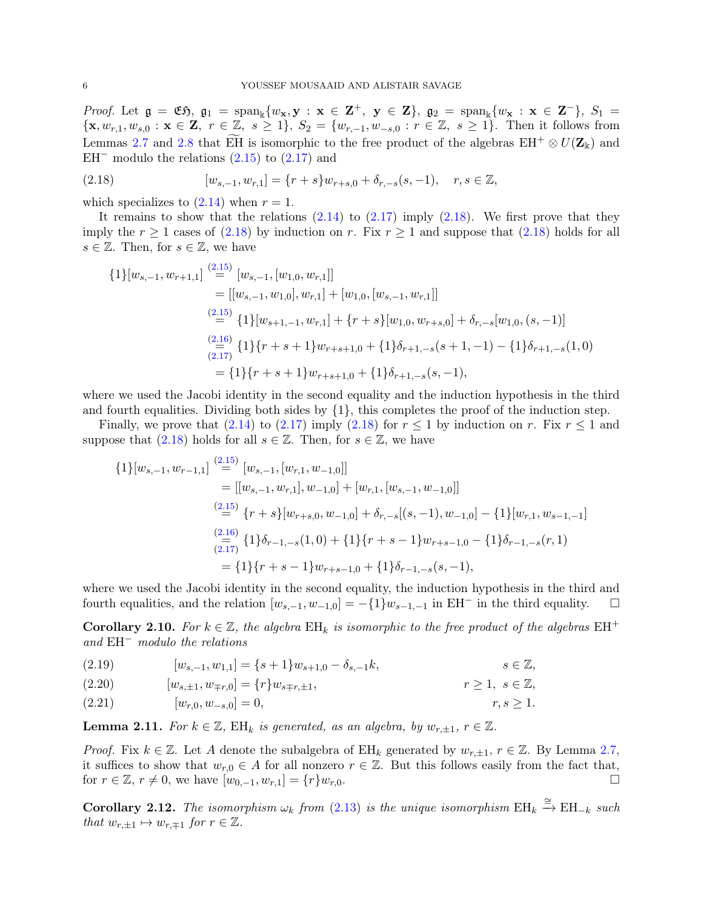Proof. Let  $\mathfrak{g} = \mathfrak{E} \mathfrak{H}$ ,  $\mathfrak{g}_1 = \text{span}_{\mathbb{k}} \{ w_x, y : x \in \mathbb{Z}^+, y \in \mathbb{Z} \}$ ,  $\mathfrak{g}_2 = \text{span}_{\mathbb{k}} \{ w_x : x \in \mathbb{Z}^- \}$ ,  $S_1 =$  $\{x, w_{r,1}, w_{s,0} : x \in \mathbb{Z}, r \in \mathbb{Z}, s \geq 1\}, S_2 = \{w_{r,-1}, w_{-s,0} : r \in \mathbb{Z}, s \geq 1\}.$  Then it follows from Lemmas [2.7](#page-4-1) and [2.8](#page-4-2) that EH is isomorphic to the free product of the algebras  $EH^{+} \otimes U(\mathbf{Z}_{k})$  and EH<sup> $-$ </sup> modulo the relations  $(2.15)$  to  $(2.17)$  and

<span id="page-5-0"></span>
$$
(2.18) \t\t [w_{s,-1}, w_{r,1}] = \{r+s\}w_{r+s,0} + \delta_{r,-s}(s,-1), \quad r, s \in \mathbb{Z},
$$

which specializes to  $(2.14)$  when  $r = 1$ .

It remains to show that the relations  $(2.14)$  to  $(2.17)$  imply  $(2.18)$ . We first prove that they imply the  $r \ge 1$  cases of [\(2.18\)](#page-5-0) by induction on r. Fix  $r \ge 1$  and suppose that (2.18) holds for all  $s \in \mathbb{Z}$ . Then, for  $s \in \mathbb{Z}$ , we have

$$
\{1\}[w_{s,-1}, w_{r+1,1}] \stackrel{(2.15)}{=} [w_{s,-1}, [w_{1,0}, w_{r,1}]]
$$
  
\n
$$
= [[w_{s,-1}, w_{1,0}], w_{r,1}] + [w_{1,0}, [w_{s,-1}, w_{r,1}]]
$$
  
\n
$$
\stackrel{(2.15)}{=} \{1\}[w_{s+1,-1}, w_{r,1}] + \{r+s\}[w_{1,0}, w_{r+s,0}] + \delta_{r,-s}[w_{1,0}, (s,-1)]
$$
  
\n
$$
\stackrel{(2.16)}{=} \{1\}\{r+s+1\}w_{r+s+1,0} + \{1\}\delta_{r+1,-s}(s+1,-1) - \{1\}\delta_{r+1,-s}(1,0)
$$
  
\n
$$
= \{1\}\{r+s+1\}w_{r+s+1,0} + \{1\}\delta_{r+1,-s}(s,-1),
$$

where we used the Jacobi identity in the second equality and the induction hypothesis in the third and fourth equalities. Dividing both sides by  $\{1\}$ , this completes the proof of the induction step.

Finally, we prove that [\(2.14\)](#page-4-5) to [\(2.17\)](#page-4-4) imply [\(2.18\)](#page-5-0) for  $r \le 1$  by induction on r. Fix  $r \le 1$  and suppose that [\(2.18\)](#page-5-0) holds for all  $s \in \mathbb{Z}$ . Then, for  $s \in \mathbb{Z}$ , we have

$$
\{1\}[w_{s,-1}, w_{r-1,1}] \stackrel{(2.15)}{=} [w_{s,-1}, [w_{r,1}, w_{-1,0}]]
$$
  
\n
$$
= [[w_{s,-1}, w_{r,1}], w_{-1,0}] + [w_{r,1}, [w_{s,-1}, w_{-1,0}]]
$$
  
\n
$$
\stackrel{(2.15)}{=} \{r + s\}[w_{r+s,0}, w_{-1,0}] + \delta_{r,-s}[(s,-1), w_{-1,0}] - \{1\}[w_{r,1}, w_{s-1,-1}]
$$
  
\n
$$
\stackrel{(2.16)}{=} \{1\}\delta_{r-1,-s}(1,0) + \{1\}\{r + s - 1\}w_{r+s-1,0} - \{1\}\delta_{r-1,-s}(r,1)
$$
  
\n
$$
= \{1\}\{r + s - 1\}w_{r+s-1,0} + \{1\}\delta_{r-1,-s}(s,-1),
$$

where we used the Jacobi identity in the second equality, the induction hypothesis in the third and fourth equalities, and the relation  $[w_{s,-1}, w_{-1,0}] = -\{1\}w_{s-1,-1}$  in EH<sup>-</sup> in the third equality.  $\square$ 

<span id="page-5-2"></span>**Corollary 2.10.** For  $k \in \mathbb{Z}$ , the algebra  $EH_k$  is isomorphic to the free product of the algebras  $EH^+$ and EH<sup>−</sup> modulo the relations

<span id="page-5-3"></span>(2.19)  $[w_{s-1}, w_{1,1}] = \{s+1\}w_{s+1,0} - \delta_{s,-1}k, \qquad s \in \mathbb{Z},$ 

<span id="page-5-5"></span>
$$
(2.20) \t\t [w_{s,\pm 1}, w_{\mp r,0}] = \{r\} w_{s\mp r,\pm 1}, \t\t r \ge 1, s \in \mathbb{Z},
$$

<span id="page-5-4"></span>
$$
(2.21) \t\t [w_{r,0}, w_{-s,0}] = 0, \t\t r, s \ge 1.
$$

<span id="page-5-1"></span>**Lemma 2.11.** For  $k \in \mathbb{Z}$ , EH<sub>k</sub> is generated, as an algebra, by  $w_{r,\pm 1}$ ,  $r \in \mathbb{Z}$ .

*Proof.* Fix  $k \in \mathbb{Z}$ . Let A denote the subalgebra of EH<sub>k</sub> generated by  $w_{r,\pm 1}$ ,  $r \in \mathbb{Z}$ . By Lemma [2.7,](#page-4-1) it suffices to show that  $w_{r,0} \in A$  for all nonzero  $r \in \mathbb{Z}$ . But this follows easily from the fact that, for  $r \in \mathbb{Z}, r \neq 0$ , we have  $[w_{0,-1}, w_{r,1}] = \{r\}w_{r,0}$ .

**Corollary 2.12.** The isomorphism  $\omega_k$  from [\(2.13\)](#page-4-7) is the unique isomorphism  $EH_k \stackrel{\cong}{\rightarrow} EH_{-k}$  such that  $w_{r,\pm 1} \mapsto w_{r,\mp 1}$  for  $r \in \mathbb{Z}$ .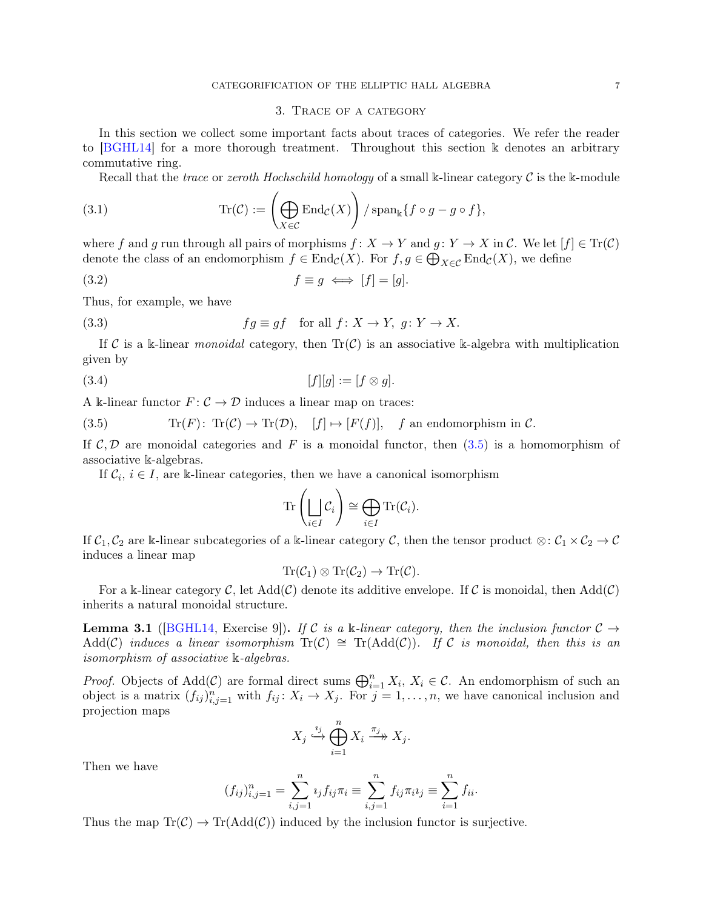#### <span id="page-6-4"></span>3. Trace of a category

<span id="page-6-0"></span>In this section we collect some important facts about traces of categories. We refer the reader to [\[BGHL14\]](#page-34-16) for a more thorough treatment. Throughout this section k denotes an arbitrary commutative ring.

Recall that the trace or zeroth Hochschild homology of a small k-linear category  $\mathcal C$  is the k-module

(3.1) 
$$
\operatorname{Tr}(\mathcal{C}) := \left(\bigoplus_{X \in \mathcal{C}} \operatorname{End}_{\mathcal{C}}(X)\right) / \operatorname{span}_{\mathbb{k}} \{f \circ g - g \circ f\},
$$

where f and g run through all pairs of morphisms  $f: X \to Y$  and  $g: Y \to X$  in C. We let  $[f] \in \text{Tr}(\mathcal{C})$ denote the class of an endomorphism  $f \in \text{End}_{\mathcal{C}}(X)$ . For  $f, g \in \bigoplus_{X \in \mathcal{C}} \text{End}_{\mathcal{C}}(X)$ , we define

$$
(3.2) \t\t f \equiv g \iff [f] = [g].
$$

Thus, for example, we have

<span id="page-6-3"></span>(3.3) 
$$
fg \equiv gf \quad \text{for all } f \colon X \to Y, \ g \colon Y \to X.
$$

If C is a k-linear monoidal category, then  $\text{Tr}(\mathcal{C})$  is an associative k-algebra with multiplication given by

$$
[f][g] := [f \otimes g].
$$

A k-linear functor  $F: \mathcal{C} \to \mathcal{D}$  induces a linear map on traces:

<span id="page-6-1"></span>(3.5) 
$$
\text{Tr}(F): \text{Tr}(\mathcal{C}) \to \text{Tr}(\mathcal{D}), \quad [f] \mapsto [F(f)], \quad f \text{ an endomorphism in } \mathcal{C}.
$$

If  $\mathcal{C}, \mathcal{D}$  are monoidal categories and F is a monoidal functor, then  $(3.5)$  is a homomorphism of associative k-algebras.

If  $\mathcal{C}_i$ ,  $i \in I$ , are k-linear categories, then we have a canonical isomorphism

$$
\mathrm{Tr}\left(\bigsqcup_{i\in I}\mathcal{C}_i\right)\cong \bigoplus_{i\in I}\mathrm{Tr}(\mathcal{C}_i).
$$

If  $C_1, C_2$  are k-linear subcategories of a k-linear category C, then the tensor product ⊗:  $C_1 \times C_2 \to C$ induces a linear map

$$
\mathrm{Tr}(\mathcal{C}_1)\otimes\mathrm{Tr}(\mathcal{C}_2)\to\mathrm{Tr}(\mathcal{C}).
$$

<span id="page-6-2"></span>For a k-linear category C, let  $Add(\mathcal{C})$  denote its additive envelope. If C is monoidal, then  $Add(\mathcal{C})$ inherits a natural monoidal structure.

**Lemma 3.1** ([\[BGHL14,](#page-34-16) Exercise 9]). If C is a k-linear category, then the inclusion functor  $C \rightarrow$ Add(C) induces a linear isomorphism  $\text{Tr}(\mathcal{C}) \cong \text{Tr}(\text{Add}(\mathcal{C}))$ . If C is monoidal, then this is an isomorphism of associative k-algebras.

*Proof.* Objects of  $Add(C)$  are formal direct sums  $\bigoplus_{i=1}^{n} X_i$ ,  $X_i \in C$ . An endomorphism of such an object is a matrix  $(f_{ij})_{i,j=1}^n$  with  $f_{ij}: X_i \to X_j$ . For  $j = 1, \ldots, n$ , we have canonical inclusion and projection maps

$$
X_j \xrightarrow{i_j} \bigoplus_{i=1}^n X_i \xrightarrow{\pi_j} X_j.
$$

Then we have

$$
(f_{ij})_{i,j=1}^n = \sum_{i,j=1}^n i_j f_{ij} \pi_i \equiv \sum_{i,j=1}^n f_{ij} \pi_i \pi_j \equiv \sum_{i=1}^n f_{ii}.
$$

Thus the map  $\text{Tr}(\mathcal{C}) \to \text{Tr}(\text{Add}(\mathcal{C}))$  induced by the inclusion functor is surjective.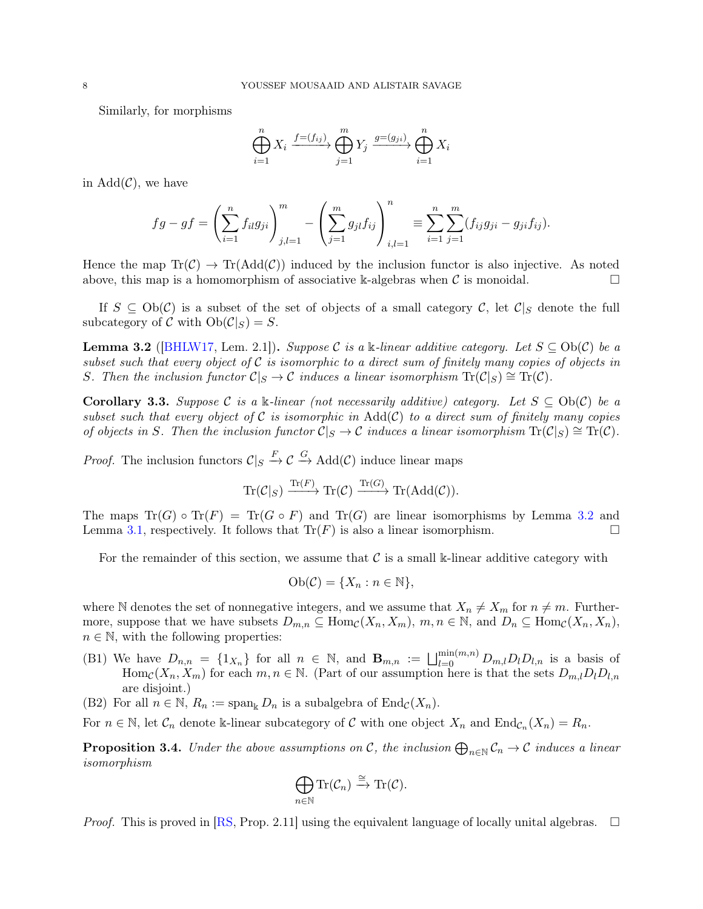Similarly, for morphisms

$$
\bigoplus_{i=1}^{n} X_i \xrightarrow{f=(f_{ij})} \bigoplus_{j=1}^{m} Y_j \xrightarrow{g=(g_{ji})} \bigoplus_{i=1}^{n} X_i
$$

in  $Add(\mathcal{C})$ , we have

$$
fg - gf = \left(\sum_{i=1}^n f_{il}g_{ji}\right)_{j,l=1}^m - \left(\sum_{j=1}^m g_{jl}f_{ij}\right)_{i,l=1}^n \equiv \sum_{i=1}^n \sum_{j=1}^m (f_{ij}g_{ji} - g_{ji}f_{ij}).
$$

Hence the map  $\text{Tr}(\mathcal{C}) \to \text{Tr}(\text{Add}(\mathcal{C}))$  induced by the inclusion functor is also injective. As noted above, this map is a homomorphism of associative k-algebras when C is monoidal.

<span id="page-7-0"></span>If  $S \subseteq Ob(\mathcal{C})$  is a subset of the set of objects of a small category  $\mathcal{C}$ , let  $\mathcal{C}|_S$  denote the full subcategory of C with  $Ob(\mathcal{C}|_S) = S$ .

**Lemma 3.2** ([\[BHLW17,](#page-34-17) Lem. 2.1]). Suppose C is a k-linear additive category. Let  $S \subseteq Ob(\mathcal{C})$  be a subset such that every object of  $\mathcal C$  is isomorphic to a direct sum of finitely many copies of objects in S. Then the inclusion functor  $\mathcal{C}|_S \to \mathcal{C}$  induces a linear isomorphism  $\text{Tr}(\mathcal{C}|_S) \cong \text{Tr}(\mathcal{C}).$ 

<span id="page-7-1"></span>**Corollary 3.3.** Suppose C is a k-linear (not necessarily additive) category. Let  $S \subseteq Ob(\mathcal{C})$  be a subset such that every object of C is isomorphic in  $Add(C)$  to a direct sum of finitely many copies of objects in S. Then the inclusion functor  $\mathcal{C}|_S \to \mathcal{C}$  induces a linear isomorphism  $\text{Tr}(\mathcal{C}|_S) \cong \text{Tr}(\mathcal{C}).$ 

*Proof.* The inclusion functors  $C|_S \stackrel{F}{\to} C \stackrel{G}{\to} \text{Add}(\mathcal{C})$  induce linear maps

$$
\mathrm{Tr}(\mathcal{C}|_S) \xrightarrow{\mathrm{Tr}(F)} \mathrm{Tr}(\mathcal{C}) \xrightarrow{\mathrm{Tr}(G)} \mathrm{Tr}(\mathrm{Add}(\mathcal{C})).
$$

The maps  $\text{Tr}(G) \circ \text{Tr}(F) = \text{Tr}(G \circ F)$  and  $\text{Tr}(G)$  are linear isomorphisms by Lemma [3.2](#page-7-0) and Lemma [3.1,](#page-6-2) respectively. It follows that  $\text{Tr}(F)$  is also a linear isomorphism.

For the remainder of this section, we assume that  $\mathcal C$  is a small k-linear additive category with

$$
Ob(\mathcal{C}) = \{X_n : n \in \mathbb{N}\},\
$$

where N denotes the set of nonnegative integers, and we assume that  $X_n \neq X_m$  for  $n \neq m$ . Furthermore, suppose that we have subsets  $D_{m,n} \subseteq \text{Hom}_{\mathcal{C}}(X_n, X_m)$ ,  $m, n \in \mathbb{N}$ , and  $D_n \subseteq \text{Hom}_{\mathcal{C}}(X_n, X_n)$ ,  $n \in \mathbb{N}$ , with the following properties:

- <span id="page-7-2"></span>(B1) We have  $D_{n,n} = \{1_{X_n}\}\$ for all  $n \in \mathbb{N}$ , and  $\mathbf{B}_{m,n} := \bigsqcup_{l=0}^{\min(m,n)} D_{m,l}D_lD_{l,n}$  is a basis of  $\text{Hom}_{\mathcal{C}}(X_n, X_m)$  for each  $m, n \in \mathbb{N}$ . (Part of our assumption here is that the sets  $D_{m,l}D_lD_{l,n}$ are disjoint.)
- <span id="page-7-3"></span>(B2) For all  $n \in \mathbb{N}$ ,  $R_n := \text{span}_{\mathbb{k}} D_n$  is a subalgebra of  $\text{End}_{\mathcal{C}}(X_n)$ .

<span id="page-7-4"></span>For  $n \in \mathbb{N}$ , let  $\mathcal{C}_n$  denote k-linear subcategory of  $\mathcal C$  with one object  $X_n$  and  $\text{End}_{\mathcal C_n}(X_n) = R_n$ .

**Proposition 3.4.** Under the above assumptions on C, the inclusion  $\bigoplus_{n\in\mathbb{N}}\mathcal{C}_n \to \mathcal{C}$  induces a linear isomorphism

$$
\bigoplus_{n\in\mathbb{N}}\mathrm{Tr}(\mathcal{C}_n)\xrightarrow{\cong}\mathrm{Tr}(\mathcal{C}).
$$

*Proof.* This is proved in [\[RS,](#page-34-15) Prop. 2.11] using the equivalent language of locally unital algebras.  $\Box$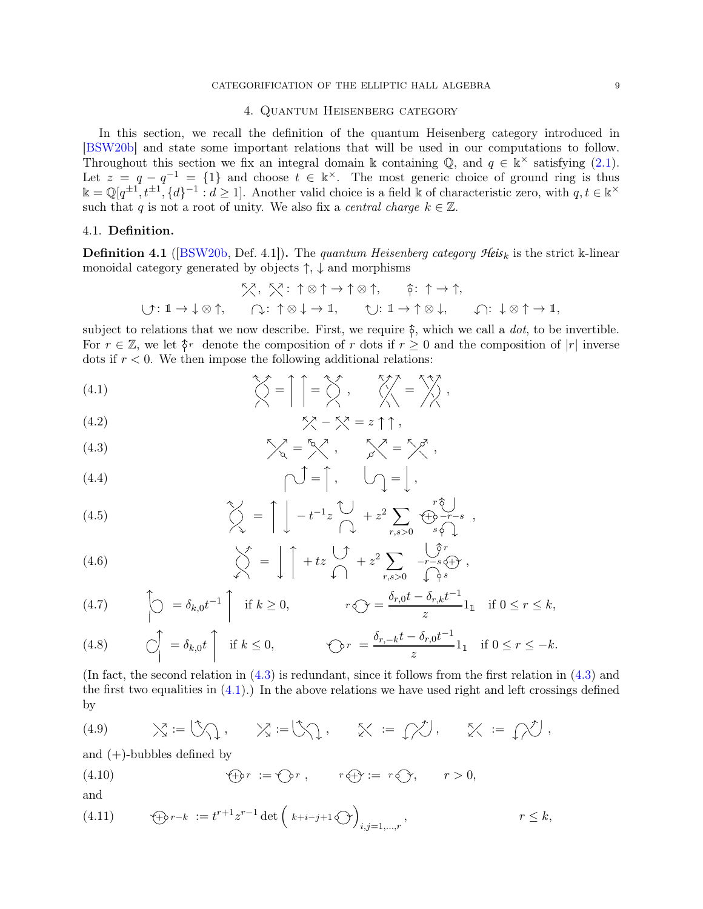### 4. Quantum Heisenberg category

<span id="page-8-0"></span>In this section, we recall the definition of the quantum Heisenberg category introduced in [\[BSW20b\]](#page-34-9) and state some important relations that will be used in our computations to follow. Throughout this section we fix an integral domain k containing  $\mathbb{Q}$ , and  $q \in \mathbb{R}^{\times}$  satisfying [\(2.1\)](#page-2-3). Let  $z = q - q^{-1} = \{1\}$  and choose  $t \in \mathbb{k}^{\times}$ . The most generic choice of ground ring is thus  $\Bbbk=\mathbb{Q}[q^{\pm 1},t^{\pm 1},\{d\}^{-1}:d\geq 1].$  Another valid choice is a field  $\Bbbk$  of characteristic zero, with  $q,t\in\Bbbk^{\times}$ such that q is not a root of unity. We also fix a *central charge*  $k \in \mathbb{Z}$ .

### 4.1. Definition.

**Definition 4.1** ([\[BSW20b,](#page-34-9) Def. 4.1]). The quantum Heisenberg category  $\mathcal{H}eis_k$  is the strict k-linear monoidal category generated by objects  $\uparrow$ ,  $\downarrow$  and morphisms

$$
\begin{array}{ccc}\n\diagup \chi, & \chi: \uparrow \otimes \uparrow \to \uparrow \otimes \uparrow, & \hat{\varphi}: \uparrow \to \uparrow, \\
\bigcup: \mathbb{1} \to \downarrow \otimes \uparrow, & \bigcap: \uparrow \otimes \downarrow \to \mathbb{1}, & \bigcup: \mathbb{1} \to \uparrow \otimes \downarrow, & \bigcap: \downarrow \otimes \uparrow \to \mathbb{1},\n\end{array}
$$

subject to relations that we now describe. First, we require  $\hat{\zeta}$ , which we call a dot, to be invertible. For  $r \in \mathbb{Z}$ , we let  $\hat{\gamma}$  denote the composition of r dots if  $r \geq 0$  and the composition of  $|r|$  inverse dots if  $r < 0$ . We then impose the following additional relations:

<span id="page-8-2"></span>
$$
\begin{pmatrix} 4.1 \end{pmatrix} \qquad \qquad \begin{pmatrix} \uparrow \\ \downarrow \end{pmatrix} = \begin{pmatrix} \uparrow \\ \downarrow \end{pmatrix} = \begin{pmatrix} \uparrow \\ \downarrow \end{pmatrix}, \qquad \begin{pmatrix} \uparrow \\ \downarrow \end{pmatrix} = \begin{pmatrix} \uparrow \\ \downarrow \end{pmatrix},
$$

<span id="page-8-6"></span>
$$
\begin{array}{ccc}\n(4.2) & \mathbb{X} - \mathbb{X} = z \uparrow \uparrow, \\
& & \\
& & \\
\end{array}
$$

<span id="page-8-1"></span>
$$
\begin{array}{ccc}\n\left(4.3\right) & \left(4.3\right) & \left(4.3\right) & \left(4.3\right) & \left(4.3\right) \\
\left(4.3\right) & \left(4.3\right) & \left(4.3\right) & \left(4.3\right) \\
\left(4.3\right) & \left(4.3\right) & \left(4.3\right) & \left(4.3\right) \\
\left(4.3\right) & \left(4.3\right) & \left(4.3\right) & \left(4.3\right) \\
\left(4.3\right) & \left(4.3\right) & \left(4.3\right) & \left(4.3\right) & \left(4.3\right) \\
\left(4.3\right) & \left(4.3\right) & \left(4.3\right) & \left(4.3\right) & \left(4.3\right) \\
\left(4.3\right) & \left(4.3\right) & \left(4.3\right) & \left(4.3\right) & \left(4.3\right) \\
\left(4.3\right) & \left(4.3\right) & \left(4.3\right) & \left(4.3\right) & \left(4.3\right) \\
\left(4.3\right) & \left(4.3\right) & \left(4.3\right) & \left(4.3\right) & \left(4.3\right) \\
\left(4.3\right) & \left(4.3\right) & \left(4.3\right) & \left(4.3\right) & \left(4.3\right) \\
\left(4.3\right) & \left(4.3\right) & \left(4.3\right) & \left(4.3\right) & \left(4.3\right) \\
\left(4.3\right) & \left(4.3\right) & \left(4.3\right) & \left(4.3\right) & \left(4.3\right) & \left(4.3\right) \\
\left(4.3\right) & \left(4.3\right) & \left(4.3\right) & \left(4.3\right) & \left(4.3\right) & \left(4.3\right) \\
\left(4.3\right) & \left(4.3\right) & \left(4.3\right) & \left(4.3\right) & \left(4.3\right) \\
\left(4.3\right) & \left(4.3\right) & \left(4.3\right) & \left(4.3\right) & \left(4.3\right) \\
\left(4.3\right) & \left
$$

<span id="page-8-5"></span>
$$
(4.4) \quad \mathbb{Q} = [ \ , \quad \mathbb{Q} = [ \ ,
$$

<span id="page-8-3"></span>(4.5) 
$$
\bigotimes_{\sim} = \left[ \int_{0}^{t} -t^{-1}z \bigotimes_{r,s>0}^{r} + z^{2} \sum_{r,s>0} \bigoplus_{s \circ \{r\}}^{r} \bigotimes_{s \circ \{r\}}^{r}
$$

<span id="page-8-4"></span>(4.6) 
$$
\bigotimes_{\checkmark} = \left| \int \left| +tz \bigcup_{\checkmark} + z^2 \sum_{r,s>0} \bigg| \bigg| \bigg| \bigg| \xi^r \right|,
$$

<span id="page-8-7"></span>(4.7) 
$$
\left[\bigcirc \, = \delta_{k,0} t^{-1}\right] \text{ if } k \geq 0, \qquad \qquad r \bigcirc \bigcirc = \frac{\delta_{r,0} t - \delta_{r,k} t^{-1}}{z} 1_{1} \text{ if } 0 \leq r \leq k,
$$

(4.8) 
$$
\bigcirc \left( \begin{array}{cc} \ -\delta_{k,0}t \end{array} \right) \quad \text{if } k \leq 0, \qquad \qquad \bigcirc r = \frac{\delta_{r,-k}t - \delta_{r,0}t^{-1}}{z}1_1 \quad \text{if } 0 \leq r \leq -k.
$$

(In fact, the second relation in [\(4.3\)](#page-8-1) is redundant, since it follows from the first relation in [\(4.3\)](#page-8-1) and the first two equalities in  $(4.1)$ .) In the above relations we have used right and left crossings defined by

(4.9) 
$$
\chi := \bigcup_{i=1}^{n} \chi_i
$$
,  $\chi'_{i} := \bigcup_{i=1}^{n} \chi_i$ ,  $\chi'_{i} := \bigcup_{i=1}^{n} \chi'_{i}$ ,  $\chi'_{i} := \bigcup_{i=1}^{n} \chi'_{i}$ ,

and  $(+)$ -bubbles defined by

<span id="page-8-8"></span>(4.10) 
$$
\iff r := \bigcirc r, \qquad r \bigcirc f := r \bigcirc f, \qquad r > 0,
$$
and

(4.11) 
$$
\text{for } k := t^{r+1} z^{r-1} \det \left( k + i - j + 1 \text{ or } k \right)_{i,j=1,\dots,r}, \qquad r \leq k,
$$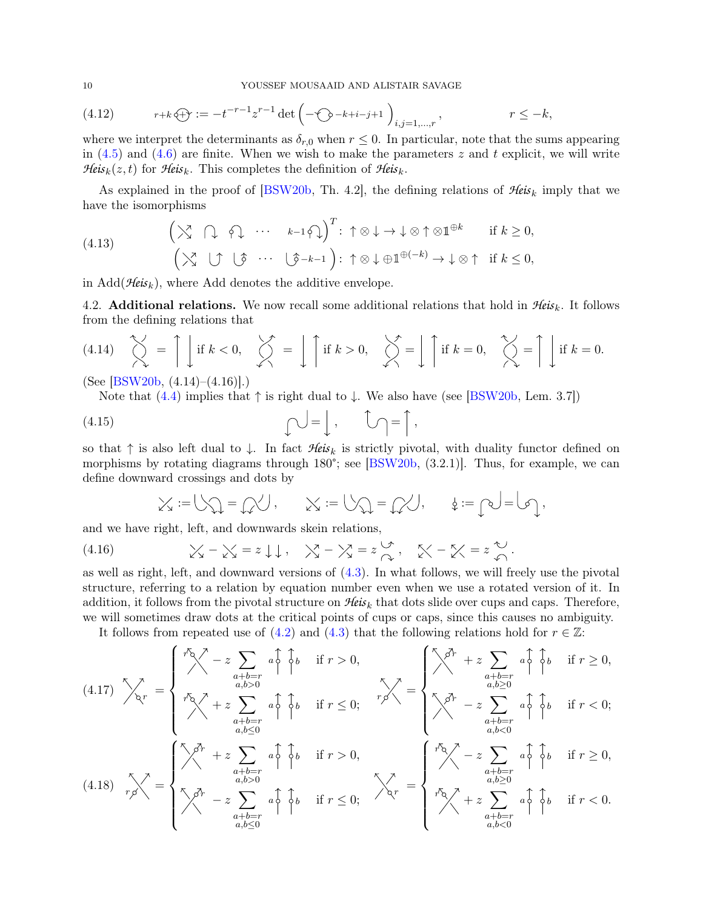(4.12) 
$$
r+k \, \textcircled{+} \, := -t^{-r-1} z^{r-1} \det \left( -\bigcirc \, -k+i-j+1 \right)_{i,j=1,\dots,r}, \qquad r \leq -k,
$$

where we interpret the determinants as  $\delta_{r,0}$  when  $r \leq 0$ . In particular, note that the sums appearing in  $(4.5)$  and  $(4.6)$  are finite. When we wish to make the parameters z and t explicit, we will write *Heis*<sub>k</sub> $(z, t)$  for *Heis*<sub>k</sub>. This completes the definition of *Heis*<sub>k</sub>.

As explained in the proof of  $[BSW20b, Th. 4.2]$ , the defining relations of *Heis*<sub>k</sub> imply that we have the isomorphisms

<span id="page-9-2"></span>(4.13) 
$$
\begin{pmatrix} \searrow & \wedge & \wedge & \cdots & k-1 \land \searrow \end{pmatrix}^T : \uparrow \otimes \downarrow \to \downarrow \otimes \uparrow \otimes 1^{\oplus k} \quad \text{if } k \ge 0,
$$

$$
\begin{pmatrix} \searrow & \vee & \searrow & \cdots & \circ & \searrow & \cdots \end{pmatrix} : \uparrow \otimes \downarrow \oplus 1^{\oplus (-k)} \to \downarrow \otimes \uparrow \quad \text{if } k \le 0,
$$

in  $\text{Add}(\mathcal{H}eis_k)$ , where Add denotes the additive envelope.

4.2. **Additional relations.** We now recall some additional relations that hold in  $\mathcal{H}e^{i s}$ . It follows from the defining relations that

<span id="page-9-0"></span>(4.14) 
$$
\bigotimes_{k=0}^{k-1} \text{ if } k < 0, \bigotimes_{k=0}^{k-1} \text{ if } k > 0, \bigotimes_{k=0}^{k-1} \text{ if } k = 0, \bigotimes_{k=0}^{k-1} \text{ if } k = 0.
$$

(See [\[BSW20b,](#page-34-9) (4.14)–(4.16)].)

Note that  $(4.4)$  implies that  $\uparrow$  is right dual to  $\downarrow$ . We also have (see [\[BSW20b,](#page-34-9) Lem. 3.7])

(4.15) 
$$
\mathbb{C} = \int_{0}^{\infty} \mathbb{C} \mathbb{C} \mathbb{C} \mathbb{C} \mathbb{C} \mathbb{C} \mathbb{C} \mathbb{C} \mathbb{C} \mathbb{C} \mathbb{C} \mathbb{C} \mathbb{C} \mathbb{C} \mathbb{C} \mathbb{C} \mathbb{C} \mathbb{C} \mathbb{C} \mathbb{C} \mathbb{C} \mathbb{C} \mathbb{C} \mathbb{C} \mathbb{C} \mathbb{C} \mathbb{C} \mathbb{C} \mathbb{C} \mathbb{C} \mathbb{C} \mathbb{C} \mathbb{C} \mathbb{C} \mathbb{C} \mathbb{C} \mathbb{C} \mathbb{C} \mathbb{C} \mathbb{C} \mathbb{C} \mathbb{C} \mathbb{C} \mathbb{C} \mathbb{C} \mathbb{C} \mathbb{C} \mathbb{C} \mathbb{C} \mathbb{C} \mathbb{C} \mathbb{C} \mathbb{C} \mathbb{C} \mathbb{C} \mathbb{C} \mathbb{C} \mathbb{C} \mathbb{C} \mathbb{C} \mathbb{C} \mathbb{C} \mathbb{C} \mathbb{C} \mathbb{C} \mathbb{C} \mathbb{C} \mathbb{C} \mathbb{C} \mathbb{C} \mathbb{C} \mathbb{C} \mathbb{C} \mathbb{C} \mathbb{C} \mathbb{C} \mathbb{C} \mathbb{C} \mathbb{C} \mathbb{C} \mathbb{C} \mathbb{C} \mathbb{C} \mathbb{C} \mathbb{C} \mathbb{C} \mathbb{C} \mathbb{C} \mathbb{C} \mathbb{C} \mathbb{C} \mathbb{C} \mathbb{C} \mathbb{C} \mathbb{C} \mathbb{C} \mathbb{C} \mathbb{C} \mathbb{C} \mathbb{C} \mathbb{C} \mathbb{C} \mathbb{C} \mathbb{C} \mathbb{C} \mathbb{C} \mathbb{C} \mathbb{C} \mathbb{C} \mathbb{C} \mathbb{C} \mathbb{C} \mathbb{C} \mathbb{C} \mathbb{C} \mathbb{C} \mathbb{C} \mathbb{C} \mathbb{C} \mathbb{C} \mathbb{C} \mathbb{C} \mathbb{C
$$

so that  $\uparrow$  is also left dual to  $\downarrow$ . In fact *Heis*<sub>k</sub> is strictly pivotal, with duality functor defined on morphisms by rotating diagrams through 180°; see [\[BSW20b,](#page-34-9) (3.2.1)]. Thus, for example, we can define downward crossings and dots by

$$
\text{D} \text{D} = \text{D} \text{D} \text{D} = \text{D} \text{D} \text{D} \text{D}, \qquad \text{D} \text{D} = \text{D} \text{D} \text{D} \text{D} = \text{D} \text{D} \text{D}, \qquad \text{D} \text{D} = \text{D} \text{D} \text{D} \text{D} \text{D},
$$

and we have right, left, and downwards skein relations,

(4.16) 
$$
\chi_{x} - \chi_{y} = z \downarrow \downarrow, \quad \chi_{x}^{x} - \chi_{y}^{x} = z \underset{\curvearrowright}{\downarrow\circ}, \quad \chi_{x}^{x} - \chi_{y}^{x} = z \underset{\curvearrowleft}{\sim}.
$$

as well as right, left, and downward versions of [\(4.3\)](#page-8-1). In what follows, we will freely use the pivotal structure, referring to a relation by equation number even when we use a rotated version of it. In addition, it follows from the pivotal structure on  $\mathcal{H}eis_k$  that dots slide over cups and caps. Therefore, we will sometimes draw dots at the critical points of cups or caps, since this causes no ambiguity.

 $\lambda$ 

It follows from repeated use of [\(4.2\)](#page-8-6) and [\(4.3\)](#page-8-1) that the following relations hold for  $r \in \mathbb{Z}$ :

<span id="page-9-1"></span>
$$
(4.17) \quad \begin{aligned}\n\sqrt{\lambda} &= \begin{cases}\n\sqrt{\lambda} - z \sum_{\substack{a+b=r \\ a,b>0}} a_0^{\uparrow} \phi & \text{if } r>0, \\
\sqrt{\lambda} + z \sum_{\substack{a+b=r \\ a,b<0}} a_0^{\uparrow} \phi & \text{if } r \leq 0; \\
\sqrt{\lambda} + z \sum_{\substack{a+b=r \\ a,b<0}} a_0^{\uparrow} \phi & \text{if } r \leq 0; \\
\sqrt{\lambda} + z \sum_{\substack{a+b=r \\ a,b<0}} a_0^{\uparrow} \phi & \text{if } r > 0,\n\end{cases} \\
(4.18) \quad \begin{aligned}\n\sqrt{\lambda} &= \begin{cases}\n\sqrt{\lambda} + z \sum_{\substack{a+b=r \\ a,b<0}} a_0^{\uparrow} \phi & \text{if } r > 0, \\
\sqrt{\lambda} + z \sum_{\substack{a+b=r \\ a,b>0 \\ a,b<0}} a_0^{\uparrow} \phi & \text{if } r > 0,\n\end{cases} \\
\sqrt{\lambda} &= \begin{cases}\n\sqrt{\lambda} + z \sum_{\substack{a+b=r \\ a,b<0}} a_0^{\uparrow} \phi & \text{if } r \geq 0, \\
\sqrt{\lambda} + z \sum_{\substack{a+b=r \\ a,b<0}} a_0^{\uparrow} \phi & \text{if } r < 0.\n\end{cases}\n\end{aligned}
$$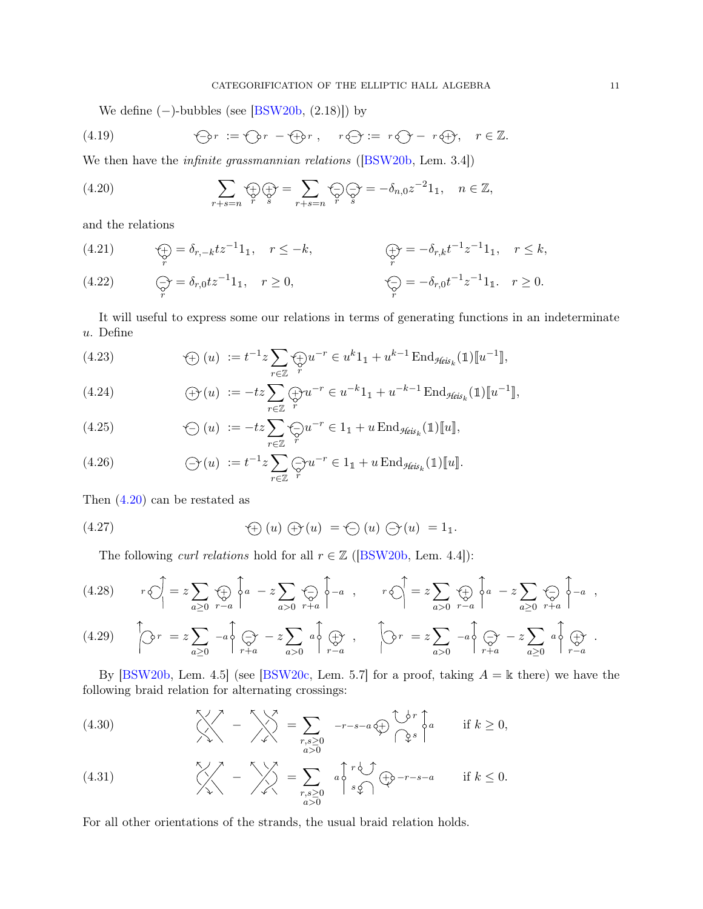<span id="page-10-7"></span>We define  $(-)$ -bubbles (see [\[BSW20b,](#page-34-9)  $(2.18)$ ]) by

(4.19) 
$$
\bigoplus r := \bigoplus r - \bigoplus r, \quad r \bigoplus := r \bigoplus - r \bigoplus, \quad r \in \mathbb{Z}.
$$

We then have the *infinite grassmannian relations* ([\[BSW20b,](#page-34-9) Lem. 3.4])

<span id="page-10-0"></span>(4.20) 
$$
\sum_{r+s=n} \bigoplus_{r} \bigoplus_{s} \bigoplus_{r+s=n} \bigoplus_{r} \bigoplus_{s} \bigoplus_{s} = -\delta_{n,0} z^{-2} 1_{\mathbb{1}}, \quad n \in \mathbb{Z},
$$

and the relations

<span id="page-10-5"></span>(4.21) 
$$
\bigoplus_{r} \phi = \delta_{r,-k} t z^{-1} 1_{\mathbb{1}}, \quad r \leq -k, \qquad \qquad \bigoplus_{r} \phi = -\delta_{r,k} t^{-1} z^{-1} 1_{\mathbb{1}}, \quad r \leq k,
$$

<span id="page-10-6"></span>(4.22) 
$$
\underset{r}{\bigodot} = \delta_{r,0} t z^{-1} 1_1, \quad r \ge 0, \qquad \qquad \underset{r}{\bigodot} = -\delta_{r,0} t^{-1} z^{-1} 1_1. \quad r \ge 0.
$$

It will useful to express some our relations in terms of generating functions in an indeterminate u. Define

<span id="page-10-1"></span>(4.23) 
$$
\qquad \qquad (\pm) \ (u) \ := t^{-1} z \sum_{r \in \mathbb{Z}} \bigoplus_{r} u^{-r} \in u^{k} 1_{\mathbb{1}} + u^{k-1} \operatorname{End}_{\mathcal{H}\acute{e}is_{k}}(\mathbb{1})[\![u^{-1}]\!],
$$

(4.24) 
$$
\textcircled{+}(u) := -tz \sum_{r \in \mathbb{Z}} \bigoplus_{r} u^{-r} \in u^{-k} 1_1 + u^{-k-1} \operatorname{End}_{\mathcal{H}\acute{e}is_k}(\mathbb{1})[u^{-1}],
$$

<span id="page-10-3"></span>(4.25) 
$$
\bigoplus (u) := -tz \sum_{r \in \mathbb{Z}} \bigoplus_{r} u^{-r} \in 1_{1} + u \operatorname{End}_{\mathcal{H}\acute{e}is_{k}}(1)[[u]],
$$

<span id="page-10-2"></span>(4.26) 
$$
\bigoplus(u) := t^{-1} z \sum_{r \in \mathbb{Z}} \bigoplus_{r} u^{-r} \in 1_{\mathbb{1}} + u \operatorname{End}_{\mathcal{H}\acute{eis}_k}(\mathbb{1})[\![u]\!].
$$

Then [\(4.20\)](#page-10-0) can be restated as

(4.27) 
$$
\bigoplus (u) \bigoplus (u) = \bigoplus (u) \bigoplus (u) = 1_1.
$$

The following *curl relations* hold for all  $r \in \mathbb{Z}$  ([\[BSW20b,](#page-34-9) Lem. 4.4]):

<span id="page-10-8"></span>
$$
(4.28) \t\t r \bigcirc \left( z \sum_{a \ge 0} \bigoplus_{r=a} a \bigoplus_{a>0} a \bigoplus_{r+a} a \bigoplus_{a>0} a \bigoplus_{r+a} a \bigoplus_{r+a} r \bigotimes_{a>0} f = z \sum_{a>0} \bigoplus_{r-a} a \bigoplus_{a>0} a \bigoplus_{r+a} f = z \sum_{a \ge 0} \bigoplus_{r+a} f = z \sum_{a \ge 0} f = z \sum_{r+a} f = z \sum_{a \ge 0} f = z \sum_{r+a} f = z \sum_{a \ge 0} f = z \sum_{r+a} f = z \sum_{a \ge 0} f = z \sum_{r+a} f = z \sum_{a \ge 0} f = z \sum_{r+a} f = z \sum_{a \ge 0} f = z \sum_{r+a} f = z \sum_{a \ge 0} f = z \sum_{r+a} f = z \sum_{a \ge 0} f = z \sum_{r+a} f = z \sum_{a \ge 0} f = z \sum_{r+a} f = z \sum_{a \ge 0} f = z \sum_{r+a} f = z \sum_{a \ge 0} f = z \sum_{r+a} f = z \sum_{a \ge 0} f = z \sum_{r+a} f = z \sum_{r+a} f = z \sum_{r+a} f = z \sum_{r+a} f = z \sum_{r+a} f = z \sum_{r+a} f = z \sum_{r+a} f = z \sum_{r+a} f = z \sum_{r+a} f = z \sum_{r+a} f = z \sum_{r+a} f = z \sum_{r+a} f = z \sum_{r+a} f = z \sum_{r+a} f = z \sum_{r+a} f = z \sum_{r+a} f = z \sum_{r+a} f = z \sum_{r+a} f = z \sum_{r+a} f = z \sum_{r+a} f = z \sum_{r+a} f = z \sum_{r+a} f = z \sum_{r+a} f = z \sum_{r+a} f = z \sum_{r+a} f = z \sum_{r+a} f = z \sum_{r+a} f = z \sum_{r+a} f = z \sum_{r+a} f = z \sum_{r+a} f = z \sum_{r+a} f = z \sum_{r+a} f = z \sum_{r+a} f = z \sum_{r+a} f = z \sum_{r+a} f = z \sum_{r+a} f = z \sum_{r+a} f = z \sum_{r+a} f = z \sum_{r+a} f = z \sum_{r+a} f = z \sum_{r+a}
$$

<span id="page-10-4"></span>
$$
(4.29) \qquad \bigg[\mathcal{F} = z \sum_{a \ge 0} -a \bigg] \bigoplus_{r+a} -z \sum_{a > 0} a \bigg] \bigoplus_{r-a} , \qquad \bigg[\mathcal{F} = z \sum_{a > 0} -a \bigg] \bigoplus_{r+a} -z \sum_{a \ge 0} a \bigg] \bigoplus_{r-a} .
$$

By  $[BSW20b, Lem. 4.5]$  (see  $[BSW20c, Lem. 5.7]$  for a proof, taking  $A = \mathbb{k}$  there) we have the following braid relation for alternating crossings:

(4.30) 
$$
\bigvee_{a>0}^{\infty} - \bigvee_{a>0}^{\infty} = \sum_{\substack{r,s \geq 0 \\ a>0}} -r-s-a \bigoplus_{\substack{r,s \geq 0 \\ s \geq 0}} \bigcup_{\substack{r \geq 0 \\ s \geq 0}} r \bigg|_a^s \text{ if } k \geq 0,
$$

(4.31) 
$$
\bigvee_{a>0}^{k} - \bigvee_{a>0}^{k} = \sum_{\substack{r,s \geq 0 \\ a>0}} a \left\{ \int_{s}^{r} \left( \bigvee_{s \in \mathcal{S}} -r-s-a \right) \right\} \text{ if } k \leq 0.
$$

For all other orientations of the strands, the usual braid relation holds.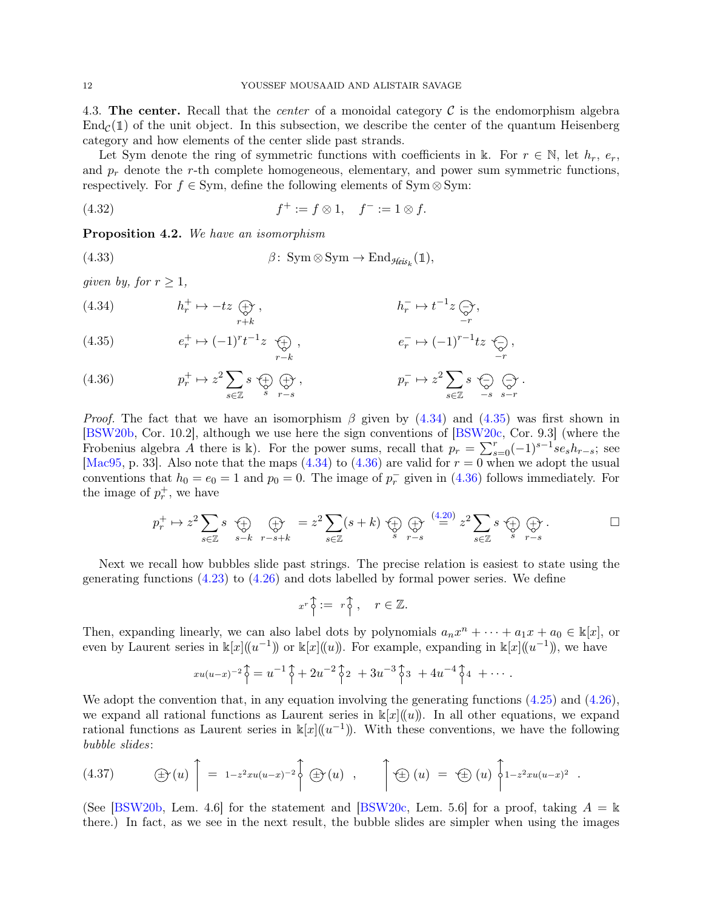4.3. The center. Recall that the *center* of a monoidal category  $\mathcal C$  is the endomorphism algebra  $\text{End}_{\mathcal{C}}(\mathbb{1})$  of the unit object. In this subsection, we describe the center of the quantum Heisenberg category and how elements of the center slide past strands.

Let Sym denote the ring of symmetric functions with coefficients in k. For  $r \in \mathbb{N}$ , let  $h_r$ ,  $e_r$ , and  $p_r$  denote the r-th complete homogeneous, elementary, and power sum symmetric functions, respectively. For  $f \in \text{Sym}$ , define the following elements of Sym $\otimes$  Sym:

<span id="page-11-5"></span><span id="page-11-4"></span>(4.32) 
$$
f^+ := f \otimes 1, \quad f^- := 1 \otimes f.
$$

Proposition 4.2. We have an isomorphism

(4.33) 
$$
\beta\colon \operatorname{Sym} \otimes \operatorname{Sym} \to \operatorname{End}_{\mathcal{H}\acute{e}is_k}(\mathbb{1}),
$$

qiven by, for  $r > 1$ ,

<span id="page-11-0"></span>(4.34) 
$$
h_r^+ \mapsto -tz \underset{r+k}{\longleftrightarrow} , \qquad h_r^- \mapsto t^{-1} z \underset{-r}{\subseteq} ,
$$

<span id="page-11-1"></span>(4.35) 
$$
e_r^+ \mapsto (-1)^r t^{-1} z \quad \underset{r-k}{\longleftrightarrow} \quad e_r^- \mapsto (-1)^{r-1} t z \quad \underset{-r}{\longleftrightarrow} \quad ,
$$

<span id="page-11-2"></span>(4.36) 
$$
p_r^+ \mapsto z^2 \sum_{s \in \mathbb{Z}} s \bigoplus_{s} \bigoplus_{r-s} s, \qquad p_r^- \mapsto z^2 \sum_{s \in \mathbb{Z}} s \bigoplus_{s} \bigoplus_{s-r} s.
$$

*Proof.* The fact that we have an isomorphism  $\beta$  given by [\(4.34\)](#page-11-0) and [\(4.35\)](#page-11-1) was first shown in [\[BSW20b,](#page-34-9) Cor. 10.2], although we use here the sign conventions of [\[BSW20c,](#page-34-14) Cor. 9.3] (where the Frobenius algebra A there is k). For the power sums, recall that  $p_r = \sum_{s=0}^r (-1)^{s-1} s e_s h_{r-s}$ ; see [\[Mac95,](#page-34-18) p. 33]. Also note that the maps  $(4.34)$  to  $(4.36)$  are valid for  $r = 0$  when we adopt the usual conventions that  $h_0 = e_0 = 1$  and  $p_0 = 0$ . The image of  $p_r^-$  given in [\(4.36\)](#page-11-2) follows immediately. For the image of  $p_r^+$ , we have

$$
p_r^+ \mapsto z^2 \sum_{s \in \mathbb{Z}} s \quad \underset{s-k}{\longleftrightarrow} \quad \underset{r-s+k}{\longleftrightarrow} \quad = z^2 \sum_{s \in \mathbb{Z}} (s+k) \quad \underset{s}{\longleftrightarrow} \quad \underset{r-s}{\longleftrightarrow} \quad \overset{(4.20)}{=} z^2 \sum_{s \in \mathbb{Z}} s \quad \underset{s}{\longleftrightarrow} \quad \underset{r-s}{\longleftrightarrow} \quad \square
$$

Next we recall how bubbles slide past strings. The precise relation is easiest to state using the generating functions [\(4.23\)](#page-10-1) to [\(4.26\)](#page-10-2) and dots labelled by formal power series. We define

$$
x^r \stackrel{\frown}{\circ} := r \stackrel{\frown}{\circ}, \quad r \in \mathbb{Z}.
$$

Then, expanding linearly, we can also label dots by polynomials  $a_n x^n + \cdots + a_1 x + a_0 \in \mathbb{k}[x]$ , or even by Laurent series in  $\mathbb{k}[x](u^{-1})$  or  $\mathbb{k}[x](u)$ . For example, expanding in  $\mathbb{k}[x](u^{-1})$ , we have

$$
xu(u-x)^{-2}\hat{\zeta} = u^{-1}\hat{\zeta} + 2u^{-2}\hat{\zeta}^2 + 3u^{-3}\hat{\zeta}^3 + 4u^{-4}\hat{\zeta}^4 + \cdots
$$

We adopt the convention that, in any equation involving the generating functions  $(4.25)$  and  $(4.26)$ , we expand all rational functions as Laurent series in  $\kappa[x](u)$ . In all other equations, we expand rational functions as Laurent series in  $\kappa[x](u^{-1})$ . With these conventions, we have the following bubble slides:

<span id="page-11-3"></span>
$$
(4.37) \qquad \bigoplus (u) \qquad = 1-z^2xu(u-x)^{-2}\n\leftarrow \bigoplus (u) , \qquad \qquad \uparrow \bigoplus (u) = \bigoplus (u) \qquad \qquad \downarrow 1-z^2xu(u-x)^2 .
$$

(See [\[BSW20b,](#page-34-9) Lem. 4.6] for the statement and [\[BSW20c,](#page-34-14) Lem. 5.6] for a proof, taking  $A = \mathbb{k}$ there.) In fact, as we see in the next result, the bubble slides are simpler when using the images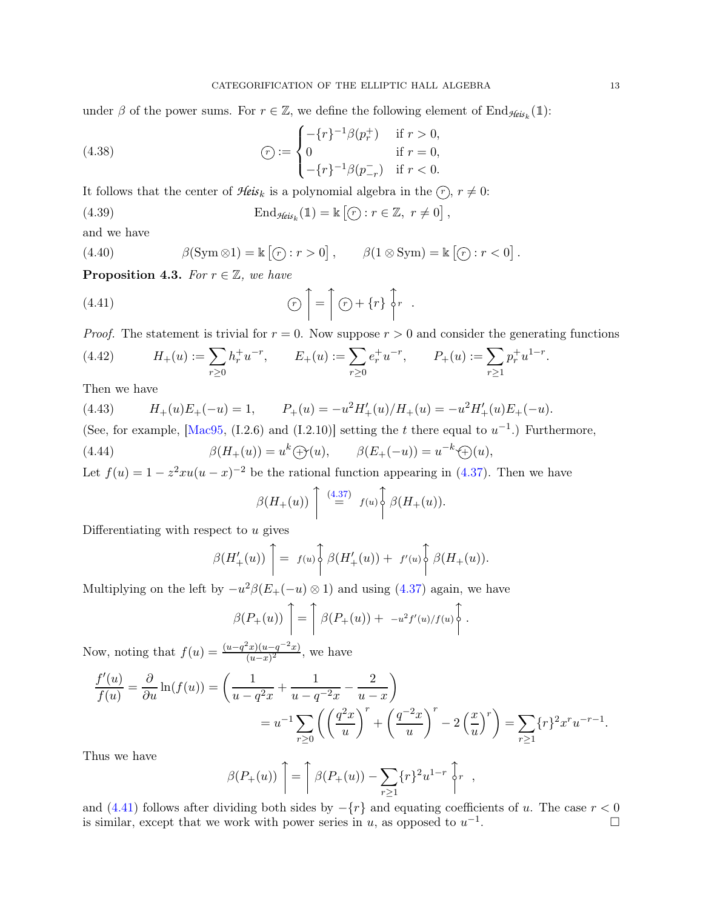under  $\beta$  of the power sums. For  $r \in \mathbb{Z}$ , we define the following element of  $\text{End}_{\mathcal{H}eis_k}(\mathbb{1})$ :

<span id="page-12-1"></span>(4.38) 
$$
\widehat{(r)} := \begin{cases} -\{r\}^{-1} \beta(p_r^+) & \text{if } r > 0, \\ 0 & \text{if } r = 0, \\ -\{r\}^{-1} \beta(p_{-r}^-) & \text{if } r < 0. \end{cases}
$$

It follows that the center of *Heis*<sub>k</sub> is a polynomial algebra in the  $\overline{(r)}$ ,  $r \neq 0$ :

(4.39) 
$$
\operatorname{End}_{\mathcal{H}\acute{e}is_k}(\mathbb{1}) = \mathbb{k} \left[ \mathcal{F} : r \in \mathbb{Z}, \ r \neq 0 \right],
$$

and we have

<span id="page-12-2"></span>(4.40) 
$$
\beta(\text{Sym} \otimes 1) = \mathbb{k} \left[ \text{F} : r > 0 \right], \qquad \beta(1 \otimes \text{Sym}) = \mathbb{k} \left[ \text{F} : r < 0 \right].
$$

**Proposition 4.3.** For  $r \in \mathbb{Z}$ , we have

(4.41) 
$$
\widehat{\mathbb{C}}\bigcap_{r=1}^{\infty} \mathbb{C} \left(\widehat{\mathbb{C}}\right) + \{r\} \bigg\} \mathbb{C}r.
$$

*Proof.* The statement is trivial for  $r = 0$ . Now suppose  $r > 0$  and consider the generating functions

<span id="page-12-3"></span>(4.42) 
$$
H_{+}(u) := \sum_{r \ge 0} h_r^{+} u^{-r}, \qquad E_{+}(u) := \sum_{r \ge 0} e_r^{+} u^{-r}, \qquad P_{+}(u) := \sum_{r \ge 1} p_r^{+} u^{1-r}
$$

Then we have

<span id="page-12-4"></span>(4.43) 
$$
H_{+}(u)E_{+}(-u) = 1, \qquad P_{+}(u) = -u^{2}H'_{+}(u)/H_{+}(u) = -u^{2}H'_{+}(u)E_{+}(-u).
$$

(See, for example, [\[Mac95,](#page-34-18) (I.2.6) and (I.2.10)] setting the t there equal to  $u^{-1}$ .) Furthermore,

(4.44) 
$$
\beta(H_+(u)) = u^k(\beta(u), \qquad \beta(E_+(-u)) = u^{-k}(\beta(u),
$$

Let  $f(u) = 1 - z^2 x u(u - x)^{-2}$  be the rational function appearing in [\(4.37\)](#page-11-3). Then we have

<span id="page-12-5"></span><span id="page-12-0"></span>
$$
\beta(H_+(u))\bigg\uparrow \stackrel{(4.37)}{=} f(u)\bigg\uparrow \beta(H_+(u)).
$$

Differentiating with respect to  $u$  gives

$$
\beta(H'_{+}(u))\bigg\} = f(u)\bigg\{\beta(H'_{+}(u)) + f'(u)\bigg\}\beta(H_{+}(u)).
$$

Multiplying on the left by  $-u^2\beta(E_+(-u)\otimes 1)$  and using [\(4.37\)](#page-11-3) again, we have

$$
\beta(P_+(u))\bigg\} = \bigg\lceil \beta(P_+(u)) + -u^2f'(u)/f(u) \bigg\rceil.
$$

Now, noting that  $f(u) = \frac{(u-q^2x)(u-q^{-2}x)}{(u-x)^2}$  $\frac{x}{(u-x)^2}$ , we have

$$
\frac{f'(u)}{f(u)} = \frac{\partial}{\partial u} \ln(f(u)) = \left(\frac{1}{u - q^2 x} + \frac{1}{u - q^{-2} x} - \frac{2}{u - x}\right)
$$
  
=  $u^{-1} \sum_{r \ge 0} \left( \left(\frac{q^2 x}{u}\right)^r + \left(\frac{q^{-2} x}{u}\right)^r - 2\left(\frac{x}{u}\right)^r \right) = \sum_{r \ge 1} \{r\}^2 x^r u^{-r-1}.$ 

Thus we have

$$
\beta(P_+(u))\bigg) = \bigg(\beta(P_+(u)) - \sum_{r\geq 1} \{r\}^2 u^{1-r} \bigg\} r ,
$$

and [\(4.41\)](#page-12-0) follows after dividing both sides by  $-\{r\}$  and equating coefficients of u. The case  $r < 0$ is similar, except that we work with power series in u, as opposed to  $u^{-1}$ . — Процессиональные производствовались и производствовались и производствовались и производствовались и произ<br>В собстановки производствовались производствовались производствовались производствовались и производствовались

.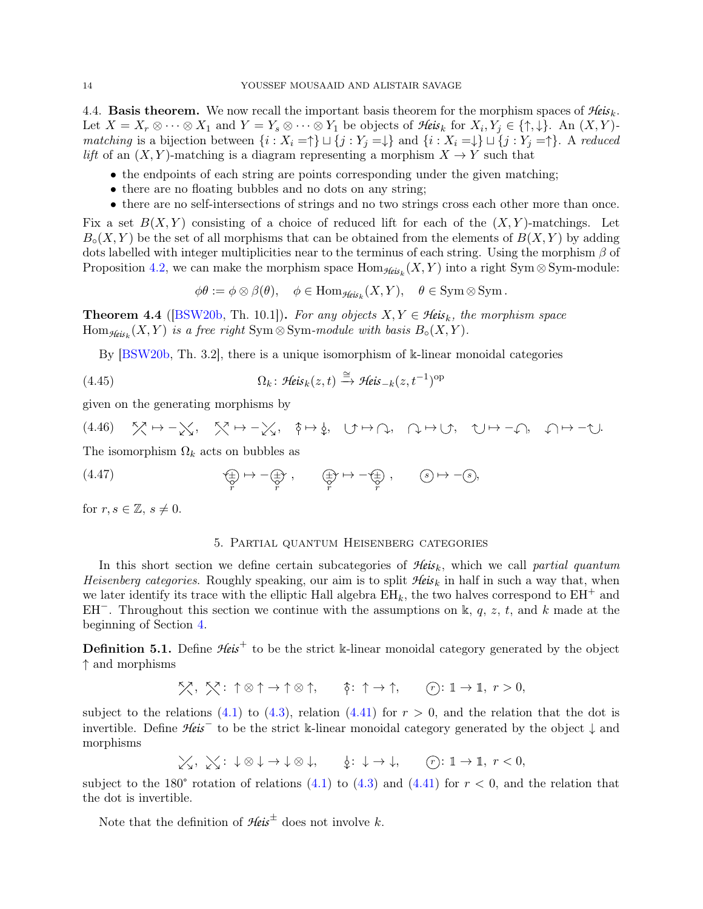4.4. **Basis theorem.** We now recall the important basis theorem for the morphism spaces of  $\mathcal{H}eis_k$ . Let  $X = X_r \otimes \cdots \otimes X_1$  and  $Y = Y_s \otimes \cdots \otimes Y_1$  be objects of *Heis*<sub>k</sub> for  $X_i, Y_j \in \{\uparrow, \downarrow\}$ . An  $(X, Y)$ matching is a bijection between  $\{i : X_i = \uparrow\} \sqcup \{j : Y_j = \downarrow\}$  and  $\{i : X_i = \downarrow\} \sqcup \{j : Y_j = \uparrow\}$ . A reduced lift of an  $(X, Y)$ -matching is a diagram representing a morphism  $X \to Y$  such that

- the endpoints of each string are points corresponding under the given matching;
- there are no floating bubbles and no dots on any string;
- there are no self-intersections of strings and no two strings cross each other more than once.

Fix a set  $B(X, Y)$  consisting of a choice of reduced lift for each of the  $(X, Y)$ -matchings. Let  $B_0(X, Y)$  be the set of all morphisms that can be obtained from the elements of  $B(X, Y)$  by adding dots labelled with integer multiplicities near to the terminus of each string. Using the morphism  $\beta$  of Proposition [4.2,](#page-11-4) we can make the morphism space  $\text{Hom}_{\mathcal{H}$ <sub>eisk</sub> (X, Y) into a right Sym  $\otimes$  Sym-module:

<span id="page-13-3"></span>
$$
\phi\theta := \phi \otimes \beta(\theta), \quad \phi \in \text{Hom}_{\mathcal{H}\text{eis}_k}(X, Y), \quad \theta \in \text{Sym} \otimes \text{Sym}.
$$

<span id="page-13-1"></span>**Theorem 4.4** ([\[BSW20b,](#page-34-9) Th. 10.1]). For any objects  $X, Y \in \mathcal{H}$ eis<sub>k</sub>, the morphism space  $\mathrm{Hom}_{\mathcal{H}\acute{e}is_k}(X,Y)$  is a free right  $\mathrm{Sym}\mathop{\otimes}\mathrm{Sym}\text{-module with basis }B_\circ(X,Y).$ 

By [\[BSW20b,](#page-34-9) Th. 3.2], there is a unique isomorphism of k-linear monoidal categories

(4.45) 
$$
\Omega_k \colon \mathcal{H} \text{eis}_k(z,t) \xrightarrow{\cong} \mathcal{H} \text{eis}_{-k}(z,t^{-1})^{\text{op}}
$$

given on the generating morphisms by

$$
(4.46) \quad \begin{array}{ccc} \nwarrow & \rightarrow -\swarrow, & \nwarrow & \rightarrow -\swarrow, & \uparrow \rightarrow \downarrow, & \downarrow \rightarrow \rightarrow \rightarrow, & \downarrow \rightarrow \rightarrow \rightarrow, & \downarrow \rightarrow -\downarrow, & \downarrow \rightarrow -\uparrow, & \downarrow \rightarrow -\uparrow \downarrow. \end{array}
$$

The isomorphism  $\Omega_k$  acts on bubbles as

(4.47) 
$$
\qquad \qquad (\frac{1}{\varphi}) \mapsto -(\frac{1}{\varphi}) , \qquad \qquad (\frac{1}{\varphi}) \mapsto -(\frac{1}{\varphi}) , \qquad \qquad (s) \mapsto -(\overline{s}),
$$

<span id="page-13-0"></span>for  $r, s \in \mathbb{Z}, s \neq 0$ .

## 5. Partial quantum Heisenberg categories

In this short section we define certain subcategories of  $\mathcal{H}eis_k$ , which we call partial quantum *Heisenberg categories.* Roughly speaking, our aim is to split  $\mathcal{H}eis_k$  in half in such a way that, when we later identify its trace with the elliptic Hall algebra  $EH_k$ , the two halves correspond to  $EH^+$  and EH<sup>-</sup>. Throughout this section we continue with the assumptions on k, q, z, t, and k made at the beginning of Section [4.](#page-8-0)

Definition 5.1. Define  $\mathcal{H}e^{iS}$  to be the strict k-linear monoidal category generated by the object ↑ and morphisms

$$
\text{and } \mathcal{P}, \text{ and } \mathcal{P} : \mathcal{P} \otimes \uparrow \to \uparrow \otimes \uparrow, \qquad \mathcal{P} : \uparrow \to \uparrow, \qquad (r) \colon \mathbb{1} \to \mathbb{1}, \ r > 0,
$$

subject to the relations [\(4.1\)](#page-8-2) to [\(4.3\)](#page-8-1), relation [\(4.41\)](#page-12-0) for  $r > 0$ , and the relation that the dot is invertible. Define *Heis*<sup>−</sup> to be the strict k-linear monoidal category generated by the object ↓ and morphisms

 $\chi, \chi: \downarrow \otimes \downarrow \rightarrow \downarrow \otimes \downarrow, \quad \underline{\downarrow}: \downarrow \rightarrow \downarrow, \quad (r): \mathbb{1} \rightarrow \mathbb{1}, r < 0,$ 

subject to the 180° rotation of relations [\(4.1\)](#page-8-2) to [\(4.3\)](#page-8-1) and [\(4.41\)](#page-12-0) for  $r < 0$ , and the relation that the dot is invertible.

<span id="page-13-2"></span>Note that the definition of  $\mathcal{H}eis^{\pm}$  does not involve k.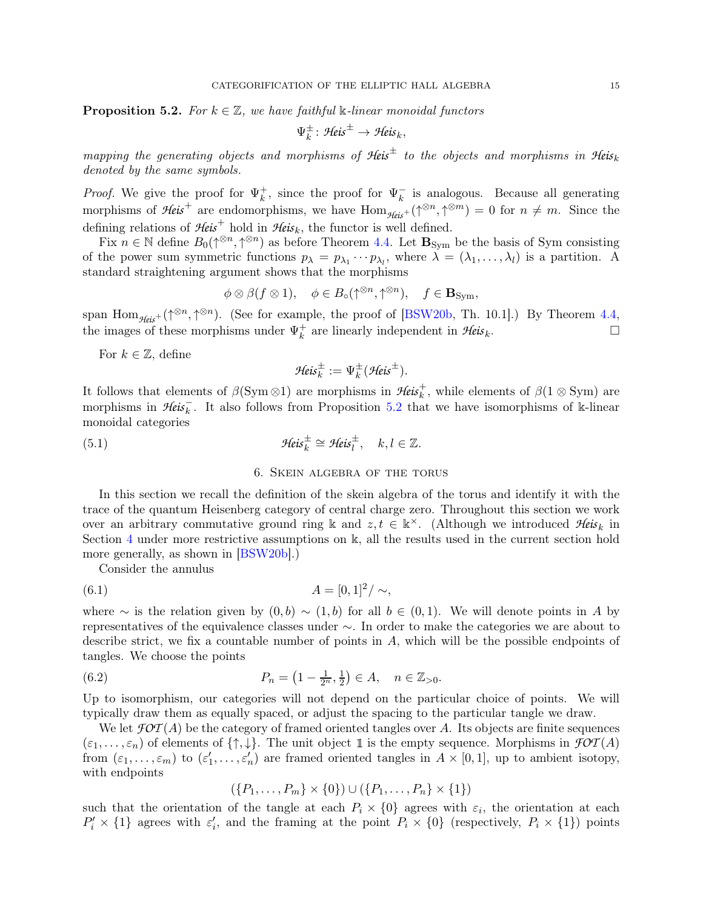**Proposition 5.2.** For  $k \in \mathbb{Z}$ , we have faithful k-linear monoidal functors

$$
\Psi_k^{\pm} \colon \mathcal{H} \text{eis}^{\pm} \to \mathcal{H} \text{eis}_k,
$$

mapping the generating objects and morphisms of *Heis*<sup>±</sup> to the objects and morphisms in *Heis*<sup>k</sup> denoted by the same symbols.

*Proof.* We give the proof for  $\Psi_k^+$  $\frac{1}{k}$ , since the proof for  $\Psi_k^ \overline{k}$  is analogous. Because all generating morphisms of  $\mathcal{H}$ eis<sup>+</sup> are endomorphisms, we have  $\text{Hom}_{\mathcal{H}$ eis<sup>+</sup> ( $\uparrow^{\otimes n}, \uparrow^{\otimes m}$ ) = 0 for  $n \neq m$ . Since the defining relations of  $\mathcal{H}$ eis<sup>+</sup> hold in  $\mathcal{H}$ eis<sub>k</sub>, the functor is well defined.

Fix  $n \in \mathbb{N}$  define  $B_0(\uparrow^{\otimes n}, \uparrow^{\otimes n})$  as before Theorem [4.4.](#page-13-1) Let  $\mathbf{B}_{\text{Sym}}$  be the basis of Sym consisting of the power sum symmetric functions  $p_{\lambda} = p_{\lambda_1} \cdots p_{\lambda_l}$ , where  $\lambda = (\lambda_1, \ldots, \lambda_l)$  is a partition. A standard straightening argument shows that the morphisms

$$
\phi \otimes \beta(f \otimes 1), \quad \phi \in B_{\circ}(\uparrow^{\otimes n}, \uparrow^{\otimes n}), \quad f \in \mathbf{B}_{\text{Sym}},
$$

span Hom<sub>Heis</sub>+( $\uparrow^{\otimes n}$ , $\uparrow^{\otimes n}$ ). (See for example, the proof of [\[BSW20b,](#page-34-9) Th. 10.1].) By Theorem [4.4,](#page-13-1) the images of these morphisms under  $\Psi_k^+$  $\frac{1}{k}$  are linearly independent in *Heis*<sub>k</sub>.

For  $k \in \mathbb{Z}$ , define

$$
\mathcal{H}\!\mathit{eis}^\pm_k := \Psi^\pm_k(\mathcal{H}\!\mathit{eis}^\pm).
$$

It follows that elements of  $\beta(\mathrm{Sym}\otimes 1)$  are morphisms in  $\mathcal{H}eis_k^+$ , while elements of  $\beta(1\otimes \mathrm{Sym})$  are morphisms in *Heis*<sub>k</sub><sup>−</sup>. It also follows from Proposition [5.2](#page-13-2) that we have isomorphisms of k-linear monoidal categories

<span id="page-14-0"></span>(5.1) 
$$
\mathcal{H}\mathit{eis}_{k}^{\pm} \cong \mathcal{H}\mathit{eis}_{l}^{\pm}, \quad k, l \in \mathbb{Z}.
$$

## <span id="page-14-1"></span>6. Skein algebra of the torus

In this section we recall the definition of the skein algebra of the torus and identify it with the trace of the quantum Heisenberg category of central charge zero. Throughout this section we work over an arbitrary commutative ground ring k and  $z, t \in \mathbb{k}^{\times}$ . (Although we introduced *Heisk* in Section [4](#page-8-0) under more restrictive assumptions on  $\mathbb{k}$ , all the results used in the current section hold more generally, as shown in [\[BSW20b\]](#page-34-9).)

Consider the annulus

(6.1) 
$$
A = [0, 1]^2 / \sim,
$$

where ∼ is the relation given by  $(0, b) \sim (1, b)$  for all  $b \in (0, 1)$ . We will denote points in A by representatives of the equivalence classes under ∼. In order to make the categories we are about to describe strict, we fix a countable number of points in A, which will be the possible endpoints of tangles. We choose the points

(6.2) 
$$
P_n = \left(1 - \frac{1}{2^n}, \frac{1}{2}\right) \in A, \quad n \in \mathbb{Z}_{>0}.
$$

Up to isomorphism, our categories will not depend on the particular choice of points. We will typically draw them as equally spaced, or adjust the spacing to the particular tangle we draw.

We let  $\mathcal{F}OT(A)$  be the category of framed oriented tangles over A. Its objects are finite sequences  $(\varepsilon_1,\ldots,\varepsilon_n)$  of elements of  $\{\uparrow,\downarrow\}$ . The unit object 1 is the empty sequence. Morphisms in  $\mathcal{F}OT(A)$ from  $(\varepsilon_1,\ldots,\varepsilon_m)$  to  $(\varepsilon'_1,\ldots,\varepsilon'_n)$  are framed oriented tangles in  $A\times[0,1]$ , up to ambient isotopy, with endpoints

$$
(\{P_1, \ldots, P_m\} \times \{0\}) \cup (\{P_1, \ldots, P_n\} \times \{1\})
$$

such that the orientation of the tangle at each  $P_i \times \{0\}$  agrees with  $\varepsilon_i$ , the orientation at each  $P'_i \times \{1\}$  agrees with  $\varepsilon'_i$ , and the framing at the point  $P_i \times \{0\}$  (respectively,  $P_i \times \{1\}$ ) points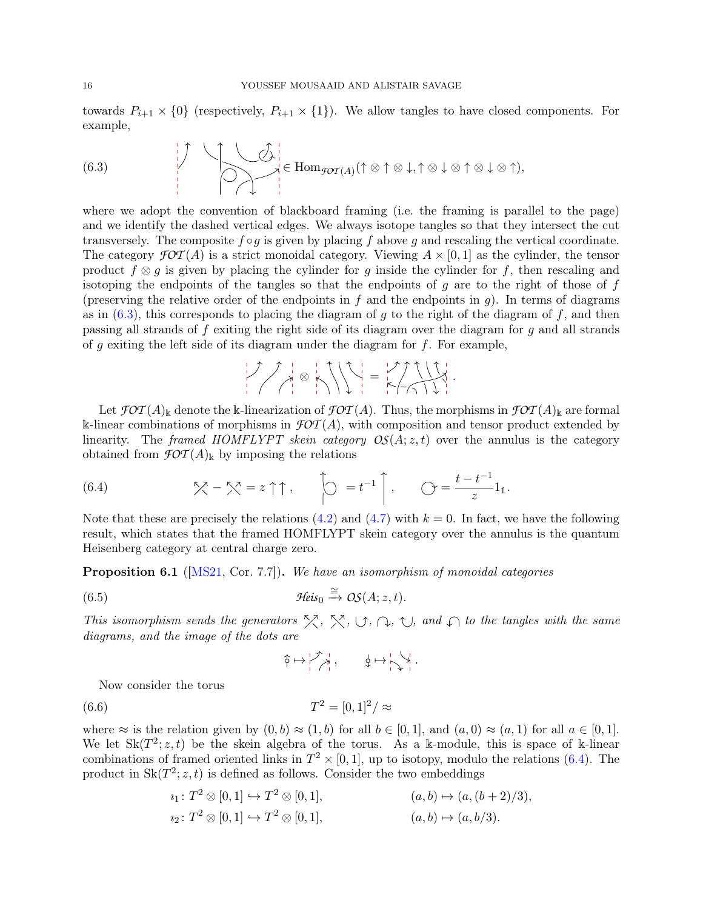towards  $P_{i+1} \times \{0\}$  (respectively,  $P_{i+1} \times \{1\}$ ). We allow tangles to have closed components. For example,

<span id="page-15-0"></span>(6.3) 
$$
\downarrow
$$
 from  $f \circ f(A)$  ( $\uparrow \otimes \uparrow \otimes \downarrow$ ,  $\uparrow \otimes \downarrow \otimes \uparrow \otimes \downarrow$ ,  $\uparrow \otimes \downarrow \otimes \uparrow \otimes \downarrow$ ,  $\uparrow \otimes \downarrow$ 

where we adopt the convention of blackboard framing (i.e. the framing is parallel to the page) and we identify the dashed vertical edges. We always isotope tangles so that they intersect the cut transversely. The composite  $f \circ g$  is given by placing f above g and rescaling the vertical coordinate. The category  $\mathcal{F}OT(A)$  is a strict monoidal category. Viewing  $A \times [0,1]$  as the cylinder, the tensor product  $f \otimes g$  is given by placing the cylinder for g inside the cylinder for f, then rescaling and isotoping the endpoints of the tangles so that the endpoints of  $q$  are to the right of those of  $f$ (preserving the relative order of the endpoints in f and the endpoints in  $g$ ). In terms of diagrams as in  $(6.3)$ , this corresponds to placing the diagram of g to the right of the diagram of f, and then passing all strands of f exiting the right side of its diagram over the diagram for g and all strands of g exiting the left side of its diagram under the diagram for  $f$ . For example,

$$
\mathcal{P}(\mathcal{P}) = \mathcal{P}(\mathcal{P}) = \mathcal{P}(\mathcal{P}) = \mathcal{P}(\mathcal{P}) = \mathcal{P}(\mathcal{P}) = \mathcal{P}(\mathcal{P}) = \mathcal{P}(\mathcal{P}) = \mathcal{P}(\mathcal{P}) = \mathcal{P}(\mathcal{P}) = \mathcal{P}(\mathcal{P}) = \mathcal{P}(\mathcal{P}) = \mathcal{P}(\mathcal{P}) = \mathcal{P}(\mathcal{P}) = \mathcal{P}(\mathcal{P}) = \mathcal{P}(\mathcal{P}) = \mathcal{P}(\mathcal{P}) = \mathcal{P}(\mathcal{P}) = \mathcal{P}(\mathcal{P}) = \mathcal{P}(\mathcal{P}) = \mathcal{P}(\mathcal{P}) = \mathcal{P}(\mathcal{P}) = \mathcal{P}(\mathcal{P}) = \mathcal{P}(\mathcal{P}) = \mathcal{P}(\mathcal{P}) = \mathcal{P}(\mathcal{P}) = \mathcal{P}(\mathcal{P}) = \mathcal{P}(\mathcal{P}) = \mathcal{P}(\mathcal{P}) = \mathcal{P}(\mathcal{P}) = \mathcal{P}(\mathcal{P}) = \mathcal{P}(\mathcal{P}) = \mathcal{P}(\mathcal{P}) = \mathcal{P}(\mathcal{P}) = \mathcal{P}(\mathcal{P}) = \mathcal{P}(\mathcal{P}) = \mathcal{P}(\mathcal{P}) = \mathcal{P}(\mathcal{P}) = \mathcal{P}(\mathcal{P}) = \mathcal{P}(\mathcal{P}) = \mathcal{P}(\mathcal{P}) = \mathcal{P}(\mathcal{P}) = \mathcal{P}(\mathcal{P}) = \mathcal{P}(\mathcal{P}) = \mathcal{P}(\mathcal{P}) = \mathcal{P}(\mathcal{P}) = \mathcal{P}(\mathcal{P}) = \mathcal{P}(\mathcal{P}) = \mathcal{P}(\mathcal{P}) = \mathcal{P}(\mathcal{P}) = \mathcal{P}(\mathcal{P}) = \mathcal{P}(\mathcal{P}) = \mathcal{P}(\mathcal{P}) = \mathcal{P}(\mathcal{P}) = \mathcal{P}(\mathcal{P}) = \mathcal{P}(\mathcal{P}) = \mathcal{P}(\mathcal{P}) = \mathcal{P}(\mathcal{P}) = \mathcal{P}(\mathcal{P}) = \mathcal{P}
$$

Let  $\mathcal{F}OT(A)_{\mathbb{k}}$  denote the k-linearization of  $\mathcal{F}OT(A)$ . Thus, the morphisms in  $\mathcal{F}OT(A)_{\mathbb{k}}$  are formal k-linear combinations of morphisms in  $\mathcal{FOT}(A)$ , with composition and tensor product extended by linearity. The *framed HOMFLYPT skein category*  $\mathcal{OS}(A; z, t)$  over the annulus is the category obtained from  $\mathcal{F}OT(A)_{\mathbb{k}}$  by imposing the relations

<span id="page-15-1"></span>(6.4) 
$$
\mathbb{X} - \mathbb{X} = z \uparrow \uparrow, \qquad \bigcirc = t^{-1} \bigg[ , \qquad \bigcirc = \frac{t - t^{-1}}{z} 1_{\mathbb{I}}.
$$

Note that these are precisely the relations [\(4.2\)](#page-8-6) and [\(4.7\)](#page-8-7) with  $k = 0$ . In fact, we have the following result, which states that the framed HOMFLYPT skein category over the annulus is the quantum Heisenberg category at central charge zero.

<span id="page-15-2"></span>**Proposition 6.1** ([\[MS21,](#page-34-19) Cor. 7.7]). We have an isomorphism of monoidal categories

(6.5) 
$$
\mathcal{H} \text{eis}_0 \xrightarrow{\cong} \mathcal{OS}(A; z, t).
$$

This isomorphism sends the generators  $\[\times, \times, \vee, \cap, \cap, \vee\]$  and  $\cap$  to the tangles with the same diagrams, and the image of the dots are

$$
\varphi\mapsto \begin{bmatrix} \lambda & \lambda \\ \lambda & \lambda \end{bmatrix}, \qquad \varphi\mapsto \begin{bmatrix} \lambda & \lambda \\ \lambda & \lambda \end{bmatrix}.
$$

Now consider the torus

(6.6) 
$$
T^2 = [0, 1]^2 / \approx
$$

where  $\approx$  is the relation given by  $(0, b) \approx (1, b)$  for all  $b \in [0, 1]$ , and  $(a, 0) \approx (a, 1)$  for all  $a \in [0, 1]$ . We let  $Sk(T^2; z, t)$  be the skein algebra of the torus. As a k-module, this is space of k-linear combinations of framed oriented links in  $T^2 \times [0,1]$ , up to isotopy, modulo the relations [\(6.4\)](#page-15-1). The product in  $\text{Sk}(T^2; z, t)$  is defined as follows. Consider the two embeddings

$$
i_1: T^2 \otimes [0,1] \hookrightarrow T^2 \otimes [0,1], \qquad (a,b) \mapsto (a,(b+2)/3),
$$
  

$$
i_2: T^2 \otimes [0,1] \hookrightarrow T^2 \otimes [0,1], \qquad (a,b) \mapsto (a,b/3).
$$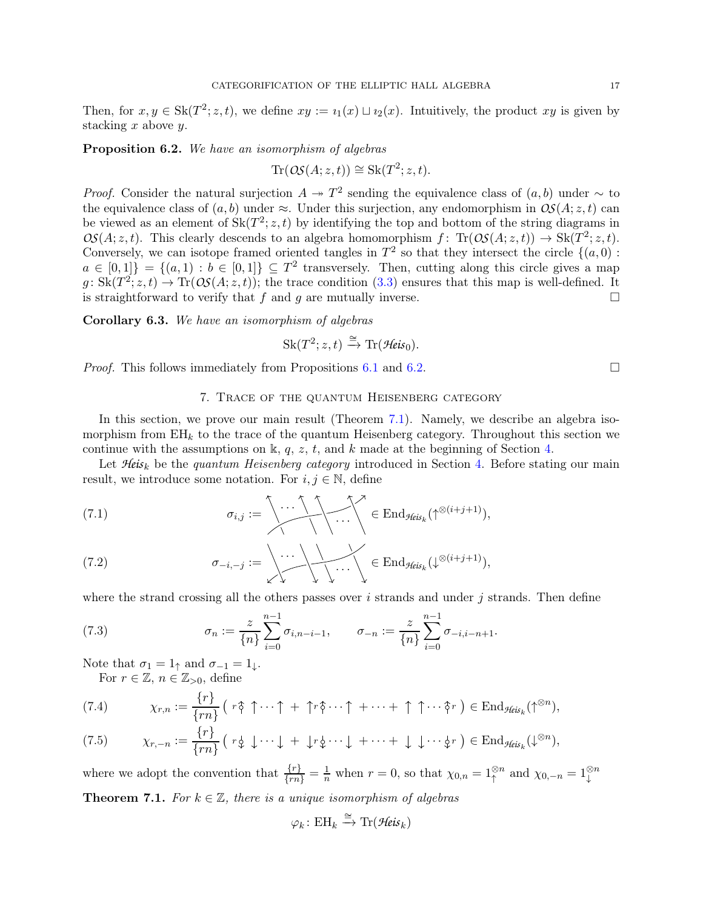<span id="page-16-2"></span>Then, for  $x, y \in Sk(T^2; z, t)$ , we define  $xy := i_1(x) \sqcup i_2(x)$ . Intuitively, the product  $xy$  is given by stacking  $x$  above  $y$ .

Proposition 6.2. We have an isomorphism of algebras

$$
Tr(\mathcal{OS}(A; z, t)) \cong Sk(T^2; z, t).
$$

*Proof.* Consider the natural surjection  $A \rightarrow T^2$  sending the equivalence class of  $(a, b)$  under  $\sim$  to the equivalence class of  $(a, b)$  under  $\approx$ . Under this surjection, any endomorphism in  $\mathcal{OS}(A; z, t)$  can be viewed as an element of  $Sk(T^2; z, t)$  by identifying the top and bottom of the string diagrams in  $\mathcal{OS}(A; z, t)$ . This clearly descends to an algebra homomorphism  $f: \operatorname{Tr}(\mathcal{OS}(A; z, t)) \to \operatorname{Sk}(T^2; z, t)$ . Conversely, we can isotope framed oriented tangles in  $T^2$  so that they intersect the circle  $\{(a, 0) :$  $a \in [0,1]$  =  $\{(a,1) : b \in [0,1]\} \subseteq T^2$  transversely. Then, cutting along this circle gives a map  $g: Sk(T^2; z, t) \to Tr(\mathcal{OS}(A; z, t))$ ; the trace condition [\(3.3\)](#page-6-3) ensures that this map is well-defined. It is straightforward to verify that f and g are mutually inverse.

<span id="page-16-3"></span>Corollary 6.3. We have an isomorphism of algebras

$$
Sk(T^2; z, t) \xrightarrow{\cong} \text{Tr}(\mathcal{H}\text{eis}_0).
$$

<span id="page-16-0"></span>*Proof.* This follows immediately from Propositions [6.1](#page-15-2) and [6.2.](#page-16-2)

# 7. Trace of the quantum Heisenberg category

In this section, we prove our main result (Theorem [7.1\)](#page-16-1). Namely, we describe an algebra isomorphism from  $EH_k$  to the trace of the quantum Heisenberg category. Throughout this section we continue with the assumptions on  $\mathbb{K}$ , q, z, t, and k made at the beginning of Section [4.](#page-8-0)

Let  $\mathcal{H}$ eisk be the quantum Heisenberg category introduced in Section [4.](#page-8-0) Before stating our main result, we introduce some notation. For  $i, j \in \mathbb{N}$ , define

(7.1) 
$$
\sigma_{i,j} := \left\{\dots \left\{\dots \left\{\dots \left\{\dots \left\{\dots \left\{\dots \left\{\dots \left\{\alpha\right\}_{i \in \mathcal{S}_k} \left(\uparrow^{\otimes (i+j+1)}\right), \dots \left\{\dots \left\{\alpha\right\}\right)\right\}\right\}\right\}\right\}
$$

<sup>σ</sup>−i,−<sup>j</sup> := · · · · · · <sup>∈</sup> End*Heis*<sup>k</sup> (↓ <sup>⊗</sup>(i+j+1) (7.2) ),

where the strand crossing all the others passes over  $i$  strands and under  $j$  strands. Then define

(7.3) 
$$
\sigma_n := \frac{z}{\{n\}} \sum_{i=0}^{n-1} \sigma_{i,n-i-1}, \qquad \sigma_{-n} := \frac{z}{\{n\}} \sum_{i=0}^{n-1} \sigma_{-i,i-n+1}.
$$

Note that  $\sigma_1 = 1_\uparrow$  and  $\sigma_{-1} = 1_\downarrow$ . For  $r \in \mathbb{Z}$ ,  $n \in \mathbb{Z}_{>0}$ , define

χr,n := {r} {rn} r · · · + r · · · + · · · + · · · r ∈ End*Heis*<sup>k</sup> (↑ ⊗n (7.4) ),

$$
(7.5) \qquad \chi_{r,-n} := \frac{\{r\}}{\{rn\}} \left( r \cdot \varphi \ \downarrow \cdots \downarrow + \ \downarrow r \cdot \varphi \cdots \downarrow + \cdots + \ \downarrow \ \downarrow \cdots \cdot \varphi \, r \right) \in \text{End}_{\text{Heis}_k}(\downarrow^{\otimes n}),
$$

<span id="page-16-1"></span>where we adopt the convention that  $\frac{\{r\}}{\{rn\}} = \frac{1}{n}$  when  $r = 0$ , so that  $\chi_{0,n} = 1^{\otimes n}_{\uparrow}$  and  $\chi_{0,-n} = 1^{\otimes n}_{\downarrow}$ **Theorem 7.1.** For  $k \in \mathbb{Z}$ , there is a unique isomorphism of algebras

$$
\varphi_k\colon \mathrm{EH}_k\xrightarrow{\cong}\mathrm{Tr}(\mathcal{H}\mathrm{eis}_k)
$$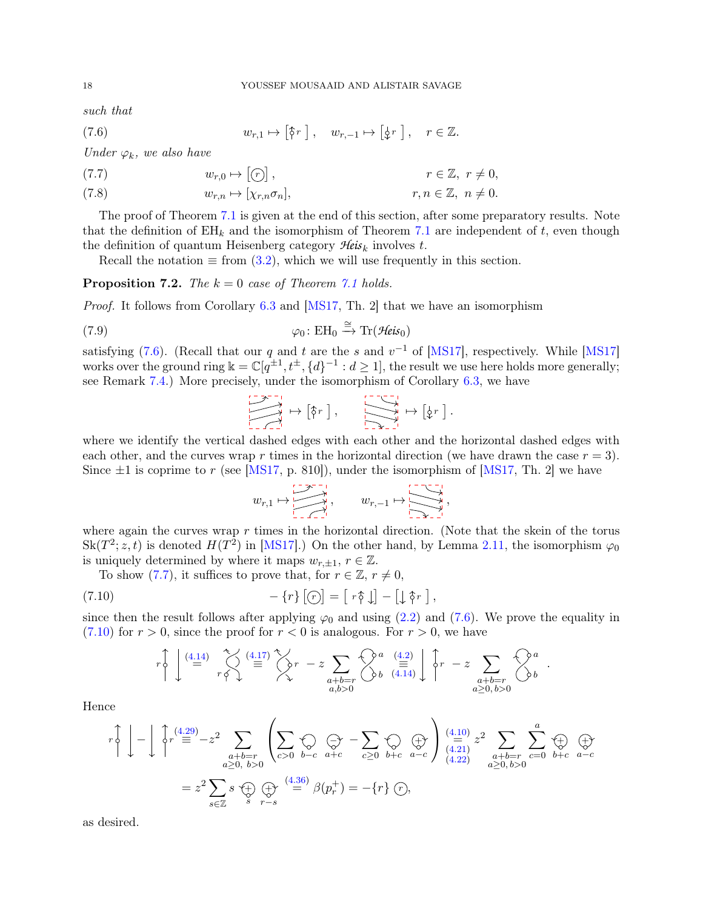such that

<span id="page-17-0"></span>(7.6) 
$$
w_{r,1} \mapsto [\hat{\zeta}^r], \quad w_{r,-1} \mapsto [\hat{\zeta}^r], \quad r \in \mathbb{Z}.
$$

Under  $\varphi_k$ , we also have

<span id="page-17-3"></span><span id="page-17-1"></span>(7.7) 
$$
w_{r,0} \mapsto [\overline{r}]; \qquad r \in \mathbb{Z}, r \neq 0,
$$

$$
w_{r,n} \mapsto [\chi_{r,n} \sigma_n], \qquad r, n \in \mathbb{Z}, n \neq 0.
$$

The proof of Theorem [7.1](#page-16-1) is given at the end of this section, after some preparatory results. Note that the definition of  $EH_k$  and the isomorphism of Theorem [7.1](#page-16-1) are independent of t, even though the definition of quantum Heisenberg category  $\mathcal{H}$ eis<sub>k</sub> involves t.

<span id="page-17-4"></span>Recall the notation  $\equiv$  from [\(3.2\)](#page-6-4), which we will use frequently in this section.

**Proposition 7.2.** The  $k = 0$  case of Theorem [7.1](#page-16-1) holds.

Proof. It follows from Corollary [6.3](#page-16-3) and [\[MS17,](#page-34-11) Th. 2] that we have an isomorphism

(7.9) 
$$
\varphi_0: EH_0 \stackrel{\cong}{\to} \text{Tr}(\mathcal{H} \text{eis}_0)
$$

satisfying [\(7.6\)](#page-17-0). (Recall that our q and t are the s and  $v^{-1}$  of [\[MS17\]](#page-34-11), respectively. While [MS17] works over the ground ring  $\Bbbk = \mathbb{C}[q^{\pm 1}, t^{\pm}, \{d\}^{-1} : d \ge 1]$ , the result we use here holds more generally; see Remark [7.4.](#page-18-0)) More precisely, under the isomorphism of Corollary [6.3,](#page-16-3) we have

$$
\overrightarrow{\mathcal{C}}\rightarrow\mathcal{C}
$$
\n
$$
\overrightarrow{\mathcal{C}}
$$
\n
$$
\overrightarrow{\mathcal{C}}
$$
\n
$$
\overrightarrow{\mathcal{C}}
$$
\n
$$
\overrightarrow{\mathcal{C}}
$$
\n
$$
\overrightarrow{\mathcal{C}}
$$
\n
$$
\overrightarrow{\mathcal{C}}
$$
\n
$$
\overrightarrow{\mathcal{C}}
$$
\n
$$
\overrightarrow{\mathcal{C}}
$$
\n
$$
\overrightarrow{\mathcal{C}}
$$
\n
$$
\overrightarrow{\mathcal{C}}
$$
\n
$$
\overrightarrow{\mathcal{C}}
$$
\n
$$
\overrightarrow{\mathcal{C}}
$$
\n
$$
\overrightarrow{\mathcal{C}}
$$
\n
$$
\overrightarrow{\mathcal{C}}
$$
\n
$$
\overrightarrow{\mathcal{C}}
$$
\n
$$
\overrightarrow{\mathcal{C}}
$$
\n
$$
\overrightarrow{\mathcal{C}}
$$
\n
$$
\overrightarrow{\mathcal{C}}
$$
\n
$$
\overrightarrow{\mathcal{C}}
$$
\n
$$
\overrightarrow{\mathcal{C}}
$$
\n
$$
\overrightarrow{\mathcal{C}}
$$
\n
$$
\overrightarrow{\mathcal{C}}
$$
\n
$$
\overrightarrow{\mathcal{C}}
$$
\n
$$
\overrightarrow{\mathcal{C}}
$$
\n
$$
\overrightarrow{\mathcal{C}}
$$
\n
$$
\overrightarrow{\mathcal{C}}
$$
\n
$$
\overrightarrow{\mathcal{C}}
$$
\n
$$
\overrightarrow{\mathcal{C}}
$$
\n
$$
\overrightarrow{\mathcal{C}}
$$
\n
$$
\overrightarrow{\mathcal{C}}
$$
\n
$$
\overrightarrow{\mathcal{C}}
$$
\n
$$
\overrightarrow{\mathcal{C}}
$$
\n
$$
\overrightarrow{\mathcal{C}}
$$
\n
$$
\overrightarrow{\mathcal{C}}
$$
\n
$$
\overrightarrow{\mathcal{C}}
$$
\n
$$
\overrightarrow{\mathcal{C}}
$$
\n
$$
\overrightarrow{\mathcal{C}}
$$
\n
$$
\overrightarrow{\mathcal{C}}
$$
\n
$$
\overrightarrow{\mathcal{C}}
$$
\n
$$
\overrightarrow{\mathcal{C}}
$$
\n
$$
\overrightarrow{\mathcal{C}}
$$
\n
$$
\overrightarrow{\mathcal{C}}
$$
\n
$$
\overrightarrow{\mathcal{C}}
$$
\n
$$
\overrightarrow{\
$$

where we identify the vertical dashed edges with each other and the horizontal dashed edges with each other, and the curves wrap r times in the horizontal direction (we have drawn the case  $r = 3$ ). Since  $\pm 1$  is coprime to r (see [\[MS17,](#page-34-11) p. 810]), under the isomorphism of [MS17, Th. 2] we have

<span id="page-17-2"></span>
$$
w_{r,1} \mapsto \underbrace{\overbrace{\qquad \qquad }^{r-r}_{\qquad \qquad }}, \qquad w_{r,-1} \mapsto \underbrace{\overbrace{\qquad \qquad }^{r-r-1}_{\qquad \qquad \qquad }},
$$

where again the curves wrap  $r$  times in the horizontal direction. (Note that the skein of the torus  $\text{Sk}(T^2; z, t)$  is denoted  $H(T^2)$  in [\[MS17\]](#page-34-11).) On the other hand, by Lemma [2.11,](#page-5-1) the isomorphism  $\varphi_0$ is uniquely determined by where it maps  $w_{r,\pm 1}$ ,  $r \in \mathbb{Z}$ .

To show [\(7.7\)](#page-17-1), it suffices to prove that, for  $r \in \mathbb{Z}$ ,  $r \neq 0$ ,

(7.10) 
$$
-\left\{r\right\}\left[\circlearrowright]\right]=\left[\begin{array}{c}\r\circ\varphi\downarrow\end{array}\right]-\left[\downarrow\uparrow r\right]
$$

since then the result follows after applying  $\varphi_0$  and using [\(2.2\)](#page-2-2) and [\(7.6\)](#page-17-0). We prove the equality in  $(7.10)$  for  $r > 0$ , since the proof for  $r < 0$  is analogous. For  $r > 0$ , we have

,

$$
r \left\{\n\begin{array}{c}\n\begin{pmatrix}\n(4.14) & \stackrel{\sim}{\sim} \\
\end{pmatrix}\n\begin{array}{c}\n\begin{pmatrix}\n4.17 \\
\equiv \\
\end{pmatrix}\n\end{array}\n\end{array}\n\right\} r - z \sum_{a+b=r} \left\{\n\begin{array}{c}\n\begin{pmatrix}\na & (4.2) \\
\equiv \\
b & (4.14)\n\end{pmatrix}\n\end{array}\n\right\} r - z \sum_{\substack{a+b=r \\
a \ge 0, b > 0}\n\end{array}\n\right\} e^n.
$$

Hence

$$
r \left\{\n\begin{array}{c}\n\downarrow \\
\downarrow\n\end{array}\n\right.\n\left.\n\begin{array}{c}\n\downarrow \\
\downarrow\n\end{array}\n\right.\n\left\{\n\begin{array}{c}\n\downarrow \\
\downarrow\n\end{array}\n\right.\n\left\{\n\begin{array}{c}\n\downarrow \\
\downarrow\n\end{array}\n\right.\n\left\{\n\begin{array}{c}\n\downarrow \\
\downarrow\n\end{array}\n\right.\n\left\{\n\begin{array}{c}\n\downarrow \\
\downarrow\n\end{array}\n\right.\n\left\{\n\begin{array}{c}\n\downarrow \\
\downarrow\n\end{array}\n\right.\n\left\{\n\begin{array}{c}\n\downarrow \\
\downarrow\n\end{array}\n\right.\n\right.\n\left\{\n\begin{array}{c}\n\downarrow \\
\downarrow\n\end{array}\n\right.\n\left\{\n\begin{array}{c}\n\downarrow \\
\downarrow\n\end{array}\n\right.\n\left\{\n\begin{array}{c}\n\downarrow \\
\downarrow\n\end{array}\n\right.\n\left\{\n\begin{array}{c}\n\downarrow \\
\downarrow\n\end{array}\n\right.\n\left\{\n\begin{array}{c}\n\downarrow \\
\downarrow\n\end{array}\n\right.\n\left\{\n\begin{array}{c}\n\downarrow \\
\downarrow\n\end{array}\n\right.\n\right.\n\left\{\n\begin{array}{c}\n\downarrow \\
\downarrow\n\end{array}\n\right.\n\left\{\n\begin{array}{c}\n\downarrow \\
\downarrow\n\end{array}\n\right.\n\left\{\n\begin{array}{c}\n\downarrow \\
\downarrow\n\end{array}\n\right.\n\left\{\n\begin{array}{c}\n\downarrow \\
\downarrow\n\end{array}\n\right.\n\left\{\n\begin{array}{c}\n\downarrow \\
\downarrow\n\end{array}\n\right.\n\left\{\n\begin{array}{c}\n\downarrow \\
\downarrow\n\end{array}\n\right.\n\left\{\n\begin{array}{c}\n\downarrow \\
\downarrow\n\end{array}\n\right.\n\left\{\n\begin{array}{c}\n\downarrow \\
\downarrow\n\end{array}\n\right.\n\left\{\n\begin{array}{c}\n\downarrow \\
\downarrow\n\end{array}\n\right.\n\left\{\n\begin{array}{c}\n\downarrow \\
\downarrow\n\end{array}\n\right.\n\left\{\n\begin
$$

as desired.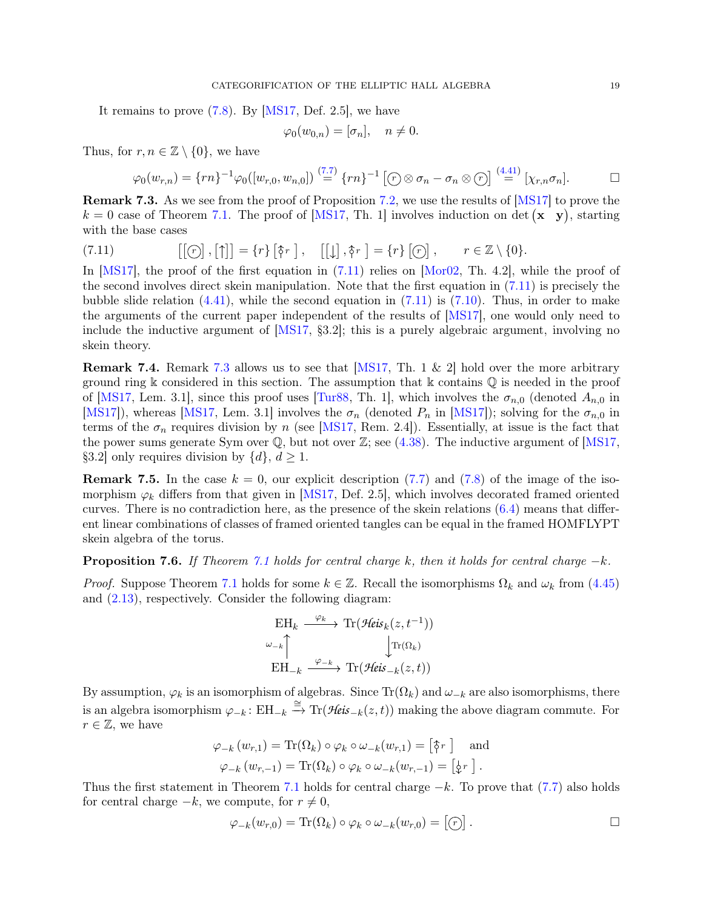It remains to prove  $(7.8)$ . By [\[MS17,](#page-34-11) Def. 2.5], we have

$$
\varphi_0(w_{0,n}) = [\sigma_n], \quad n \neq 0.
$$

Thus, for  $r, n \in \mathbb{Z} \setminus \{0\}$ , we have

<span id="page-18-1"></span>
$$
\varphi_0(w_{r,n}) = \{rn\}^{-1} \varphi_0([w_{r,0}, w_{n,0}]) \stackrel{(7.7)}{=} \{rn\}^{-1} \left[\textcircled{r} \otimes \sigma_n - \sigma_n \otimes \textcircled{r}\right] \stackrel{(4.41)}{=} [\chi_{r,n} \sigma_n]. \qquad \Box
$$

<span id="page-18-2"></span>Remark 7.3. As we see from the proof of Proposition [7.2,](#page-17-4) we use the results of [\[MS17\]](#page-34-11) to prove the  $k = 0$  case of Theorem [7.1.](#page-16-1) The proof of [\[MS17,](#page-34-11) Th. 1] involves induction on det  $(\mathbf{x}^T \mathbf{y})$ , starting with the base cases

(7.11) 
$$
[[\textcircled{r}],[\uparrow]] = \{r\} [\hat{\varphi}r], \quad [[\downarrow], \hat{\varphi}r] = \{r\} [\textcircled{r}], \quad r \in \mathbb{Z} \setminus \{0\}.
$$

In  $[MS17]$ , the proof of the first equation in  $(7.11)$  relies on  $[Mor02, Th. 4.2]$ , while the proof of the second involves direct skein manipulation. Note that the first equation in [\(7.11\)](#page-18-1) is precisely the bubble slide relation  $(4.41)$ , while the second equation in  $(7.11)$  is  $(7.10)$ . Thus, in order to make the arguments of the current paper independent of the results of [\[MS17\]](#page-34-11), one would only need to include the inductive argument of [\[MS17,](#page-34-11) §3.2]; this is a purely algebraic argument, involving no skein theory.

<span id="page-18-0"></span>**Remark 7.4.** Remark [7.3](#page-18-2) allows us to see that [\[MS17,](#page-34-11) Th. 1 & 2] hold over the more arbitrary ground ring  $\Bbbk$  considered in this section. The assumption that  $\Bbbk$  contains  $\Bbb{Q}$  is needed in the proof of [\[MS17,](#page-34-11) Lem. 3.1], since this proof uses [\[Tur88,](#page-35-1) Th. 1], which involves the  $\sigma_{n,0}$  (denoted  $A_{n,0}$  in [\[MS17\]](#page-34-11)), whereas [\[MS17,](#page-34-11) Lem. 3.1] involves the  $\sigma_n$  (denoted  $P_n$  in [\[MS17\]](#page-34-11)); solving for the  $\sigma_{n,0}$  in terms of the  $\sigma_n$  requires division by n (see [\[MS17,](#page-34-11) Rem. 2.4]). Essentially, at issue is the fact that the power sums generate Sym over  $\mathbb{Q}$ , but not over  $\mathbb{Z}$ ; see [\(4.38\)](#page-12-1). The inductive argument of [\[MS17,](#page-34-11) §3.2] only requires division by  $\{d\}, d \geq 1$ .

**Remark 7.5.** In the case  $k = 0$ , our explicit description [\(7.7\)](#page-17-1) and [\(7.8\)](#page-17-3) of the image of the isomorphism  $\varphi_k$  differs from that given in [\[MS17,](#page-34-11) Def. 2.5], which involves decorated framed oriented curves. There is no contradiction here, as the presence of the skein relations  $(6.4)$  means that different linear combinations of classes of framed oriented tangles can be equal in the framed HOMFLYPT skein algebra of the torus.

<span id="page-18-3"></span>**Proposition 7.6.** If Theorem [7.1](#page-16-1) holds for central charge k, then it holds for central charge  $-k$ .

*Proof.* Suppose Theorem [7.1](#page-16-1) holds for some  $k \in \mathbb{Z}$ . Recall the isomorphisms  $\Omega_k$  and  $\omega_k$  from [\(4.45\)](#page-13-3) and [\(2.13\)](#page-4-7), respectively. Consider the following diagram:

$$
\operatorname{EH}_k \xrightarrow{\varphi_k} \operatorname{Tr}(\mathcal{H}\mathit{eis}_k(z, t^{-1}))
$$
  

$$
\downarrow^{\varphi_{-k}} \qquad \qquad \downarrow^{\varphi_{\text{fix}}} (\Omega_k)
$$
  

$$
\operatorname{EH}_{-k} \xrightarrow{\varphi_{-k}} \operatorname{Tr}(\mathcal{H}\mathit{eis}_{-k}(z, t))
$$

By assumption,  $\varphi_k$  is an isomorphism of algebras. Since Tr( $\Omega_k$ ) and  $\omega_{-k}$  are also isomorphisms, there is an algebra isomorphism  $\varphi_{-k}$ : EH<sub>−k</sub>  $\xrightarrow{\cong}$  Tr(*Heis*<sub>−k</sub>(z, t)) making the above diagram commute. For  $r \in \mathbb{Z}$ , we have

$$
\varphi_{-k}(w_{r,1}) = \text{Tr}(\Omega_k) \circ \varphi_k \circ \omega_{-k}(w_{r,1}) = \begin{bmatrix} \hat{\gamma}r \\ \hat{\gamma}r \end{bmatrix} \text{ and}
$$

$$
\varphi_{-k}(w_{r,-1}) = \text{Tr}(\Omega_k) \circ \varphi_k \circ \omega_{-k}(w_{r,-1}) = \begin{bmatrix} \hat{\zeta}r \\ \hat{\zeta}r \end{bmatrix}.
$$

Thus the first statement in Theorem [7.1](#page-16-1) holds for central charge  $-k$ . To prove that [\(7.7\)](#page-17-1) also holds for central charge  $-k$ , we compute, for  $r \neq 0$ ,

$$
\varphi_{-k}(w_{r,0}) = \text{Tr}(\Omega_k) \circ \varphi_k \circ \omega_{-k}(w_{r,0}) = [\textcircled{r}].
$$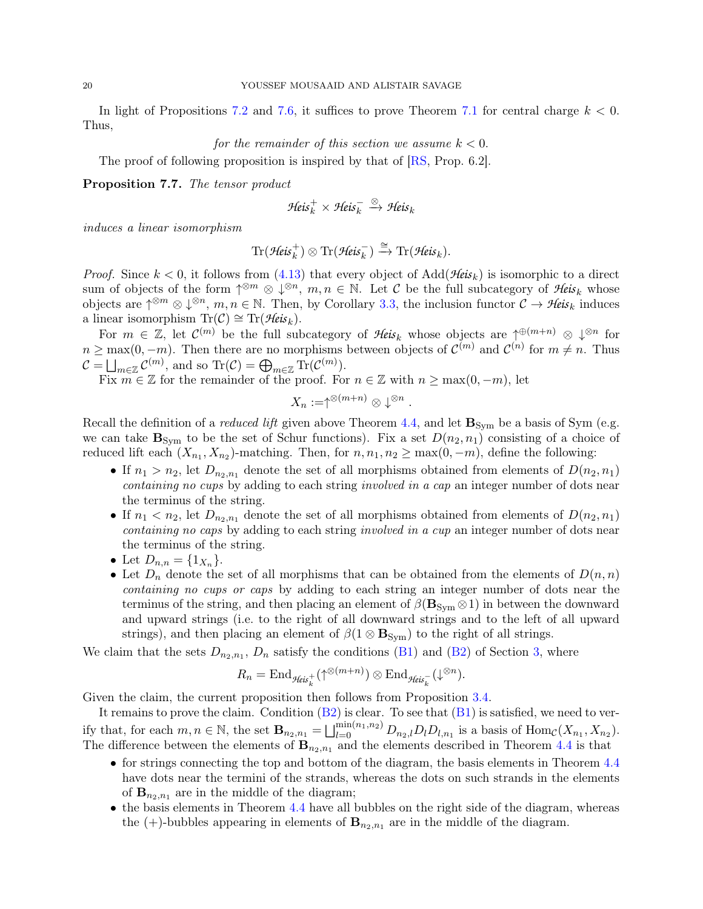In light of Propositions [7.2](#page-17-4) and [7.6,](#page-18-3) it suffices to prove Theorem [7.1](#page-16-1) for central charge  $k < 0$ . Thus,

for the remainder of this section we assume  $k < 0$ .

<span id="page-19-0"></span>The proof of following proposition is inspired by that of  $[RS, Prop. 6.2]$ .

Proposition 7.7. The tensor product

$$
\mathcal{H}\!\text{eis}_k^+ \times \mathcal{H}\!\text{eis}_k^- \xrightarrow{\otimes} \mathcal{H}\!\text{eis}_k
$$

induces a linear isomorphism

$$
\text{Tr}(\mathcal{H}\text{eis}_k^+) \otimes \text{Tr}(\mathcal{H}\text{eis}_k^-) \xrightarrow{\cong} \text{Tr}(\mathcal{H}\text{eis}_k).
$$

*Proof.* Since  $k < 0$ , it follows from [\(4.13\)](#page-9-2) that every object of Add(*Heis*<sub>k</sub>) is isomorphic to a direct sum of objects of the form  $\uparrow^{\otimes m} \otimes \downarrow^{\otimes n}$ ,  $m, n \in \mathbb{N}$ . Let C be the full subcategory of *Heis*<sub>k</sub> whose objects are  $\uparrow^{\otimes m} \otimes \downarrow^{\otimes n}$ ,  $m, n \in \mathbb{N}$ . Then, by Corollary [3.3,](#page-7-1) the inclusion functor  $\mathcal{C} \to \mathcal{H}$ eis<sub>k</sub> induces a linear isomorphism  $\text{Tr}(\mathcal{C}) \cong \text{Tr}(\mathcal{H} \text{eis}_k)$ .

For  $m \in \mathbb{Z}$ , let  $\mathcal{C}^{(m)}$  be the full subcategory of *Heis*<sub>k</sub> whose objects are  $\uparrow^{\oplus (m+n)} \otimes \downarrow^{\otimes n}$  for  $n \ge \max(0, -m)$ . Then there are no morphisms between objects of  $\mathcal{C}^{(m)}$  and  $\mathcal{C}^{(n)}$  for  $m \ne n$ . Thus  $\mathcal{C} = \bigsqcup_{m \in \mathbb{Z}} \mathcal{C}^{(m)}$ , and so  $\text{Tr}(\mathcal{C}) = \bigoplus_{m \in \mathbb{Z}} \text{Tr}(\mathcal{C}^{(m)})$ .

Fix  $m \in \mathbb{Z}$  for the remainder of the proof. For  $n \in \mathbb{Z}$  with  $n \geq \max(0, -m)$ , let

$$
X_n:=\uparrow^{\otimes (m+n)}\otimes\downarrow^{\otimes n}.
$$

Recall the definition of a *reduced lift* given above Theorem [4.4,](#page-13-1) and let  $\mathbf{B}_{\text{Sym}}$  be a basis of Sym (e.g. we can take  $\mathbf{B}_{\text{Sym}}$  to be the set of Schur functions). Fix a set  $D(n_2, n_1)$  consisting of a choice of reduced lift each  $(X_{n_1}, X_{n_2})$ -matching. Then, for  $n, n_1, n_2 \ge \max(0, -m)$ , define the following:

- If  $n_1 > n_2$ , let  $D_{n_2,n_1}$  denote the set of all morphisms obtained from elements of  $D(n_2, n_1)$ containing no cups by adding to each string involved in a cap an integer number of dots near the terminus of the string.
- If  $n_1 < n_2$ , let  $D_{n_2,n_1}$  denote the set of all morphisms obtained from elements of  $D(n_2, n_1)$ containing no caps by adding to each string involved in a cup an integer number of dots near the terminus of the string.
- Let  $D_{n,n} = \{1_{X_n}\}.$
- Let  $D_n$  denote the set of all morphisms that can be obtained from the elements of  $D(n,n)$ containing no cups or caps by adding to each string an integer number of dots near the terminus of the string, and then placing an element of  $\beta(\mathbf{B}_{Sym} \otimes 1)$  in between the downward and upward strings (i.e. to the right of all downward strings and to the left of all upward strings), and then placing an element of  $\beta(1 \otimes \mathbf{B}_{\text{Sym}})$  to the right of all strings.

We claim that the sets  $D_{n_2,n_1}, D_n$  satisfy the conditions [\(B1\)](#page-7-2) and [\(B2\)](#page-7-3) of Section [3,](#page-6-0) where

$$
R_n = \mathrm{End}_{\mathcal{H}eis_k^+}(\uparrow^{\otimes (m+n)}) \otimes \mathrm{End}_{\mathcal{H}eis_k^-}(\downarrow^{\otimes n}).
$$

Given the claim, the current proposition then follows from Proposition [3.4.](#page-7-4)

It remains to prove the claim. Condition  $(B2)$  is clear. To see that  $(B1)$  is satisfied, we need to verify that, for each  $m, n \in \mathbb{N}$ , the set  $\mathbf{B}_{n_2,n_1} = \bigsqcup_{l=0}^{\min(n_1,n_2)} D_{n_2,l} D_l D_{l,n_1}$  is a basis of  $\text{Hom}_{\mathcal{C}}(X_{n_1}, X_{n_2})$ . The difference between the elements of  $\mathbf{B}_{n_2,n_1}$  and the elements described in Theorem [4.4](#page-13-1) is that

- for strings connecting the top and bottom of the diagram, the basis elements in Theorem [4.4](#page-13-1) have dots near the termini of the strands, whereas the dots on such strands in the elements of  **are in the middle of the diagram;**
- the basis elements in Theorem [4.4](#page-13-1) have all bubbles on the right side of the diagram, whereas the  $(+)$ -bubbles appearing in elements of  $\mathbf{B}_{n_2,n_1}$  are in the middle of the diagram.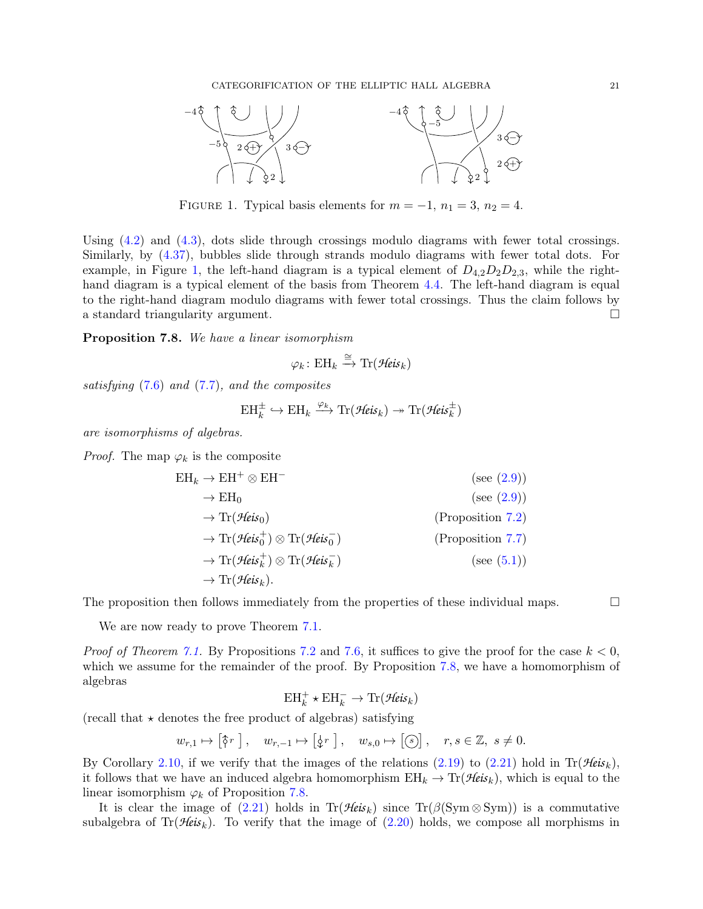

<span id="page-20-0"></span>FIGURE 1. Typical basis elements for  $m = -1$ ,  $n_1 = 3$ ,  $n_2 = 4$ .

Using [\(4.2\)](#page-8-6) and [\(4.3\)](#page-8-1), dots slide through crossings modulo diagrams with fewer total crossings. Similarly, by [\(4.37\)](#page-11-3), bubbles slide through strands modulo diagrams with fewer total dots. For example, in Figure [1,](#page-20-0) the left-hand diagram is a typical element of  $D_{4,2}D_2D_{2,3}$ , while the right-hand diagram is a typical element of the basis from Theorem [4.4.](#page-13-1) The left-hand diagram is equal to the right-hand diagram modulo diagrams with fewer total crossings. Thus the claim follows by a standard triangularity argument.

<span id="page-20-1"></span>Proposition 7.8. We have a linear isomorphism

$$
\varphi_k \colon \mathrm{EH}_k \xrightarrow{\cong} \mathrm{Tr}(\mathcal{H}\mathrm{eis}_k)
$$

satisfying  $(7.6)$  and  $(7.7)$ , and the composites

$$
\mathrm{EH}_k^\pm \hookrightarrow \mathrm{EH}_k \xrightarrow{\varphi_k} \mathrm{Tr}(\mathcal{H}\!\mathit{eis}_k) \twoheadrightarrow \mathrm{Tr}(\mathcal{H}\!\mathit{eis}_k^\pm)
$$

are isomorphisms of algebras.

*Proof.* The map  $\varphi_k$  is the composite

$$
\begin{aligned}\n\text{EH}_{k} &\rightarrow \text{EH}^{+} \otimes \text{EH}^{-} \\
&\rightarrow \text{EH}_{0} & (\text{see } (2.9)) \\
&\rightarrow \text{Tr}(\mathcal{H}eis_{0}) \\
&\rightarrow \text{Tr}(\mathcal{H}eis_{0}^{+}) \otimes \text{Tr}(\mathcal{H}eis_{0}^{-}) \\
&\rightarrow \text{Tr}(\mathcal{H}eis_{k}^{+}) \otimes \text{Tr}(\mathcal{H}eis_{k}^{-}) \\
&\rightarrow \text{Tr}(\mathcal{H}eis_{k}).\n\end{aligned}\n\tag{Proposition 7.7}\n\begin{aligned}\n&\text{(Proposition 7.2)} \\
&\rightarrow \text{Tr}(\mathcal{H}eis_{k}^{+}) \otimes \text{Tr}(\mathcal{H}eis_{k}^{-}) \\
&\rightarrow \text{Tr}(\mathcal{H}eis_{k}).\n\end{aligned}
$$

The proposition then follows immediately from the properties of these individual maps.  $\Box$ 

We are now ready to prove Theorem [7.1.](#page-16-1)

*Proof of Theorem [7.1.](#page-16-1)* By Propositions [7.2](#page-17-4) and [7.6,](#page-18-3) it suffices to give the proof for the case  $k < 0$ , which we assume for the remainder of the proof. By Proposition [7.8,](#page-20-1) we have a homomorphism of algebras

$$
\mathrm{EH}_{k}^{+}\star\mathrm{EH}_{k}^{-}\rightarrow\mathrm{Tr}(\mathcal{H}\mathrm{eis}_{k})
$$

(recall that  $\star$  denotes the free product of algebras) satisfying

$$
w_{r,1} \mapsto [\hat{\uparrow}r], \quad w_{r,-1} \mapsto [\hat{\downarrow}r], \quad w_{s,0} \mapsto [\hat{\circ}], \quad r, s \in \mathbb{Z}, \ s \neq 0.
$$

By Corollary [2.10,](#page-5-2) if we verify that the images of the relations [\(2.19\)](#page-5-3) to [\(2.21\)](#page-5-4) hold in  $\text{Tr}(\mathcal{H}\acute{e}is_k)$ , it follows that we have an induced algebra homomorphism  $EH_k \to \text{Tr}(\mathcal{H}eis_k)$ , which is equal to the linear isomorphism  $\varphi_k$  of Proposition [7.8.](#page-20-1)

It is clear the image of  $(2.21)$  holds in Tr(*Heis*<sub>k</sub>) since Tr( $\beta(\mathrm{Sym} \otimes \mathrm{Sym})$ ) is a commutative subalgebra of  $\text{Tr}(\mathcal{H}$ *eis*<sub>k</sub>). To verify that the image of [\(2.20\)](#page-5-5) holds, we compose all morphisms in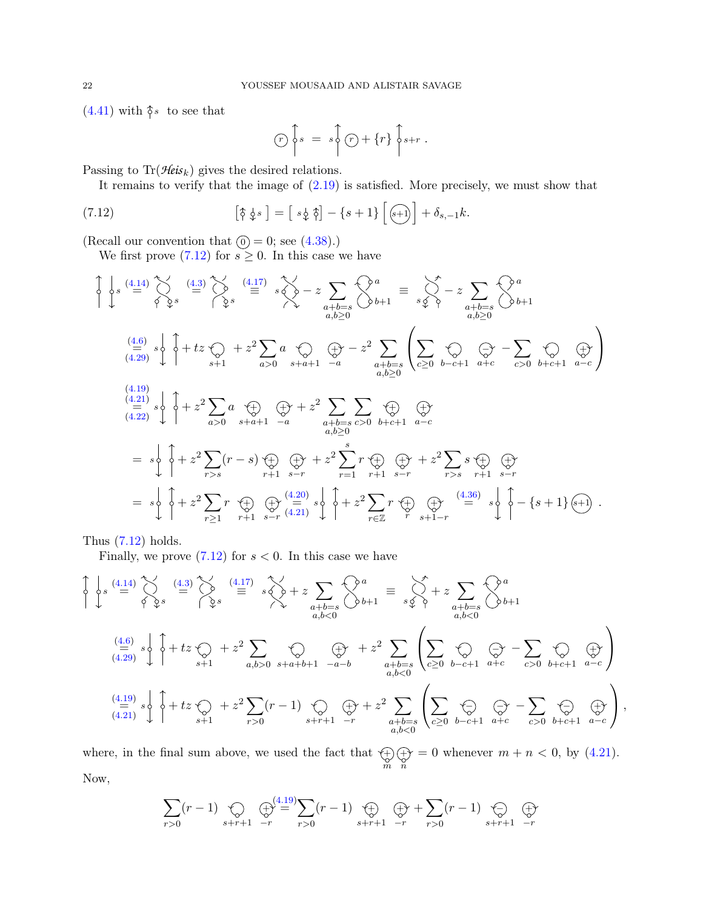$(4.41)$  with  $\hat{\zeta}s$  to see that

<span id="page-21-0"></span>
$$
\widehat{(\mathcal{P})}\,\bigg\downarrow s\,=\,s\,\bigg\{\,\widehat{(\mathcal{P})}+\{r\}\,\bigg\uparrow s+r\;.
$$

Passing to  $\text{Tr}(\mathcal{H}\text{eis}_k)$  gives the desired relations.

It remains to verify that the image of  $(2.19)$  is satisfied. More precisely, we must show that

(7.12) 
$$
\left[\hat{\zeta}\,\hat{\zeta}s\,\right]=\left[s\,\hat{\zeta}\,\hat{\zeta}\right]-\left\{s+1\right\}\left[\widehat{s+1}\right]+\delta_{s,-1}k.
$$

(Recall our convention that  $(0) = 0$ ; see  $(4.38)$ .)

We first prove  $(7.12)$  for  $s \geq 0$ . In this case we have

$$
\oint_{0}^{1} \oint_{0}^{s} \left( \frac{4.14}{z} \right)_{0}^{s} \left( \frac{4.3}{z} \right)_{0}^{s} \left( \frac{4.3}{z} \right)_{0}^{s} \left( \frac{4.17}{z} \right)_{0}^{s} = s \left( \oint_{0}^{1} - z \sum_{a+b=s} \oint_{0}^{1} \phi_{b+1} \right)
$$
\n
$$
\left( \frac{4.6}{z^{2}} \right)_{0}^{1} \left( \oint_{0}^{1} + tz \sum_{s+1} z^{2} \sum_{a>0} a \sum_{s+a+1} \left( \frac{4.6}{z^{2}} \right)_{0}^{1} \left( \frac{1}{z^{2}} \right)_{0}^{1} \left( \frac{1}{z^{2}} \right)_{0}^{1} \left( \frac{1}{z^{2}} \right)_{0}^{1} \left( \frac{1}{z^{2}} \right)_{0}^{1} \left( \frac{1}{z^{2}} \right)_{0}^{1} \left( \frac{1}{z^{2}} \right)_{0}^{1} \left( \frac{1}{z^{2}} \right)_{0}^{1} \left( \frac{1}{z^{2}} \right)_{0}^{1} \left( \frac{1}{z^{2}} \right)_{0}^{1} \left( \frac{1}{z^{2}} \right)_{0}^{1} \left( \frac{1}{z^{2}} \right)_{0}^{1} \left( \frac{1}{z^{2}} \right)_{0}^{1} \left( \frac{1}{z^{2}} \right)_{0}^{1} \left( \frac{1}{z^{2}} \right)_{0}^{1} \left( \frac{1}{z^{2}} \right)_{0}^{1} \left( \frac{1}{z^{2}} \right)_{0}^{1} \left( \frac{1}{z^{2}} \right)_{0}^{1} \left( \frac{1}{z^{2}} \right)_{0}^{1} \left( \frac{1}{z^{2}} \right)_{0}^{1} \left( \frac{1}{z^{2}} \right)_{0}^{1} \left( \frac{1}{z^{2}} \right)_{0}^{1} \left( \frac{1}{z^{2}} \right)_{0}^{1} \left( \frac{1}{z^{2}} \right)_{0}^{1} \left( \frac{1}{z^{2}} \right)_{0}^{1} \left( \frac{1}{z^{2}} \right)_{0}^{1
$$

Thus  $(7.12)$  holds.

Finally, we prove  $(7.12)$  for  $s < 0$ . In this case we have

$$
\oint_{\alpha} s \stackrel{(4.14)}{=} \oint_{\beta} s \stackrel{(4.15)}{=} s \stackrel{(4.35)}{=} \oint_{\beta} s
$$
\n
$$
\stackrel{(4.17)}{=} s \stackrel{(4.17)}{=} s \stackrel{(4.17)}{=} s \stackrel{(4.17)}{=} s \stackrel{(4.17)}{=} s \stackrel{(4.17)}{=} s \stackrel{(4.17)}{=} s \stackrel{(4.17)}{=} s \stackrel{(4.17)}{=} s \stackrel{(4.17)}{=} s \stackrel{(4.17)}{=} s \stackrel{(4.17)}{=} s \stackrel{(4.17)}{=} s \stackrel{(4.17)}{=} s \stackrel{(4.17)}{=} s \stackrel{(4.17)}{=} s \stackrel{(4.17)}{=} s \stackrel{(4.17)}{=} s \stackrel{(4.18)}{=} s \stackrel{(4.19)}{=} s \stackrel{(4.19)}{=} s \stackrel{(4.19)}{=} s \stackrel{(4.10)}{=} s \stackrel{(4.10)}{=} s \stackrel{(4.11)}{=} s \stackrel{(4.12)}{=} s \stackrel{(4.13)}{=} s \stackrel{(4.14)}{=} s \stackrel{(4.15)}{=} s \stackrel{(4.16)}{=} s \stackrel{(4.17)}{=} s \stackrel{(4.18)}{=} s \stackrel{(4.19)}{=} s \stackrel{(4.19)}{=} s \stackrel{(4.10)}{=} s \stackrel{(4.10)}{=} s \stackrel{(4.11)}{=} s \stackrel{(4.10)}{=} s \stackrel{(4.11)}{=} s \stackrel{(4.10)}{=} s \stackrel{(4.11)}{=} s \stackrel{(4.11)}{=} s \stackrel{(4.10)}{=} s \stackrel{(4.11)}{=} s \stackrel{(4.11)}{=} s \stackrel{(4.10)}{=} s \stackrel{(4.11)}{=} s \stackrel{(4.11)}{=} s \stackrel{(4.10)}{=} s \stackrel{(4.11)}{=} s \stackrel{(4.11)}{=} s \stackrel{(4.10)}{=} s \stackrel{(4.11)}{=} s \stackrel{(4.11)}{=} s \stackrel{(4.12)}{=} s \stackrel{(4.13)}{=} s \stackrel{(4.13)}{=} s \stackrel{(4.14)}{=} s
$$

where, in the final sum above, we used the fact that  $\check{m}$ +  $\check{n}$  $\text{L}{\rightarrow}$  = 0 whenever  $m + n < 0$ , by  $(4.21)$ . Now,

$$
\sum_{r>0} (r-1) \bigotimes_{s+r+1} \bigoplus_{-r} \bigoplus_{r>0}^{(4.19)} \sum_{r>0} (r-1) \bigoplus_{s+r+1} \bigoplus_{-r} + \sum_{r>0} (r-1) \bigoplus_{s+r+1} \bigoplus_{-r} (r-1)
$$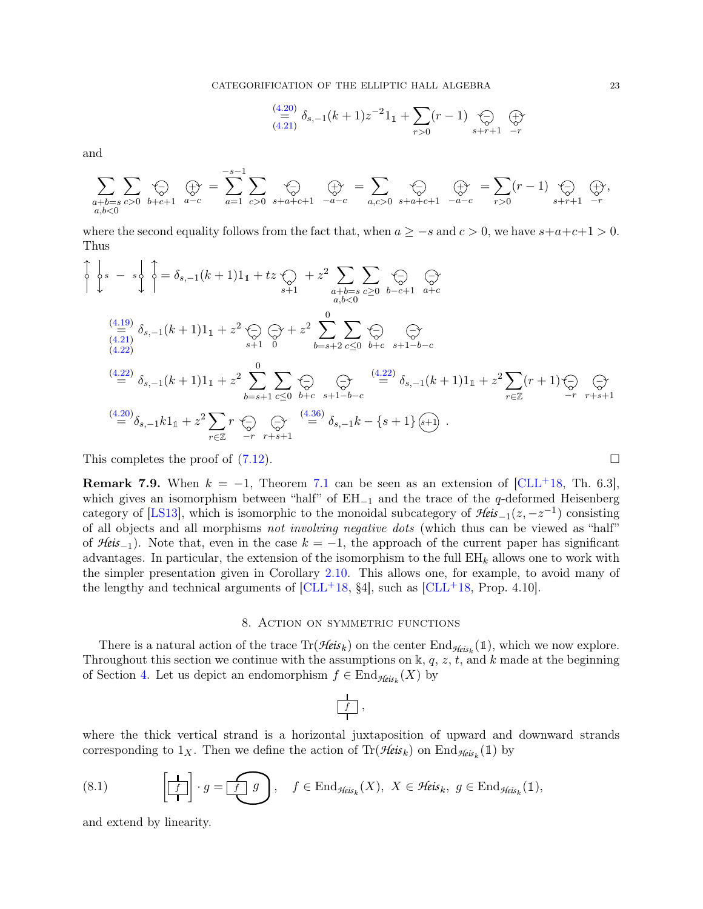$$
\stackrel{(4.20)}{=} \delta_{s,-1}(k+1)z^{-2}1_{1} + \sum_{r>0}(r-1) \quad \textcircled{=} \quad \textcircled{+}
$$
\n
$$
\stackrel{(4.20)}{=} \delta_{s+r+1} - r
$$

and

$$
\sum_{\substack{a+b=s \ c>0}} \sum_{\substack{b+c+1 \ a-c}} \bigoplus_{a-c} \bigoplus_{a=1} \bigoplus_{c>0} \bigoplus_{s+a+c+1} \bigoplus_{-a-c} \bigoplus_{a,c>0} \bigoplus_{s+a+c+1} \bigoplus_{-a-c} \bigoplus_{a,c>0} \bigoplus_{s+a+c+1} \bigoplus_{-a-c} \bigoplus_{r>0} (r-1) \bigoplus_{s+r+1} \bigoplus_{-r} (r-1)
$$

where the second equality follows from the fact that, when  $a \geq -s$  and  $c > 0$ , we have  $s+a+c+1 > 0$ . Thus

$$
\begin{aligned}\n\begin{cases}\n\downarrow s & -s & \downarrow \\
\downarrow s & -s & \downarrow\n\end{cases} & = \delta_{s,-1}(k+1)1_{1} + tz & \downarrow x + z^{2} \sum_{a+b=s} \sum_{c\geq 0} \sum_{b-c+1} \sum_{a+c} \\
& \stackrel{(4.19)}{=} \delta_{s,-1}(k+1)1_{1} + z^{2} & \stackrel{(5)}{=} \sum_{s+1} \sum_{0} \sum_{b=s+2} \sum_{c\leq 0} \sum_{b+c} \sum_{s+1-b-c} \\
& \stackrel{(4.22)}{=} \delta_{s,-1}(k+1)1_{1} + z^{2} \sum_{b=s+1}^{0} \sum_{c\leq 0} \sum_{b+c} \sum_{s+1-b-c} \sum_{s+1-b-c} \\
& \stackrel{(4.22)}{=} \delta_{s,-1}(k+1)1_{1} + z^{2} \sum_{r\in \mathbb{Z}} r & \stackrel{(5)}{=} \sum_{c=1} \sum_{b+c} \sum_{s+1-b-c} \sum_{s+1-b-c} \sum_{c\geq 0} \sum_{b+c} \sum_{s+1-b-c} \\
& \stackrel{(4.20)}{=} \delta_{s,-1}k1_{1} + z^{2} \sum_{r\in \mathbb{Z}} r & \stackrel{(5)}{=} \sum_{r+s+1} \sum_{s+1} \sum_{c\geq 0} \delta_{s,-1}k - \{s+1\} \sum_{s+1} \sum_{s+1} \sum_{c\geq 0} \sum_{c\geq 0} \sum_{c\geq 0} \sum_{c\geq 0} \sum_{r+s+1} \sum_{c\geq 0} \sum_{c\geq 0} \sum_{c\geq 0} \sum_{c\geq 0} \sum_{c\geq 0} \sum_{c\geq 0} \sum_{c\geq 0} \sum_{c\geq 0} \sum_{c\geq 0} \sum_{c\geq 0} \sum_{c\geq 0} \sum_{c\geq 0} \sum_{c\geq 0} \sum_{c\geq 0} \sum_{c\geq 0} \sum_{c\geq 0} \sum_{c\geq 0} \sum_{c\geq 0} \sum_{c\geq 0} \sum_{c\geq 0} \sum_{c\ge
$$

This completes the proof of  $(7.12)$ .

<span id="page-22-1"></span>**Remark 7.9.** When  $k = -1$ , Theorem [7.1](#page-16-1) can be seen as an extension of [\[CLL](#page-34-12)+18, Th. 6.3], which gives an isomorphism between "half" of  $EH_{-1}$  and the trace of the q-deformed Heisenberg category of [\[LS13\]](#page-34-10), which is isomorphic to the monoidal subcategory of  $\mathcal{H}$ eis<sub>−1</sub>(z, −z<sup>-1</sup>) consisting of all objects and all morphisms not involving negative dots (which thus can be viewed as "half" of *Heis*<sub>−1</sub>). Note that, even in the case  $k = -1$ , the approach of the current paper has significant advantages. In particular, the extension of the isomorphism to the full  $EH_k$  allows one to work with the simpler presentation given in Corollary [2.10.](#page-5-2) This allows one, for example, to avoid many of the lengthy and technical arguments of  $\text{[CLL+18, §4]}$ , such as  $\text{[CLL+18, Prop. 4.10]}$ .

#### 8. Action on symmetric functions

<span id="page-22-0"></span>There is a natural action of the trace  $\text{Tr}(\mathcal{H}$ *eis*<sub>k</sub>) on the center  $\text{End}_{\mathcal{H}$ *eis*<sub>k</sub>(1), which we now explore. Throughout this section we continue with the assumptions on  $\mathbb{k}$ , q, z, t, and k made at the beginning of Section [4.](#page-8-0) Let us depict an endomorphism  $f \in \text{End}_{\mathcal{H}$ eis<sub>k</sub> $(X)$  by

$$
\frac{1}{\left\lfloor \frac{f}{\mathsf{I}}\right\rfloor}\,,
$$

where the thick vertical strand is a horizontal juxtaposition of upward and downward strands corresponding to  $1_X$ . Then we define the action of  $\text{Tr}(\mathcal{H}$ *eis*<sub>k</sub>) on  $\text{End}_{\mathcal{H}$ *eis*<sub>k</sub></sub>(1) by

<span id="page-22-2"></span>(8.1) 
$$
\left[\begin{array}{c}\frac{1}{f}\\1\end{array}\right] \cdot g = \underbrace{f \cdot g}_{\cdot} , \quad f \in \text{End}_{\text{Heis}_k}(X), \ X \in \text{Heis}_k, \ g \in \text{End}_{\text{Heis}_k}(\mathbb{1}),
$$

and extend by linearity.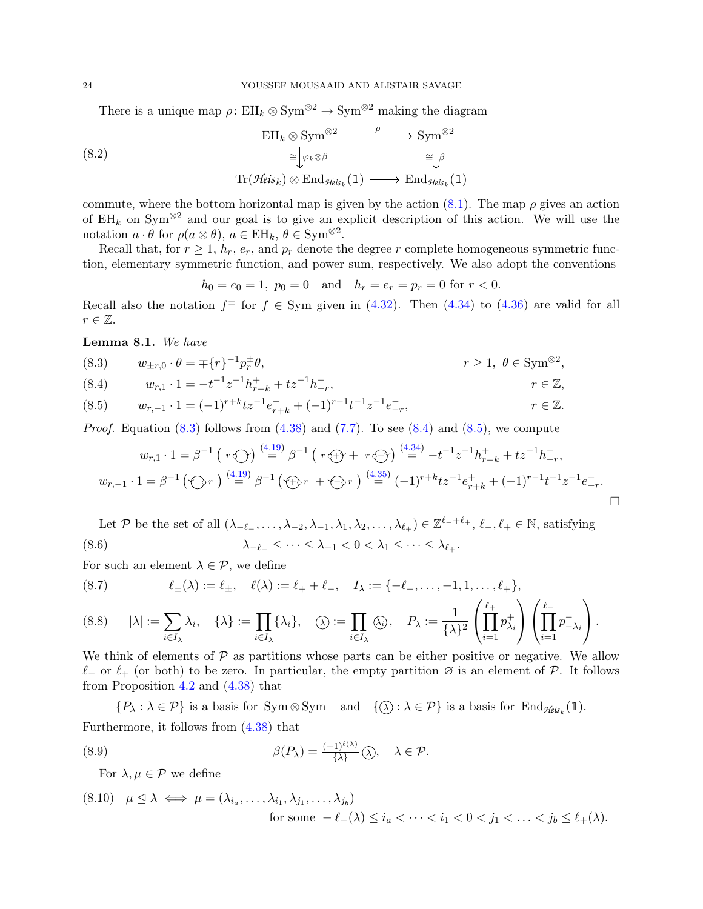There is a unique map  $\rho: EH_k \otimes \text{Sym}^{\otimes 2} \to \text{Sym}^{\otimes 2}$  making the diagram

(8.2)  
\n
$$
\begin{aligned}\n\text{EH}_k \otimes \text{Sym}^{\otimes 2} &\xrightarrow{\rho} \text{Sym}^{\otimes 2} \\
&\cong \downarrow_{\varphi_k \otimes \beta} &\cong \downarrow_{\beta} \\
\text{Tr}(\mathcal{H} \text{eis}_k) \otimes \text{End}_{\mathcal{H} \text{eis}_k}(\mathbb{1}) &\xrightarrow{\hspace{0.5cm}} \text{End}_{\mathcal{H} \text{eis}_k}(\mathbb{1})\n\end{aligned}
$$

commute, where the bottom horizontal map is given by the action  $(8.1)$ . The map  $\rho$  gives an action of  $EH_k$  on Sym<sup>⊗2</sup> and our goal is to give an explicit description of this action. We will use the notation  $a \cdot \theta$  for  $\rho(a \otimes \theta)$ ,  $a \in \text{EH}_k$ ,  $\theta \in \text{Sym}^{\otimes 2}$ .

Recall that, for  $r \geq 1$ ,  $h_r$ ,  $e_r$ , and  $p_r$  denote the degree r complete homogeneous symmetric function, elementary symmetric function, and power sum, respectively. We also adopt the conventions

<span id="page-23-3"></span>
$$
h_0 = e_0 = 1
$$
,  $p_0 = 0$  and  $h_r = e_r = p_r = 0$  for  $r < 0$ .

Recall also the notation  $f^{\pm}$  for  $f \in Sym$  given in [\(4.32\)](#page-11-5). Then [\(4.34\)](#page-11-0) to [\(4.36\)](#page-11-2) are valid for all  $r \in \mathbb{Z}$ .

Lemma 8.1. We have

<span id="page-23-0"></span>(8.3) 
$$
w_{\pm r,0} \cdot \theta = \mp \{r\}^{-1} p_r^{\pm} \theta, \qquad r \ge 1, \ \theta \in \text{Sym}^{\otimes 2},
$$

<span id="page-23-1"></span>(8.4) 
$$
w_{r,1} \cdot 1 = -t^{-1} z^{-1} h_{r-k}^+ + t z^{-1} h_{-r}^-,
$$

$$
r \in \mathbb{Z},
$$

$$
w_{r,-1} \cdot 1 = (-1)^{r+k} t z^{-1} e_{r+k}^+ + (-1)^{r-1} t^{-1} z^{-1} e_{-r}^-,
$$

$$
r \in \mathbb{Z}.
$$

<span id="page-23-2"></span>(8.5)  $w_{r,-1} \cdot 1 = (-1)^{r+k} t z^{-1} e_{r+k}^+ + (-1)^{r-1} t^{-1} z^{-1} e_{-r}^-,$   $r \in \mathbb{Z}.$ t

*Proof.* Equation  $(8.3)$  follows from  $(4.38)$  and  $(7.7)$ . To see  $(8.4)$  and  $(8.5)$ , we compute

$$
w_{r,1} \cdot 1 = \beta^{-1} (r \bigodot r)^{\frac{(4.19)}{2}} \beta^{-1} (r \bigoplus r + r \bigodot r)^{\frac{(4.34)}{2}} - t^{-1} z^{-1} h_{r-k}^{+} + t z^{-1} h_{-r}^{-},
$$
  

$$
w_{r,-1} \cdot 1 = \beta^{-1} (\bigodot r)^{\frac{(4.19)}{2}} \beta^{-1} (\bigodot r + \bigodot r)^{\frac{(4.35)}{2}} (-1)^{r+k} t z^{-1} e_{r+k}^{+} + (-1)^{r-1} t^{-1} z^{-1} e_{-r}^{-}.
$$

Let 
$$
\mathcal P
$$
 be the set of all  $(\lambda_{-\ell_-}, \ldots, \lambda_{-2}, \lambda_{-1}, \lambda_1, \lambda_2, \ldots, \lambda_{\ell_+}) \in \mathbb{Z}^{\ell_- + \ell_+}$ ,  $\ell_-, \ell_+ \in \mathbb{N}$ , satisfying  $(\delta.6)$   $\lambda_{-\ell_-} \leq \cdots \leq \lambda_{-1} < 0 < \lambda_1 \leq \cdots \leq \lambda_{\ell_+}.$ 

For such an element  $\lambda \in \mathcal{P}$ , we define

(8.7) 
$$
\ell_{\pm}(\lambda) := \ell_{\pm}, \quad \ell(\lambda) := \ell_{+} + \ell_{-}, \quad I_{\lambda} := \{-\ell_{-}, \ldots, -1, 1, \ldots, \ell_{+}\},
$$

$$
(8.8) \quad |\lambda| := \sum_{i \in I_{\lambda}} \lambda_{i}, \quad \{\lambda\} := \prod_{i \in I_{\lambda}} \{\lambda_{i}\}, \quad \text{(a)} := \prod_{i \in I_{\lambda}} \text{(b)}, \quad P_{\lambda} := \frac{1}{\{\lambda\}^{2}} \left(\prod_{i=1}^{\ell_{+}} p_{\lambda_{i}}^{+}\right) \left(\prod_{i=1}^{\ell_{-}} p_{-\lambda_{i}}^{-}\right).
$$

We think of elements of  $P$  as partitions whose parts can be either positive or negative. We allow  $\ell_$  or  $\ell_+$  (or both) to be zero. In particular, the empty partition  $\varnothing$  is an element of  $\mathcal P$ . It follows from Proposition [4.2](#page-11-4) and [\(4.38\)](#page-12-1) that

 $\{P_{\lambda} : \lambda \in \mathcal{P}\}\$ is a basis for Sym  $\otimes$  Sym and  $\{(\lambda) : \lambda \in \mathcal{P}\}\$ is a basis for End<sub>Heisk</sub> $(1)$ . Furthermore, it follows from [\(4.38\)](#page-12-1) that

(8.9) 
$$
\beta(P_{\lambda}) = \frac{(-1)^{\ell(\lambda)}}{\{\lambda\}} \text{ and } \lambda \in \mathcal{P}.
$$

For  $\lambda, \mu \in \mathcal{P}$  we define

$$
(8.10) \quad \mu \leq \lambda \iff \mu = (\lambda_{i_a}, \dots, \lambda_{i_1}, \lambda_{j_1}, \dots, \lambda_{j_b})
$$
  
for some  $-\ell_-(\lambda) \leq i_a < \dots < i_1 < 0 < j_1 < \dots < j_b \leq \ell_+(\lambda)$ .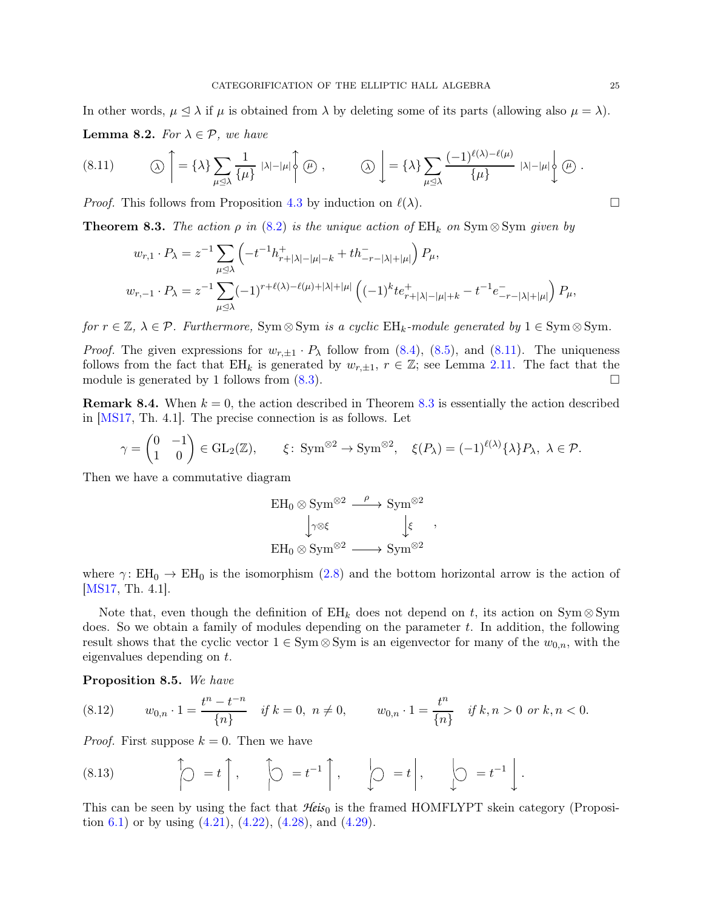In other words,  $\mu \leq \lambda$  if  $\mu$  is obtained from  $\lambda$  by deleting some of its parts (allowing also  $\mu = \lambda$ ). **Lemma 8.2.** For  $\lambda \in \mathcal{P}$ , we have

<span id="page-24-0"></span>
$$
(8.11) \t\t \hat{J} = \{\lambda\} \sum_{\mu \leq \lambda} \frac{1}{\{\mu\}} |\lambda| - |\mu| \hat{J}(\mu), \t\t \hat{J} = \{\lambda\} \sum_{\mu \leq \lambda} \frac{(-1)^{\ell(\lambda) - \ell(\mu)}}{\{\mu\}} |\lambda| - |\mu| \hat{J}(\mu).
$$

<span id="page-24-1"></span>*Proof.* This follows from Proposition [4.3](#page-12-2) by induction on  $\ell(\lambda)$ .

**Theorem 8.3.** The action  $\rho$  in [\(8.2\)](#page-23-3) is the unique action of  $EH_k$  on Sym  $\otimes$  Sym given by

$$
w_{r,1} \cdot P_{\lambda} = z^{-1} \sum_{\mu \leq \lambda} \left( -t^{-1} h_{r+|\lambda|-|\mu|-k}^+ + t h_{-r-|\lambda|+|\mu|}^- \right) P_{\mu},
$$
  

$$
w_{r,-1} \cdot P_{\lambda} = z^{-1} \sum_{\mu \leq \lambda} (-1)^{r+\ell(\lambda)-\ell(\mu)+|\lambda|+|\mu|} \left( (-1)^k t e_{r+|\lambda|-|\mu|+k}^+ - t^{-1} e_{-r-|\lambda|+|\mu|}^- \right) P_{\mu},
$$

for  $r \in \mathbb{Z}, \lambda \in \mathcal{P}$ . Furthermore, Sym  $\otimes$  Sym is a cyclic  $EH_k$ -module generated by  $1 \in \text{Sym} \otimes \text{Sym}$ .

*Proof.* The given expressions for  $w_{r,\pm 1} \cdot P_\lambda$  follow from [\(8.4\)](#page-23-1), [\(8.5\)](#page-23-2), and [\(8.11\)](#page-24-0). The uniqueness follows from the fact that  $EH_k$  is generated by  $w_{r,\pm 1}$ ,  $r \in \mathbb{Z}$ ; see Lemma [2.11.](#page-5-1) The fact that the module is generated by 1 follows from  $(8.3)$ .

**Remark 8.4.** When  $k = 0$ , the action described in Theorem [8.3](#page-24-1) is essentially the action described in [\[MS17,](#page-34-11) Th. 4.1]. The precise connection is as follows. Let

$$
\gamma = \begin{pmatrix} 0 & -1 \\ 1 & 0 \end{pmatrix} \in \text{GL}_2(\mathbb{Z}), \qquad \xi \colon \text{Sym}^{\otimes 2} \to \text{Sym}^{\otimes 2}, \quad \xi(P_\lambda) = (-1)^{\ell(\lambda)} \{\lambda\} P_\lambda, \ \lambda \in \mathcal{P}.
$$

Then we have a commutative diagram

$$
\begin{array}{ccc}\n\text{EH}_0 \otimes \text{Sym}^{\otimes 2} & \xrightarrow{\rho} & \text{Sym}^{\otimes 2} \\
& \downarrow^{\gamma \otimes \xi} & \downarrow^{\xi} \\
\text{EH}_0 \otimes \text{Sym}^{\otimes 2} & \xrightarrow{\text{Sym}^{\otimes 2}\n\end{array}
$$

,

where  $\gamma: EH_0 \to EH_0$  is the isomorphism [\(2.8\)](#page-3-2) and the bottom horizontal arrow is the action of [\[MS17,](#page-34-11) Th. 4.1].

Note that, even though the definition of  $\text{EH}_k$  does not depend on t, its action on Sym ⊗ Sym does. So we obtain a family of modules depending on the parameter  $t$ . In addition, the following result shows that the cyclic vector  $1 \in \text{Sym} \otimes \text{Sym}$  is an eigenvector for many of the  $w_{0,n}$ , with the eigenvalues depending on t.

Proposition 8.5. We have

$$
(8.12) \t w_{0,n} \cdot 1 = \frac{t^n - t^{-n}}{\{n\}} \quad \text{if } k = 0, \ n \neq 0, \qquad w_{0,n} \cdot 1 = \frac{t^n}{\{n\}} \quad \text{if } k, n > 0 \text{ or } k, n < 0.
$$

*Proof.* First suppose  $k = 0$ . Then we have

<span id="page-24-2"></span>(8.13) 
$$
\left[\bigcirc\limits_{s=1}^{t} t\right], \qquad \left[\bigcirc\limits_{s=1}^{t} t\right], \qquad \left[\bigcirc\limits_{s=1}^{t} t\right], \qquad \left[\bigcirc\limits_{s=1}^{t} t\right], \qquad \left[\bigcirc\limits_{s=1}^{t} t\right].
$$

This can be seen by using the fact that  $\mathcal{H}eis_0$  is the framed HOMFLYPT skein category (Proposi-tion [6.1\)](#page-15-2) or by using  $(4.21)$ ,  $(4.22)$ ,  $(4.28)$ , and  $(4.29)$ .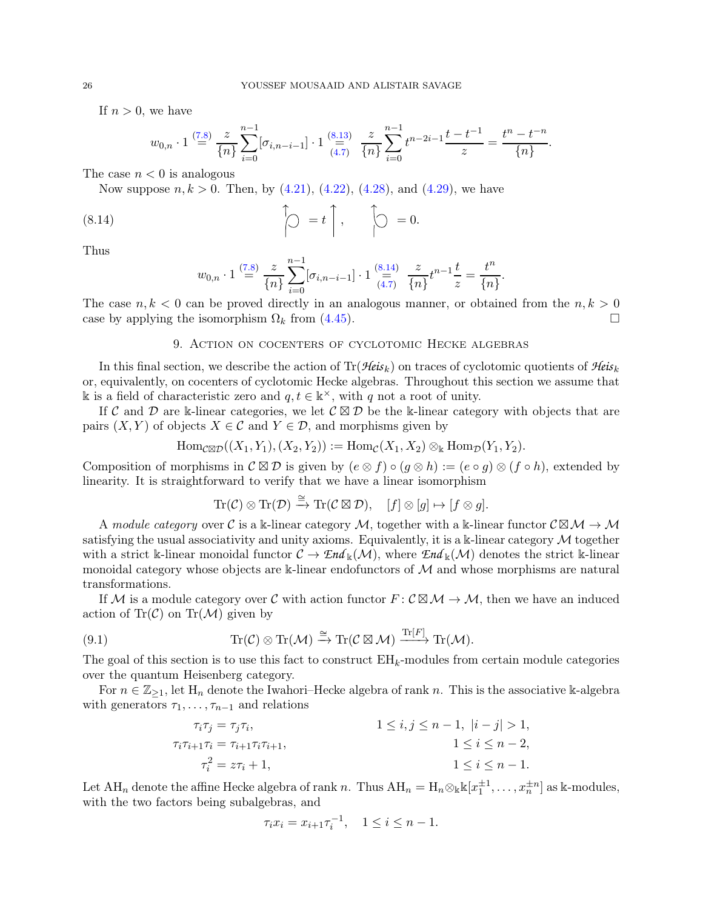If  $n > 0$ , we have

$$
w_{0,n} \cdot 1 \stackrel{(7.8)}{=} \frac{z}{\{n\}} \sum_{i=0}^{n-1} [\sigma_{i,n-i-1}] \cdot 1 \stackrel{(8.13)}{=} \frac{z}{\{n\}} \sum_{i=0}^{n-1} t^{n-2i-1} \frac{t-t^{-1}}{z} = \frac{t^n - t^{-n}}{\{n\}}.
$$

The case  $n < 0$  is analogous

Now suppose  $n, k > 0$ . Then, by  $(4.21), (4.22), (4.28),$  $(4.21), (4.22), (4.28),$  $(4.21), (4.22), (4.28),$  $(4.21), (4.22), (4.28),$  $(4.21), (4.22), (4.28),$  and  $(4.29),$  we have

(8.14) = t , = 0.

Thus

<span id="page-25-1"></span>
$$
w_{0,n} \cdot 1 \stackrel{(7.8)}{=} \frac{z}{\{n\}} \sum_{i=0}^{n-1} [\sigma_{i,n-i-1}] \cdot 1 \cdot \frac{(8.14)}{\frac{z}{\{n\}}}\frac{z}{\{n\}} t^{n-1} \frac{t}{z} = \frac{t^n}{\{n\}}.
$$

<span id="page-25-0"></span>The case  $n, k < 0$  can be proved directly in an analogous manner, or obtained from the  $n, k > 0$ case by applying the isomorphism  $\Omega_k$  from [\(4.45\)](#page-13-3).

### 9. Action on cocenters of cyclotomic Hecke algebras

In this final section, we describe the action of  $\text{Tr}(\mathcal{H}\acute{e}is_k)$  on traces of cyclotomic quotients of  $\mathcal{H}\acute{e}is_k$ or, equivalently, on cocenters of cyclotomic Hecke algebras. Throughout this section we assume that k is a field of characteristic zero and  $q, t \in \mathbb{k}^{\times}$ , with q not a root of unity.

If C and D are k-linear categories, we let  $\mathcal{C} \boxtimes \mathcal{D}$  be the k-linear category with objects that are pairs  $(X, Y)$  of objects  $X \in \mathcal{C}$  and  $Y \in \mathcal{D}$ , and morphisms given by

$$
\mathrm{Hom}_{\mathcal{C}\boxtimes\mathcal{D}}((X_1,Y_1),(X_2,Y_2)) := \mathrm{Hom}_{\mathcal{C}}(X_1,X_2) \otimes_{\Bbbk} \mathrm{Hom}_{\mathcal{D}}(Y_1,Y_2).
$$

Composition of morphisms in  $\mathcal{C} \boxtimes \mathcal{D}$  is given by  $(e \otimes f) \circ (g \otimes h) := (e \circ g) \otimes (f \circ h)$ , extended by linearity. It is straightforward to verify that we have a linear isomorphism

$$
\mathrm{Tr}(\mathcal{C})\otimes\mathrm{Tr}(\mathcal{D})\xrightarrow{\cong}\mathrm{Tr}(\mathcal{C}\boxtimes\mathcal{D}),\quad [f]\otimes[g]\mapsto [f\otimes g].
$$

A module category over C is a k-linear category M, together with a k-linear functor  $\mathcal{C}\boxtimes\mathcal{M}\to\mathcal{M}$ satisfying the usual associativity and unity axioms. Equivalently, it is a  $\Bbbk$ -linear category  $\mathcal M$  together with a strict k-linear monoidal functor  $C \to \mathcal{E}nd_k(\mathcal{M})$ , where  $\mathcal{E}nd_k(\mathcal{M})$  denotes the strict k-linear monoidal category whose objects are  $\Bbbk$ -linear endofunctors of M and whose morphisms are natural transformations.

If M is a module category over C with action functor  $F: \mathcal{C} \boxtimes \mathcal{M} \to \mathcal{M}$ , then we have an induced action of  $\text{Tr}(\mathcal{C})$  on  $\text{Tr}(\mathcal{M})$  given by

(9.1) 
$$
\text{Tr}(\mathcal{C}) \otimes \text{Tr}(\mathcal{M}) \xrightarrow{\cong} \text{Tr}(\mathcal{C} \boxtimes \mathcal{M}) \xrightarrow{\text{Tr}[F]} \text{Tr}(\mathcal{M}).
$$

The goal of this section is to use this fact to construct  $\mathrm{EH}_{k}$ -modules from certain module categories over the quantum Heisenberg category.

For  $n \in \mathbb{Z}_{\geq 1}$ , let  $H_n$  denote the Iwahori–Hecke algebra of rank n. This is the associative k-algebra with generators  $\tau_1, \ldots, \tau_{n-1}$  and relations

$$
\tau_i \tau_j = \tau_j \tau_i, \qquad 1 \le i, j \le n - 1, \ |i - j| > 1, \n\tau_i \tau_{i+1} \tau_i = \tau_{i+1} \tau_i \tau_{i+1}, \qquad 1 \le i \le n - 2, \n\tau_i^2 = z\tau_i + 1, \qquad 1 \le i \le n - 1.
$$

Let  $AH_n$  denote the affine Hecke algebra of rank n. Thus  $AH_n = H_n \otimes_{\mathbb{k}} \mathbb{k}[x_1^{\pm 1}, \dots, x_n^{\pm n}]$  as k-modules, with the two factors being subalgebras, and

$$
\tau_i x_i = x_{i+1} \tau_i^{-1}, \quad 1 \le i \le n-1.
$$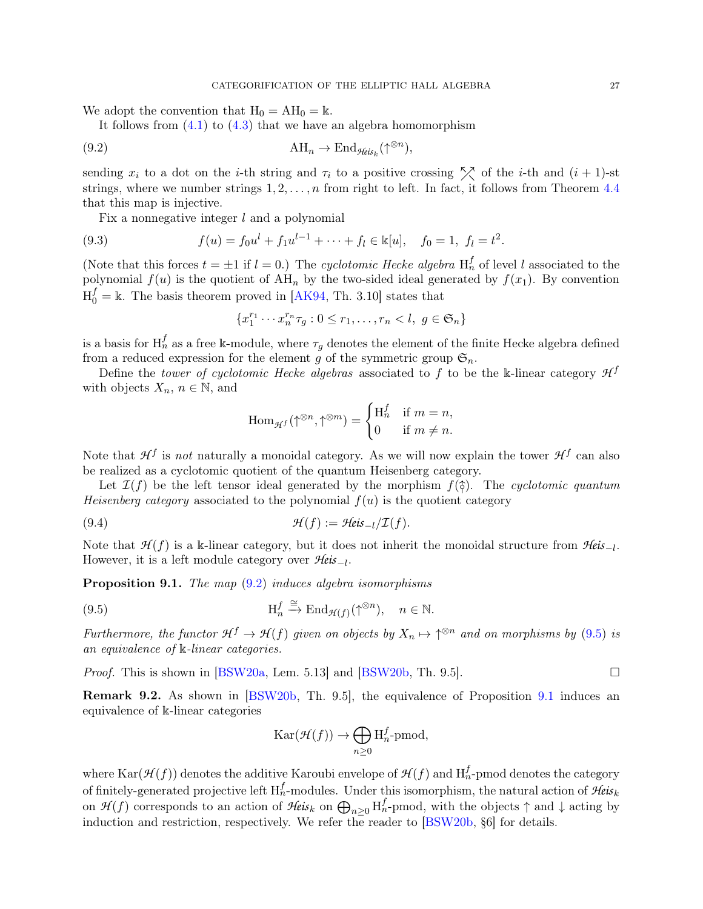We adopt the convention that  $H_0 = AH_0 = \mathbb{k}$ .

It follows from  $(4.1)$  to  $(4.3)$  that we have an algebra homomorphism

(9.2) 
$$
\mathrm{AH}_n \to \mathrm{End}_{\mathcal{H}\acute{e}i\varsigma_k}(\uparrow^{\otimes n}),
$$

sending  $x_i$  to a dot on the *i*-th string and  $\tau_i$  to a positive crossing  $\frac{1}{2}$  of the *i*-th and  $(i + 1)$ -st strings, where we number strings  $1, 2, \ldots, n$  from right to left. In fact, it follows from Theorem [4.4](#page-13-1) that this map is injective.

Fix a nonnegative integer  $l$  and a polynomial

(9.3) 
$$
f(u) = f_0 u^l + f_1 u^{l-1} + \dots + f_l \in \mathbb{k}[u], \quad f_0 = 1, \ f_l = t^2.
$$

(Note that this forces  $t = \pm 1$  if  $l = 0$ .) The *cyclotomic Hecke algebra*  $H_n^f$  of level l associated to the polynomial  $f(u)$  is the quotient of  $\overrightarrow{AH}_n$  by the two-sided ideal generated by  $f(x_1)$ . By convention  $H_0^f = \mathbb{k}$ . The basis theorem proved in [\[AK94,](#page-34-21) Th. 3.10] states that

<span id="page-26-0"></span>
$$
\{x_1^{r_1}\cdots x_n^{r_n}\tau_g: 0 \le r_1,\ldots,r_n < l, \ g \in \mathfrak{S}_n\}
$$

is a basis for  $H_n^f$  as a free k-module, where  $\tau_g$  denotes the element of the finite Hecke algebra defined from a reduced expression for the element g of the symmetric group  $\mathfrak{S}_n$ .

Define the *tower of cyclotomic Hecke algebras* associated to f to be the k-linear category  $\mathcal{H}^f$ with objects  $X_n$ ,  $n \in \mathbb{N}$ , and

$$
\mathrm{Hom}_{\mathcal{H}^f}(\uparrow^{\otimes n},\uparrow^{\otimes m})=\begin{cases}\mathrm{H}^f_n &\text{if $m=n$,}\\ 0 &\text{if $m\neq n$.}\end{cases}
$$

Note that  $H^f$  is not naturally a monoidal category. As we will now explain the tower  $H^f$  can also be realized as a cyclotomic quotient of the quantum Heisenberg category.

Let  $\mathcal{I}(f)$  be the left tensor ideal generated by the morphism  $f(\hat{\zeta})$ . The cyclotomic quantum Heisenberg category associated to the polynomial  $f(u)$  is the quotient category

(9.4) 
$$
\mathcal{H}(f) := \mathcal{H} \text{eis}_{-l} / \mathcal{I}(f).
$$

<span id="page-26-2"></span>Note that  $\mathcal{H}(f)$  is a k-linear category, but it does not inherit the monoidal structure from  $\mathcal{H}$ eis<sub>−l</sub>. However, it is a left module category over *Heis*<sub>−l</sub>.

**Proposition 9.1.** The map  $(9.2)$  induces algebra isomorphisms

(9.5) 
$$
\mathrm{H}_n^f \xrightarrow{\cong} \mathrm{End}_{\mathcal{H}(f)}(\uparrow^{\otimes n}), \quad n \in \mathbb{N}.
$$

Furthermore, the functor  $\mathcal{H}^f \to \mathcal{H}(f)$  given on objects by  $X_n \mapsto \uparrow^{\otimes n}$  and on morphisms by [\(9.5\)](#page-26-1) is an equivalence of k-linear categories.

*Proof.* This is shown in  $[BSW20a, \text{ Lem. } 5.13]$  and  $[BSW20b, \text{ Th. } 9.5]$ .

Remark 9.2. As shown in [\[BSW20b,](#page-34-9) Th. 9.5], the equivalence of Proposition [9.1](#page-26-2) induces an equivalence of k-linear categories

<span id="page-26-1"></span>
$$
\text{Kar}(\mathcal{H}(f)) \to \bigoplus_{n \geq 0} \text{H}^f_n\text{-pmod},
$$

where  $\text{Kar}(\mathcal{H}(f))$  denotes the additive Karoubi envelope of  $\mathcal{H}(f)$  and  $\text{H}^f_n\text{-pmod }$  denotes the category of finitely-generated projective left  $H_n^f$ -modules. Under this isomorphism, the natural action of  $\mathcal{H}$ eis<sub>k</sub> on  $\mathcal{H}(f)$  corresponds to an action of  $\mathcal{H}$ *eis*<sub>k</sub> on  $\bigoplus_{n\geq 0} \mathrm{H}_n^f$ -pmod, with the objects  $\uparrow$  and  $\downarrow$  acting by induction and restriction, respectively. We refer the reader to [\[BSW20b,](#page-34-9) §6] for details.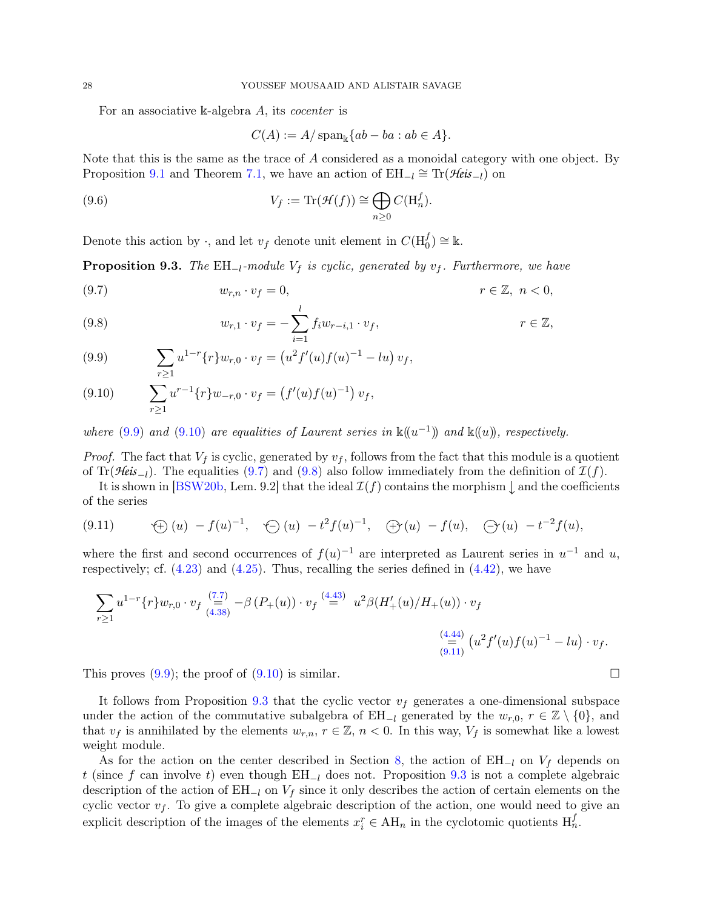For an associative k-algebra  $A$ , its *cocenter* is

$$
C(A) := A / \operatorname{span}_{\mathbb{k}} \{ ab - ba : ab \in A \}.
$$

Note that this is the same as the trace of A considered as a monoidal category with one object. By Proposition [9.1](#page-26-2) and Theorem [7.1,](#page-16-1) we have an action of  $EH_{-l} \cong \text{Tr}(\mathcal{H}eis_{-l})$  on

(9.6) 
$$
V_f := \text{Tr}(\mathcal{H}(f)) \cong \bigoplus_{n \geq 0} C(\mathcal{H}_n^f).
$$

<span id="page-27-6"></span>Denote this action by  $\cdot$ , and let  $v_f$  denote unit element in  $C(\mathbf{H}_0^f) \cong \mathbb{k}$ .

**Proposition 9.3.** The EH<sub>-l</sub>-module  $V_f$  is cyclic, generated by  $v_f$ . Furthermore, we have

<span id="page-27-3"></span>
$$
(9.7) \t\t w_{r,n} \cdot v_f = 0, \t\t r \in \mathbb{Z}, \quad n < 0,
$$

<span id="page-27-4"></span>(9.8) 
$$
w_{r,1} \cdot v_f = -\sum_{i=1}^l f_i w_{r-i,1} \cdot v_f, \qquad r \in \mathbb{Z},
$$

<span id="page-27-1"></span>(9.9) 
$$
\sum_{r\geq 1} u^{1-r} \{r\} w_{r,0} \cdot v_f = \left(u^2 f'(u) f(u)^{-1} - l u\right) v_f,
$$

<span id="page-27-2"></span>(9.10) 
$$
\sum_{r\geq 1} u^{r-1} \{r\} w_{-r,0} \cdot v_f = (f'(u)f(u)^{-1}) v_f,
$$

where [\(9.9\)](#page-27-1) and [\(9.10\)](#page-27-2) are equalities of Laurent series in  $\mathbb{k}(\!(u^{-1})\!)$  and  $\mathbb{k}(\!(u)\!)$ , respectively.

*Proof.* The fact that  $V_f$  is cyclic, generated by  $v_f$ , follows from the fact that this module is a quotient of Tr(*Heis*<sub>−l</sub>). The equalities [\(9.7\)](#page-27-3) and [\(9.8\)](#page-27-4) also follow immediately from the definition of  $\mathcal{I}(f)$ .

It is shown in [\[BSW20b,](#page-34-9) Lem. 9.2] that the ideal  $\mathcal{I}(f)$  contains the morphism  $\downarrow$  and the coefficients of the series

<span id="page-27-5"></span>(9.11) + (u) − f(u) −1 , − (u) − t 2 f(u) −1 , + (u) − f(u), − (u) − t −2 f(u),

where the first and second occurrences of  $f(u)^{-1}$  are interpreted as Laurent series in  $u^{-1}$  and u, respectively; cf.  $(4.23)$  and  $(4.25)$ . Thus, recalling the series defined in  $(4.42)$ , we have

$$
\sum_{r\geq 1} u^{1-r} \{r\} w_{r,0} \cdot v_f \stackrel{(7.7)}{=} -\beta (P_+(u)) \cdot v_f \stackrel{(4.43)}{=} u^2 \beta (H'_+(u)/H_+(u)) \cdot v_f
$$
\n
$$
\xrightarrow{\text{(4.44)}}_{(9.11)} (u^2 f'(u) f(u)^{-1} - l u) \cdot v_f.
$$
\n
$$
(9.11)
$$

This proves  $(9.9)$ ; the proof of  $(9.10)$  is similar.

It follows from Proposition [9.3](#page-27-6) that the cyclic vector  $v_f$  generates a one-dimensional subspace under the action of the commutative subalgebra of  $E_{l_l}$  generated by the  $w_{r,0}, r \in \mathbb{Z} \setminus \{0\}$ , and that  $v_f$  is annihilated by the elements  $w_{r,n}$ ,  $r \in \mathbb{Z}$ ,  $n < 0$ . In this way,  $V_f$  is somewhat like a lowest weight module.

<span id="page-27-0"></span>As for the action on the center described in Section [8,](#page-22-0) the action of  $EH_{-l}$  on  $V_f$  depends on t (since f can involve t) even though  $EH_{-l}$  does not. Proposition [9.3](#page-27-6) is not a complete algebraic description of the action of  $EH_{-l}$  on  $V_f$  since it only describes the action of certain elements on the cyclic vector  $v_f$ . To give a complete algebraic description of the action, one would need to give an explicit description of the images of the elements  $x_i^r \in AH_n$  in the cyclotomic quotients  $H_n^f$ .

$$
\sqcup
$$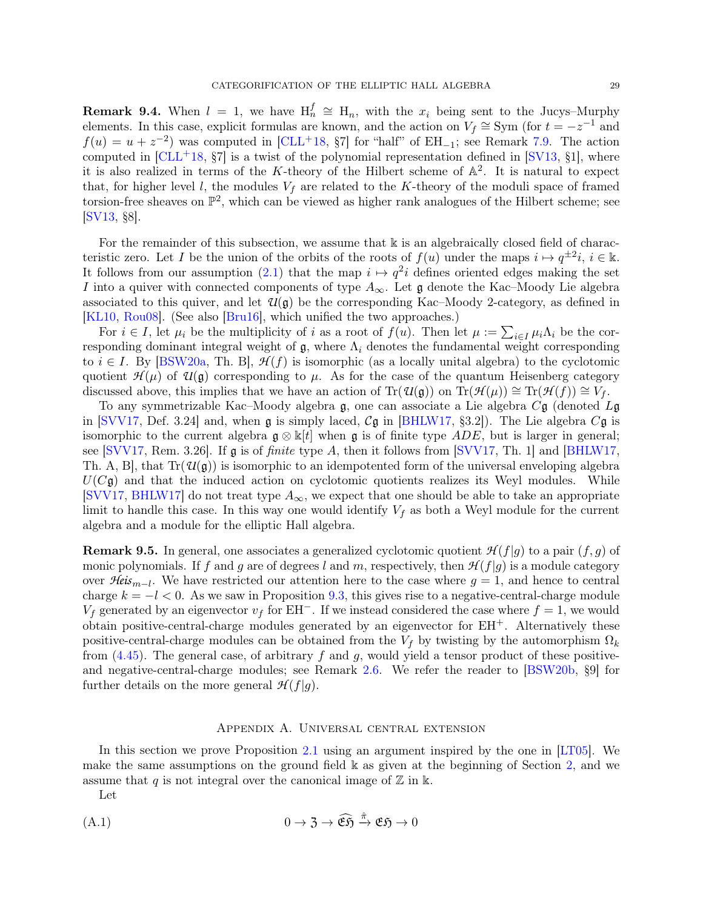**Remark 9.4.** When  $l = 1$ , we have  $H_n^f \cong H_n$ , with the  $x_i$  being sent to the Jucys–Murphy elements. In this case, explicit formulas are known, and the action on  $V_f \cong \text{Sym}$  (for  $t = -z^{-1}$  and  $f(u) = u + z^{-2}$  was computed in [\[CLL](#page-34-12)<sup>+</sup>18, §7] for "half" of EH<sub>-1</sub>; see Remark [7.9.](#page-22-1) The action computed in  $[CLL+18, §7]$  is a twist of the polynomial representation defined in  $[SV13, §1]$ , where it is also realized in terms of the K-theory of the Hilbert scheme of  $\mathbb{A}^2$ . It is natural to expect that, for higher level l, the modules  $V_f$  are related to the K-theory of the moduli space of framed torsion-free sheaves on  $\mathbb{P}^2$ , which can be viewed as higher rank analogues of the Hilbert scheme; see [\[SV13,](#page-35-0) §8].

For the remainder of this subsection, we assume that  $\Bbbk$  is an algebraically closed field of characteristic zero. Let I be the union of the orbits of the roots of  $f(u)$  under the maps  $i \mapsto q^{\pm 2}i$ ,  $i \in \mathbb{k}$ . It follows from our assumption [\(2.1\)](#page-2-3) that the map  $i \mapsto q^2i$  defines oriented edges making the set I into a quiver with connected components of type  $A_{\infty}$ . Let g denote the Kac–Moody Lie algebra associated to this quiver, and let  $\mathcal{U}(\mathfrak{g})$  be the corresponding Kac–Moody 2-category, as defined in [\[KL10,](#page-34-23) [Rou08\]](#page-34-24). (See also [\[Bru16\]](#page-34-25), which unified the two approaches.)

For  $i \in I$ , let  $\mu_i$  be the multiplicity of i as a root of  $f(u)$ . Then let  $\mu := \sum_{i \in I} \mu_i \Lambda_i$  be the corresponding dominant integral weight of  $\mathfrak{g}$ , where  $\Lambda_i$  denotes the fundamental weight corresponding to  $i \in I$ . By [\[BSW20a,](#page-34-22) Th. B],  $\mathcal{H}(f)$  is isomorphic (as a locally unital algebra) to the cyclotomic quotient  $\mathcal{H}(\mu)$  of  $\mathcal{U}(\mathfrak{g})$  corresponding to  $\mu$ . As for the case of the quantum Heisenberg category discussed above, this implies that we have an action of Tr( $\mathcal{U}(\mathfrak{g})$ ) on Tr( $\mathcal{H}(\mu)$ ) ≅ Tr( $\mathcal{H}(f)$ ) ≅  $V_f$ .

To any symmetrizable Kac–Moody algebra  $\mathfrak{g}$ , one can associate a Lie algebra  $C\mathfrak{g}$  (denoted  $L\mathfrak{g}$ in [\[SVV17,](#page-35-2) Def. 3.24] and, when  $\mathfrak g$  is simply laced,  $\mathcal C\mathfrak g$  in [\[BHLW17,](#page-34-17) §3.2]). The Lie algebra  $C\mathfrak g$  is isomorphic to the current algebra  $\mathfrak{g} \otimes \mathbb{k}[t]$  when  $\mathfrak{g}$  is of finite type  $ADE$ , but is larger in general; see  $|SVV17, Rem. 3.26|$ . If g is of *finite* type A, then it follows from  $|SVV17, Th. 1|$  and  $|BHLW17,$ Th. A, B, that  $Tr(\mathcal{U}(\mathfrak{g}))$  is isomorphic to an idempotented form of the universal enveloping algebra  $U(C\mathfrak{g})$  and that the induced action on cyclotomic quotients realizes its Weyl modules. While [\[SVV17,](#page-35-2) [BHLW17\]](#page-34-17) do not treat type  $A_{\infty}$ , we expect that one should be able to take an appropriate limit to handle this case. In this way one would identify  $V_f$  as both a Weyl module for the current algebra and a module for the elliptic Hall algebra.

**Remark 9.5.** In general, one associates a generalized cyclotomic quotient  $\mathcal{H}(f|g)$  to a pair  $(f,g)$  of monic polynomials. If f and g are of degrees l and m, respectively, then  $\mathcal{H}(f|g)$  is a module category over *Heis*<sub>m−l</sub>. We have restricted our attention here to the case where  $g = 1$ , and hence to central charge  $k = -l < 0$ . As we saw in Proposition [9.3,](#page-27-6) this gives rise to a negative-central-charge module  $V_f$  generated by an eigenvector  $v_f$  for EH<sup>−</sup>. If we instead considered the case where  $f = 1$ , we would obtain positive-central-charge modules generated by an eigenvector for  $EH^{+}$ . Alternatively these positive-central-charge modules can be obtained from the  $V_f$  by twisting by the automorphism  $\Omega_k$ from  $(4.45)$ . The general case, of arbitrary f and g, would yield a tensor product of these positiveand negative-central-charge modules; see Remark [2.6.](#page-3-4) We refer the reader to [\[BSW20b,](#page-34-9) §9] for further details on the more general  $\mathcal{H}(f|g)$ .

## <span id="page-28-1"></span>Appendix A. Universal central extension

<span id="page-28-0"></span>In this section we prove Proposition [2.1](#page-2-1) using an argument inspired by the one in [\[LT05\]](#page-34-26). We make the same assumptions on the ground field  $\Bbbk$  as given at the beginning of Section [2,](#page-2-0) and we assume that q is not integral over the canonical image of  $\mathbb Z$  in k.

Let

(A.1) 
$$
0 \to 3 \to \widehat{\mathfrak{CS}} \xrightarrow{\hat{\pi}} \mathfrak{CS} \to 0
$$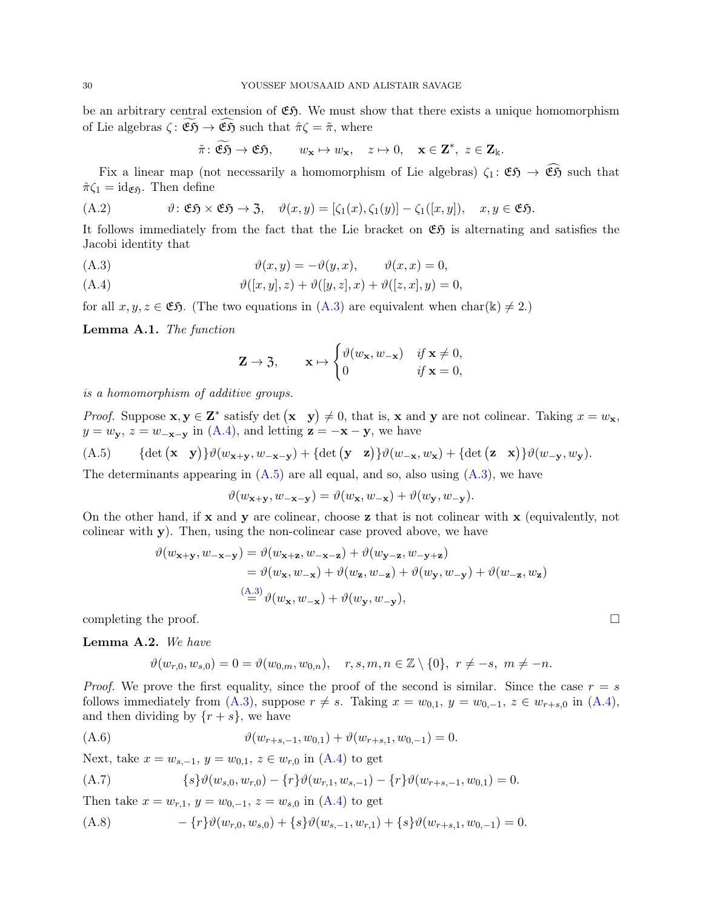be an arbitrary central extension of  $\mathfrak{E}5$ . We must show that there exists a unique homomorphism of Lie algebras  $\zeta: \widetilde{\mathfrak{E}} \mathfrak{H} \to \widetilde{\mathfrak{E}} \mathfrak{H}$  such that  $\pi \zeta = \tilde{\pi}$ , where

<span id="page-29-7"></span>
$$
\tilde{\pi} \colon \widetilde{\mathfrak{C}}\tilde{\mathfrak{H}} \to \mathfrak{E}\tilde{\mathfrak{H}}, \qquad w_{\mathbf{x}} \mapsto w_{\mathbf{x}}, \quad z \mapsto 0, \quad \mathbf{x} \in \mathbf{Z}^*, \ z \in \mathbf{Z}_{\mathbb{k}}.
$$

Fix a linear map (not necessarily a homomorphism of Lie algebras)  $\zeta_1: \mathfrak{E} \mathfrak{H} \to \widehat{\mathfrak{E}} \mathfrak{H}$  such that  $\hat{\pi}\zeta_1 = \mathrm{id}_{\mathfrak{E}5}$ . Then define

(A.2) 
$$
\vartheta \colon \mathfrak{E} \mathfrak{H} \times \mathfrak{E} \mathfrak{H} \to \mathfrak{Z}, \quad \vartheta(x, y) = [\zeta_1(x), \zeta_1(y)] - \zeta_1([x, y]), \quad x, y \in \mathfrak{E} \mathfrak{H}.
$$

It follows immediately from the fact that the Lie bracket on  $\mathfrak{E} \mathfrak{H}$  is alternating and satisfies the Jacobi identity that

<span id="page-29-0"></span>
$$
\vartheta(x,y) = -\vartheta(y,x), \qquad \vartheta(x,x) = 0,
$$

<span id="page-29-1"></span>(A.4) 
$$
\vartheta([x, y], z) + \vartheta([y, z], x) + \vartheta([z, x], y) = 0,
$$

<span id="page-29-8"></span>for all  $x, y, z \in \mathfrak{E}$ , (The two equations in [\(A.3\)](#page-29-0) are equivalent when char(k)  $\neq 2$ .)

Lemma A.1. The function

$$
\mathbf{Z} \to \mathbf{Z}, \qquad \mathbf{x} \mapsto \begin{cases} \vartheta(w_{\mathbf{x}}, w_{-\mathbf{x}}) & \text{if } \mathbf{x} \neq 0, \\ 0 & \text{if } \mathbf{x} = 0, \end{cases}
$$

is a homomorphism of additive groups.

*Proof.* Suppose  $\mathbf{x}, \mathbf{y} \in \mathbb{Z}^*$  satisfy det  $(\mathbf{x} \ \mathbf{y}) \neq 0$ , that is,  $\mathbf{x}$  and  $\mathbf{y}$  are not colinear. Taking  $x = w_{\mathbf{x}}$ ,  $y = w_{\mathbf{y}}, z = w_{-\mathbf{x}-\mathbf{y}}$  in [\(A.4\)](#page-29-1), and letting  $\mathbf{z} = -\mathbf{x} - \mathbf{y}$ , we have

<span id="page-29-2"></span>(A.5) {det 
$$
(\mathbf{x} \ \mathbf{y})
$$
}  $\vartheta(w_{\mathbf{x}+\mathbf{y}}, w_{-\mathbf{x}-\mathbf{y}})$  + {det  $(\mathbf{y} \ \mathbf{z})$ }  $\vartheta(w_{-\mathbf{x}}, w_{\mathbf{x}})$  + {det  $(\mathbf{z} \ \mathbf{x})$ }  $\vartheta(w_{-\mathbf{y}}, w_{\mathbf{y}})$ .

The determinants appearing in  $(A.5)$  are all equal, and so, also using  $(A.3)$ , we have

 $\vartheta(w_{\mathbf{x}+\mathbf{v}}, w_{-\mathbf{x}-\mathbf{v}}) = \vartheta(w_{\mathbf{x}}, w_{-\mathbf{x}}) + \vartheta(w_{\mathbf{v}}, w_{-\mathbf{v}}).$ 

On the other hand, if  $x$  and  $y$  are colinear, choose  $z$  that is not colinear with  $x$  (equivalently, not colinear with y). Then, using the non-colinear case proved above, we have

$$
\vartheta(w_{\mathbf{x}+\mathbf{y}}, w_{-\mathbf{x}-\mathbf{y}}) = \vartheta(w_{\mathbf{x}+\mathbf{z}}, w_{-\mathbf{x}-\mathbf{z}}) + \vartheta(w_{\mathbf{y}-\mathbf{z}}, w_{-\mathbf{y}+\mathbf{z}})
$$
  
\n
$$
= \vartheta(w_{\mathbf{x}}, w_{-\mathbf{x}}) + \vartheta(w_{\mathbf{z}}, w_{-\mathbf{z}}) + \vartheta(w_{\mathbf{y}}, w_{-\mathbf{y}}) + \vartheta(w_{-\mathbf{z}}, w_{\mathbf{z}})
$$
  
\n
$$
\stackrel{\text{(A.3)}}{=} \vartheta(w_{\mathbf{x}}, w_{-\mathbf{x}}) + \vartheta(w_{\mathbf{y}}, w_{-\mathbf{y}}),
$$

<span id="page-29-6"></span>completing the proof.  $\Box$ 

# Lemma A.2. We have

<span id="page-29-5"></span> $\vartheta(w_{r,0}, w_{s,0}) = 0 = \vartheta(w_{0,m}, w_{0,n}), \quad r, s, m, n \in \mathbb{Z} \setminus \{0\}, \; r \neq -s, \; m \neq -n.$ 

*Proof.* We prove the first equality, since the proof of the second is similar. Since the case  $r = s$ follows immediately from [\(A.3\)](#page-29-0), suppose  $r \neq s$ . Taking  $x = w_{0,1}$ ,  $y = w_{0,-1}$ ,  $z \in w_{r+s,0}$  in [\(A.4\)](#page-29-1), and then dividing by  $\{r + s\}$ , we have

(A.6) ϑ(wr+s,−1, w0,1) + ϑ(wr+s,1, w0,−1) = 0.

Next, take  $x = w_{s,-1}$ ,  $y = w_{0,1}$ ,  $z \in w_{r,0}$  in [\(A.4\)](#page-29-1) to get

<span id="page-29-3"></span>(A.7) 
$$
\{s\}\theta(w_{s,0}, w_{r,0}) - \{r\}\theta(w_{r,1}, w_{s,-1}) - \{r\}\theta(w_{r+s,-1}, w_{0,1}) = 0.
$$

Then take  $x = w_{r,1}$ ,  $y = w_{0,-1}$ ,  $z = w_{s,0}$  in [\(A.4\)](#page-29-1) to get

<span id="page-29-4"></span>(A.8) 
$$
- \{r\} \vartheta(w_{r,0}, w_{s,0}) + \{s\} \vartheta(w_{s,-1}, w_{r,1}) + \{s\} \vartheta(w_{r+s,1}, w_{0,-1}) = 0.
$$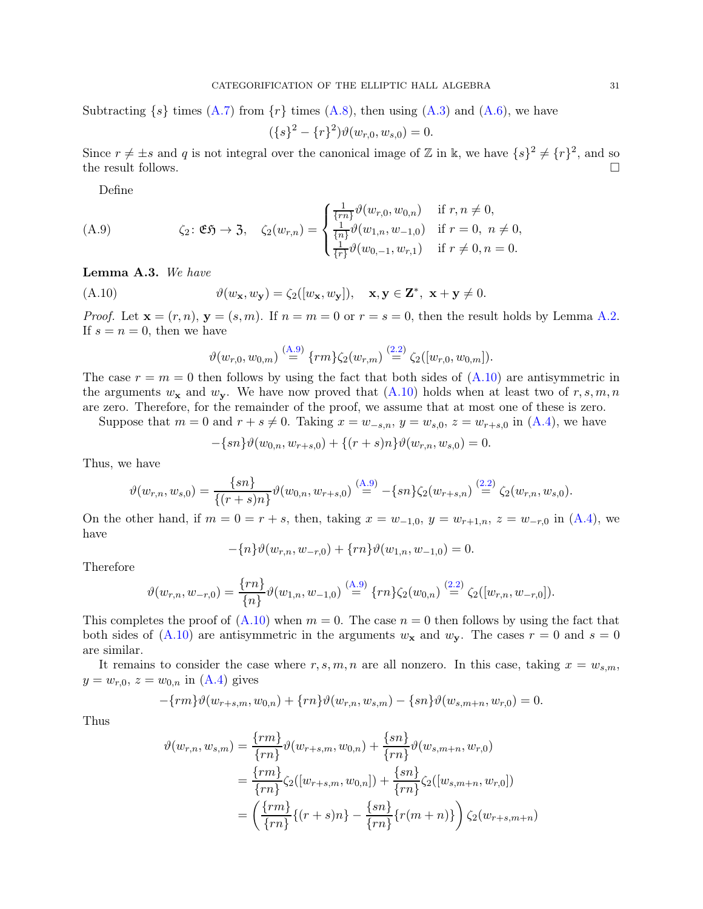Subtracting  $\{s\}$  times  $(A.7)$  from  $\{r\}$  times  $(A.8)$ , then using  $(A.3)$  and  $(A.6)$ , we have

$$
({s}^{2} - {r}^{2})\vartheta(w_{r,0}, w_{s,0}) = 0.
$$

Since  $r \neq \pm s$  and q is not integral over the canonical image of Z in k, we have  $\{s\}^2 \neq \{r\}^2$ , and so the result follows.  $\Box$ 

<span id="page-30-0"></span>Define

(A.9) 
$$
\zeta_2 \colon \mathfrak{E} \mathfrak{H} \to \mathfrak{Z}, \quad \zeta_2(w_{r,n}) = \begin{cases} \frac{1}{\{r\}} \vartheta(w_{r,0}, w_{0,n}) & \text{if } r, n \neq 0, \\ \frac{1}{\{r\}} \vartheta(w_{1,n}, w_{-1,0}) & \text{if } r = 0, n \neq 0, \\ \frac{1}{\{r\}} \vartheta(w_{0,-1}, w_{r,1}) & \text{if } r \neq 0, n = 0. \end{cases}
$$

<span id="page-30-2"></span>Lemma A.3. We have

(A.10) 
$$
\vartheta(w_{\mathbf{x}}, w_{\mathbf{y}}) = \zeta_2([w_{\mathbf{x}}, w_{\mathbf{y}}]), \quad \mathbf{x}, \mathbf{y} \in \mathbf{Z}^*, \ \mathbf{x} + \mathbf{y} \neq 0.
$$

*Proof.* Let  $\mathbf{x} = (r, n)$ ,  $\mathbf{y} = (s, m)$ . If  $n = m = 0$  or  $r = s = 0$ , then the result holds by Lemma [A.2.](#page-29-6) If  $s = n = 0$ , then we have

<span id="page-30-1"></span>
$$
\vartheta(w_{r,0}, w_{0,m}) \stackrel{\text{(A.9)}}{=} \{rm_{\{r m\}\zeta_2}(w_{r,m}) \stackrel{\text{(2.2)}}{=} \zeta_2([w_{r,0}, w_{0,m}]).
$$

The case  $r = m = 0$  then follows by using the fact that both sides of  $(A.10)$  are antisymmetric in the arguments  $w_x$  and  $w_y$ . We have now proved that  $(A.10)$  holds when at least two of r, s, m, n are zero. Therefore, for the remainder of the proof, we assume that at most one of these is zero.

Suppose that  $m = 0$  and  $r + s \neq 0$ . Taking  $x = w_{-s,n}$ ,  $y = w_{s,0}$ ,  $z = w_{r+s,0}$  in [\(A.4\)](#page-29-1), we have

$$
-\{sn\}\vartheta(w_{0,n}, w_{r+s,0}) + \{(r+s)n\}\vartheta(w_{r,n}, w_{s,0}) = 0.
$$

Thus, we have

$$
\vartheta(w_{r,n},w_{s,0}) = \frac{\{sn\}}{\{(r+s)n\}} \vartheta(w_{0,n},w_{r+s,0}) \stackrel{\text{(A.9)}}{=} -\{sn\} \zeta_2(w_{r+s,n}) \stackrel{\text{(2.2)}}{=} \zeta_2(w_{r,n},w_{s,0}).
$$

On the other hand, if  $m = 0 = r + s$ , then, taking  $x = w_{-1,0}$ ,  $y = w_{r+1,n}$ ,  $z = w_{-r,0}$  in [\(A.4\)](#page-29-1), we have

$$
-\{n\}\vartheta(w_{r,n},w_{-r,0}) + \{rn\}\vartheta(w_{1,n},w_{-1,0}) = 0.
$$

Therefore

$$
\vartheta(w_{r,n},w_{-r,0}) = \frac{\{rn\}}{\{n\}} \vartheta(w_{1,n},w_{-1,0}) \stackrel{\text{(A.9)}}{=} \{rn\} \zeta_2(w_{0,n}) \stackrel{\text{(2.2)}}{=} \zeta_2([w_{r,n},w_{-r,0}]).
$$

This completes the proof of  $(A.10)$  when  $m = 0$ . The case  $n = 0$  then follows by using the fact that both sides of [\(A.10\)](#page-30-1) are antisymmetric in the arguments  $w_x$  and  $w_y$ . The cases  $r = 0$  and  $s = 0$ are similar.

It remains to consider the case where  $r, s, m, n$  are all nonzero. In this case, taking  $x = w_{s,m}$ ,  $y = w_{r,0}, z = w_{0,n}$  in [\(A.4\)](#page-29-1) gives

$$
-\{rm\} \vartheta(w_{r+s,m}, w_{0,n}) + \{rn\} \vartheta(w_{r,n}, w_{s,m}) - \{sn\} \vartheta(w_{s,m+n}, w_{r,0}) = 0.
$$

Thus

$$
\vartheta(w_{r,n}, w_{s,m}) = \frac{\{rm}{m}\} \vartheta(w_{r+s,m}, w_{0,n}) + \frac{\{sn\}}{\{rn\}} \vartheta(w_{s,m+n}, w_{r,0})
$$
  
\n
$$
= \frac{\{rm}{m}\} \zeta_2([w_{r+s,m}, w_{0,n}]) + \frac{\{sn\}}{\{rn\}} \zeta_2([w_{s,m+n}, w_{r,0}])
$$
  
\n
$$
= \left(\frac{\{rm}{rm}\} \{(r+s)n\} - \frac{\{sn\}}{\{rn\}} \{(r(m+n)\}\right) \zeta_2(w_{r+s,m+n})
$$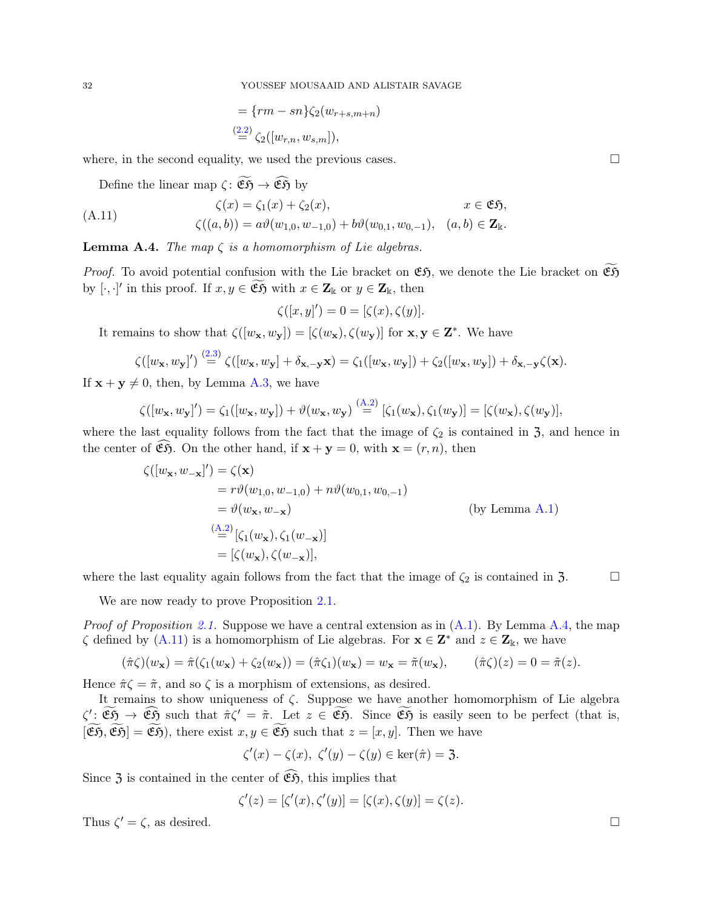$$
= \{rm -sn\} \zeta_2(w_{r+s,m+n})
$$
  
\n
$$
\stackrel{(2.2)}{=} \zeta_2([w_{r,n}, w_{s,m}]),
$$

where, in the second equality, we used the previous cases.  $\Box$ 

<span id="page-31-1"></span>Define the linear map  $\zeta: \widetilde{\mathfrak{E}} \widetilde{\mathfrak{H}} \to \widehat{\mathfrak{E}} \widetilde{\mathfrak{H}}$  by

(A.11) 
$$
\zeta(x) = \zeta_1(x) + \zeta_2(x), \qquad x \in \mathfrak{E}\mathfrak{H},
$$

$$
\zeta((a,b)) = a\vartheta(w_{1,0}, w_{-1,0}) + b\vartheta(w_{0,1}, w_{0,-1}), \quad (a,b) \in \mathbf{Z}_{\mathbb{k}}.
$$

<span id="page-31-0"></span>**Lemma A.4.** The map  $\zeta$  is a homomorphism of Lie algebras.

*Proof.* To avoid potential confusion with the Lie bracket on  $\mathfrak{E}$ , we denote the Lie bracket on  $\mathfrak{E}$ by  $[\cdot, \cdot]'$  in this proof. If  $x, y \in \mathfrak{E} \mathfrak{H}$  with  $x \in \mathbf{Z}_{\mathbb{k}}$  or  $y \in \mathbf{Z}_{\mathbb{k}}$ , then

$$
\zeta([x,y]') = 0 = [\zeta(x), \zeta(y)].
$$

It remains to show that  $\zeta([w_x, w_y]) = [\zeta(w_x), \zeta(w_y)]$  for  $x, y \in \mathbb{Z}^*$ . We have

$$
\zeta([w_{\mathbf{x}},w_{\mathbf{y}}]') \stackrel{(2.3)}{=} \zeta([w_{\mathbf{x}},w_{\mathbf{y}}]+\delta_{\mathbf{x},-\mathbf{y}}\mathbf{x}) = \zeta_1([w_{\mathbf{x}},w_{\mathbf{y}}]) + \zeta_2([w_{\mathbf{x}},w_{\mathbf{y}}]) + \delta_{\mathbf{x},-\mathbf{y}}\zeta(\mathbf{x}).
$$

If  $x + y \neq 0$ , then, by Lemma [A.3,](#page-30-2) we have

$$
\zeta([w_{\mathbf{x}}, w_{\mathbf{y}}]') = \zeta_1([w_{\mathbf{x}}, w_{\mathbf{y}}]) + \vartheta(w_{\mathbf{x}}, w_{\mathbf{y}}) \stackrel{\text{(A.2)}}{=} [\zeta_1(w_{\mathbf{x}}), \zeta_1(w_{\mathbf{y}})] = [\zeta(w_{\mathbf{x}}), \zeta(w_{\mathbf{y}})],
$$

where the last equality follows from the fact that the image of  $\zeta_2$  is contained in 3, and hence in the center of  $\mathfrak{E}\mathfrak{H}$ . On the other hand, if  $\mathbf{x} + \mathbf{y} = 0$ , with  $\mathbf{x} = (r, n)$ , then

$$
\zeta([w_{\mathbf{x}}, w_{-\mathbf{x}}]') = \zeta(\mathbf{x})
$$
  
=  $r\vartheta(w_{1,0}, w_{-1,0}) + n\vartheta(w_{0,1}, w_{0,-1})$   
=  $\vartheta(w_{\mathbf{x}}, w_{-\mathbf{x}})$  (by Lemma A.1)  

$$
\stackrel{\text{(A.2)}}{=} [\zeta_1(w_{\mathbf{x}}), \zeta_1(w_{-\mathbf{x}})]
$$
  
=  $[\zeta(w_{\mathbf{x}}), \zeta(w_{-\mathbf{x}})],$ 

where the last equality again follows from the fact that the image of  $\zeta_2$  is contained in  $\zeta$ .

We are now ready to prove Proposition [2.1.](#page-2-1)

*Proof of Proposition [2.1.](#page-2-1)* Suppose we have a central extension as in  $(A.1)$ . By Lemma [A.4,](#page-31-0) the map  $\zeta$  defined by  $(A.11)$  is a homomorphism of Lie algebras. For  $\mathbf{x} \in \mathbf{Z}^*$  and  $z \in \mathbf{Z}_{\mathbb{k}}$ , we have

$$
(\hat{\pi}\zeta)(w_{\mathbf{x}}) = \hat{\pi}(\zeta_1(w_{\mathbf{x}}) + \zeta_2(w_{\mathbf{x}})) = (\hat{\pi}\zeta_1)(w_{\mathbf{x}}) = w_{\mathbf{x}} = \tilde{\pi}(w_{\mathbf{x}}), \qquad (\hat{\pi}\zeta)(z) = 0 = \tilde{\pi}(z).
$$

Hence  $\hat{\pi}\zeta = \tilde{\pi}$ , and so  $\zeta$  is a morphism of extensions, as desired.

It remains to show uniqueness of  $\zeta$ . Suppose we have another homomorphism of Lie algebra  $\zeta' : \widetilde{\mathfrak{E}} \mathfrak{H} \to \widetilde{\mathfrak{E}} \mathfrak{H}$  such that  $\hat{\pi} \zeta' = \tilde{\pi}$ . Let  $z \in \widetilde{\mathfrak{E}} \mathfrak{H}$ . Since  $\widetilde{\mathfrak{E}} \mathfrak{H}$  is easily seen to be perfect (that is,  $[\mathfrak{E}\mathfrak{H},\mathfrak{E}\mathfrak{H}] = \mathfrak{E}\mathfrak{H}$ , there exist  $x, y \in \mathfrak{E}\mathfrak{H}$  such that  $z = [x, y]$ . Then we have

$$
\zeta'(x) - \zeta(x), \ \zeta'(y) - \zeta(y) \in \ker(\hat{\pi}) = \mathfrak{Z}.
$$

Since  $\mathfrak{Z}$  is contained in the center of  $\widehat{\mathfrak{E}}\widehat{\mathfrak{H}}$ , this implies that

$$
\zeta'(z) = [\zeta'(x), \zeta'(y)] = [\zeta(x), \zeta(y)] = \zeta(z).
$$

Thus  $\zeta' = \zeta$ , as desired.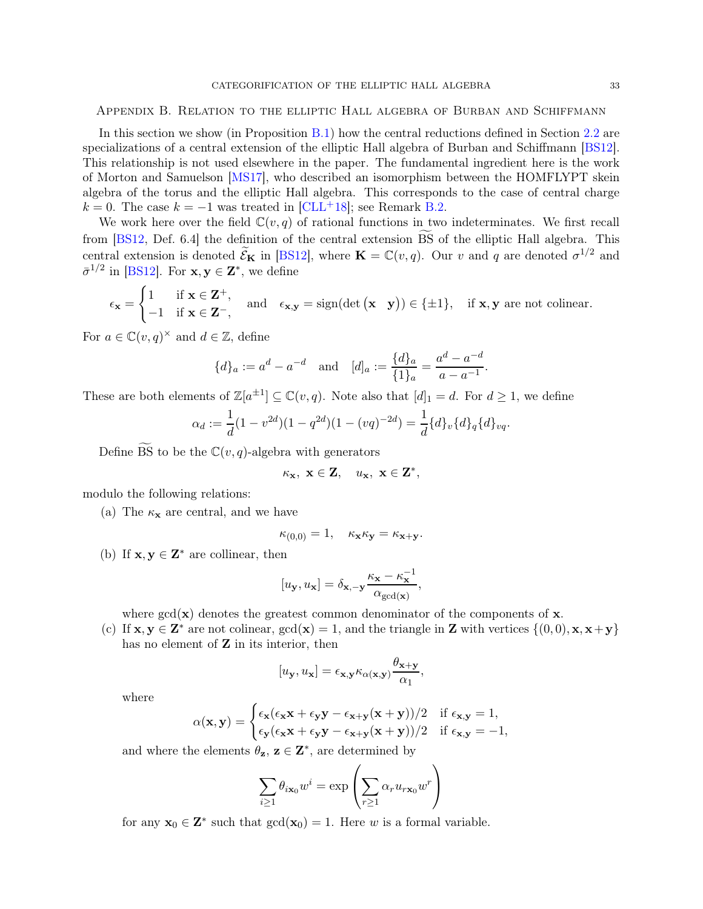<span id="page-32-0"></span>Appendix B. Relation to the elliptic Hall algebra of Burban and Schiffmann

In this section we show (in Proposition [B.1\)](#page-33-0) how the central reductions defined in Section [2.2](#page-3-5) are specializations of a central extension of the elliptic Hall algebra of Burban and Schiffmann [\[BS12\]](#page-34-1). This relationship is not used elsewhere in the paper. The fundamental ingredient here is the work of Morton and Samuelson [\[MS17\]](#page-34-11), who described an isomorphism between the HOMFLYPT skein algebra of the torus and the elliptic Hall algebra. This corresponds to the case of central charge  $k = 0$ . The case  $k = -1$  was treated in [\[CLL](#page-34-12)+18]; see Remark [B.2.](#page-33-1)

We work here over the field  $\mathbb{C}(v, q)$  of rational functions in two indeterminates. We first recall from [\[BS12,](#page-34-1) Def. 6.4] the definition of the central extension BS of the elliptic Hall algebra. This central extension is denoted  $\widetilde{\mathcal{E}}_{\mathbf{K}}$  in [\[BS12\]](#page-34-1), where  $\mathbf{K} = \mathbb{C}(v, q)$ . Our v and q are denoted  $\sigma^{1/2}$  and  $\bar{\sigma}^{1/2}$  in [\[BS12\]](#page-34-1). For  $\mathbf{x}, \mathbf{y} \in \mathbf{Z}^*$ , we define

$$
\epsilon_{\mathbf{x}} = \begin{cases} 1 & \text{if } \mathbf{x} \in \mathbf{Z}^+, \\ -1 & \text{if } \mathbf{x} \in \mathbf{Z}^-, \end{cases} \quad \text{and} \quad \epsilon_{\mathbf{x},\mathbf{y}} = \text{sign}(\det\begin{pmatrix} \mathbf{x} & \mathbf{y} \end{pmatrix}) \in \{\pm 1\}, \quad \text{if } \mathbf{x},\mathbf{y} \text{ are not colinear.}
$$

For  $a \in \mathbb{C}(v,q)^\times$  and  $d \in \mathbb{Z}$ , define

$$
\{d\}_a := a^d - a^{-d} \quad \text{and} \quad [d]_a := \frac{\{d\}_a}{\{1\}_a} = \frac{a^d - a^{-d}}{a - a^{-1}}.
$$

These are both elements of  $\mathbb{Z}[a^{\pm 1}] \subseteq \mathbb{C}(v,q)$ . Note also that  $[d]_1 = d$ . For  $d \geq 1$ , we define

$$
\alpha_d := \frac{1}{d}(1 - v^{2d})(1 - q^{2d})(1 - (vq)^{-2d}) = \frac{1}{d}\{d\}_v\{d\}_q\{d\}_{vq}.
$$

Define  $\widetilde{\mathrm{BS}}$  to be the  $\mathbb{C}(v, q)$ -algebra with generators

$$
\kappa_{\mathbf{x}},\ \mathbf{x}\in \mathbf{Z},\quad u_{\mathbf{x}},\ \mathbf{x}\in \mathbf{Z}^*,
$$

modulo the following relations:

(a) The  $\kappa_{\mathbf{x}}$  are central, and we have

$$
\kappa_{(0,0)} = 1, \quad \kappa_{\mathbf{x}} \kappa_{\mathbf{y}} = \kappa_{\mathbf{x} + \mathbf{y}}.
$$

(b) If  $\mathbf{x}, \mathbf{y} \in \mathbf{Z}^*$  are collinear, then

$$
[u_{\mathbf{y}}, u_{\mathbf{x}}] = \delta_{\mathbf{x}, -\mathbf{y}} \frac{\kappa_{\mathbf{x}} - \kappa_{\mathbf{x}}^{-1}}{\alpha_{\gcd(\mathbf{x})}},
$$

where  $gcd(\mathbf{x})$  denotes the greatest common denominator of the components of  $\mathbf{x}$ .

(c) If  $\mathbf{x}, \mathbf{y} \in \mathbf{Z}^*$  are not colinear,  $gcd(\mathbf{x}) = 1$ , and the triangle in **Z** with vertices  $\{(0,0), \mathbf{x}, \mathbf{x} + \mathbf{y}\}\$ has no element of  $Z$  in its interior, then

$$
[u_{\mathbf{y}}, u_{\mathbf{x}}] = \epsilon_{\mathbf{x}, \mathbf{y}} \kappa_{\alpha(\mathbf{x}, \mathbf{y})} \frac{\theta_{\mathbf{x} + \mathbf{y}}}{\alpha_1},
$$

where

$$
\alpha(\mathbf{x},\mathbf{y}) = \begin{cases} \epsilon_{\mathbf{x}}(\epsilon_{\mathbf{x}}\mathbf{x} + \epsilon_{\mathbf{y}}\mathbf{y} - \epsilon_{\mathbf{x}+\mathbf{y}}(\mathbf{x}+\mathbf{y}))/2 & \text{if } \epsilon_{\mathbf{x},\mathbf{y}} = 1, \\ \epsilon_{\mathbf{y}}(\epsilon_{\mathbf{x}}\mathbf{x} + \epsilon_{\mathbf{y}}\mathbf{y} - \epsilon_{\mathbf{x}+\mathbf{y}}(\mathbf{x}+\mathbf{y}))/2 & \text{if } \epsilon_{\mathbf{x},\mathbf{y}} = -1, \end{cases}
$$

and where the elements  $\theta_{\mathbf{z}}, \mathbf{z} \in \mathbf{Z}^*$ , are determined by

$$
\sum_{i\geq 1} \theta_{i\mathbf{x}_0} w^i = \exp\left(\sum_{r\geq 1} \alpha_r u_{r\mathbf{x}_0} w^r\right)
$$

for any  $\mathbf{x}_0 \in \mathbf{Z}^*$  such that  $gcd(\mathbf{x}_0) = 1$ . Here w is a formal variable.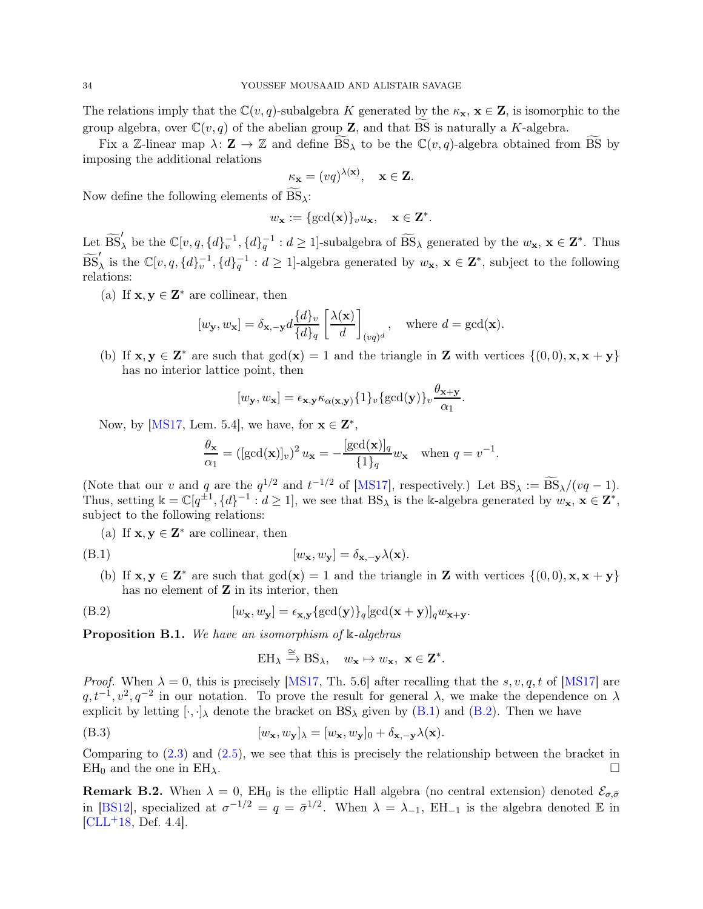The relations imply that the  $\mathbb{C}(v, q)$ -subalgebra K generated by the  $\kappa_{\mathbf{x}}$ ,  $\mathbf{x} \in \mathbf{Z}$ , is isomorphic to the group algebra, over  $\mathbb{C}(v, q)$  of the abelian group **Z**, and that BS is naturally a K-algebra.

Fix a Z-linear map  $\lambda: \mathbf{Z} \to \mathbb{Z}$  and define  $BS_{\lambda}$  to be the  $\mathbb{C}(v, q)$ -algebra obtained from BS by imposing the additional relations

$$
\kappa_{\mathbf{x}} = (vq)^{\lambda(\mathbf{x})}, \quad \mathbf{x} \in \mathbf{Z}.
$$

Now define the following elements of  $\overline{BS}_\lambda$ :

$$
w_{\mathbf{x}} := \{\gcd(\mathbf{x})\}_v u_{\mathbf{x}}, \quad \mathbf{x} \in \mathbf{Z}^*.
$$

Let  $\widetilde{\mathrm{BS}}'_{\lambda}$  be the  $\mathbb{C}[v, q, \{d\}_v^{-1}, \{d\}_q^{-1} : d \geq 1]$ -subalgebra of  $\widetilde{\mathrm{BS}}_{\lambda}$  generated by the  $w_{\mathbf{x}}$ ,  $\mathbf{x} \in \mathbf{Z}^*$ . Thus  $\widetilde{\mathrm{BS}}'_{\lambda}$  is the  $\mathbb{C}[v, q, \{d\}^{-1}_v, \{d\}^{-1}_q : d \geq 1]$ -algebra generated by  $w_{\mathbf{x}}, \mathbf{x} \in \mathbf{Z}^*$ , subject to the following relations:

(a) If  $\mathbf{x}, \mathbf{y} \in \mathbf{Z}^*$  are collinear, then

$$
[w_{\mathbf{y}}, w_{\mathbf{x}}] = \delta_{\mathbf{x}, -\mathbf{y}} d \frac{\{d\}_v}{\{d\}_q} \left[\frac{\lambda(\mathbf{x})}{d}\right]_{(vq)^d}
$$
, where  $d = \gcd(\mathbf{x})$ .

(b) If  $\mathbf{x}, \mathbf{y} \in \mathbf{Z}^*$  are such that  $gcd(\mathbf{x}) = 1$  and the triangle in **Z** with vertices  $\{(0,0), \mathbf{x}, \mathbf{x} + \mathbf{y}\}\)$ has no interior lattice point, then

$$
[w_{\mathbf{y}}, w_{\mathbf{x}}] = \epsilon_{\mathbf{x},\mathbf{y}} \kappa_{\alpha(\mathbf{x},\mathbf{y})} \{1\}_v \{ \gcd(\mathbf{y}) \}_v \frac{\theta_{\mathbf{x}+\mathbf{y}}}{\alpha_1}.
$$

Now, by [\[MS17,](#page-34-11) Lem. 5.4], we have, for  $\mathbf{x} \in \mathbf{Z}^*$ ,

$$
\frac{\theta_{\mathbf{x}}}{\alpha_1} = (\left[\gcd(\mathbf{x})\right]_v)^2 u_{\mathbf{x}} = -\frac{\left[\gcd(\mathbf{x})\right]_q}{\{1\}_q} w_{\mathbf{x}} \quad \text{when } q = v^{-1}.
$$

(Note that our v and q are the  $q^{1/2}$  and  $t^{-1/2}$  of [\[MS17\]](#page-34-11), respectively.) Let  $BS_{\lambda} := BS_{\lambda}/(vq-1)$ . Thus, setting  $\mathbb{k} = \mathbb{C}[q^{\pm 1}, \{d\}^{-1} : d \geq 1]$ , we see that  $BS_{\lambda}$  is the k-algebra generated by  $w_{\mathbf{x}}, \mathbf{x} \in \mathbb{Z}^*$ , subject to the following relations:

(a) If  $\mathbf{x}, \mathbf{y} \in \mathbf{Z}^*$  are collinear, then

$$
[w_{\mathbf{x}}, w_{\mathbf{y}}] = \delta_{\mathbf{x}, -\mathbf{y}} \lambda(\mathbf{x}).
$$

(b) If  $\mathbf{x}, \mathbf{y} \in \mathbf{Z}^*$  are such that  $gcd(\mathbf{x}) = 1$  and the triangle in **Z** with vertices  $\{(0,0), \mathbf{x}, \mathbf{x} + \mathbf{y}\}\)$ has no element of  $Z$  in its interior, then

<span id="page-33-0"></span>(B.2) 
$$
[w_{\mathbf{x}}, w_{\mathbf{y}}] = \epsilon_{\mathbf{x}, \mathbf{y}} \{ \gcd(\mathbf{y}) \}_q [\gcd(\mathbf{x} + \mathbf{y})]_q w_{\mathbf{x} + \mathbf{y}}.
$$

**Proposition B.1.** We have an isomorphism of  $\&$ -algebras

<span id="page-33-3"></span><span id="page-33-2"></span>
$$
EH_{\lambda} \xrightarrow{\cong} BS_{\lambda}, \quad w_{\mathbf{x}} \mapsto w_{\mathbf{x}}, \ \mathbf{x} \in \mathbf{Z}^{*}.
$$

*Proof.* When  $\lambda = 0$ , this is precisely [\[MS17,](#page-34-11) Th. 5.6] after recalling that the s, v, q, t of [\[MS17\]](#page-34-11) are  $q, t^{-1}, v^2, q^{-2}$  in our notation. To prove the result for general  $\lambda$ , we make the dependence on  $\lambda$ explicit by letting  $[\cdot, \cdot]_\lambda$  denote the bracket on BS<sub> $\lambda$ </sub> given by [\(B.1\)](#page-33-2) and [\(B.2\)](#page-33-3). Then we have

(B.3) 
$$
[w_{\mathbf{x}}, w_{\mathbf{y}}]_{\lambda} = [w_{\mathbf{x}}, w_{\mathbf{y}}]_{0} + \delta_{\mathbf{x}, -\mathbf{y}} \lambda(\mathbf{x}).
$$

Comparing to [\(2.3\)](#page-2-4) and [\(2.5\)](#page-3-6), we see that this is precisely the relationship between the bracket in  $EH_0$  and the one in  $EH_{\lambda}$ .

<span id="page-33-1"></span>**Remark B.2.** When  $\lambda = 0$ , EH<sub>0</sub> is the elliptic Hall algebra (no central extension) denoted  $\mathcal{E}_{\sigma,\bar{\sigma}}$ in [\[BS12\]](#page-34-1), specialized at  $\sigma^{-1/2} = q = \bar{\sigma}^{1/2}$ . When  $\lambda = \lambda_{-1}$ , EH<sub>-1</sub> is the algebra denoted E in  $[CLL+18, Det. 4.4].$  $[CLL+18, Det. 4.4].$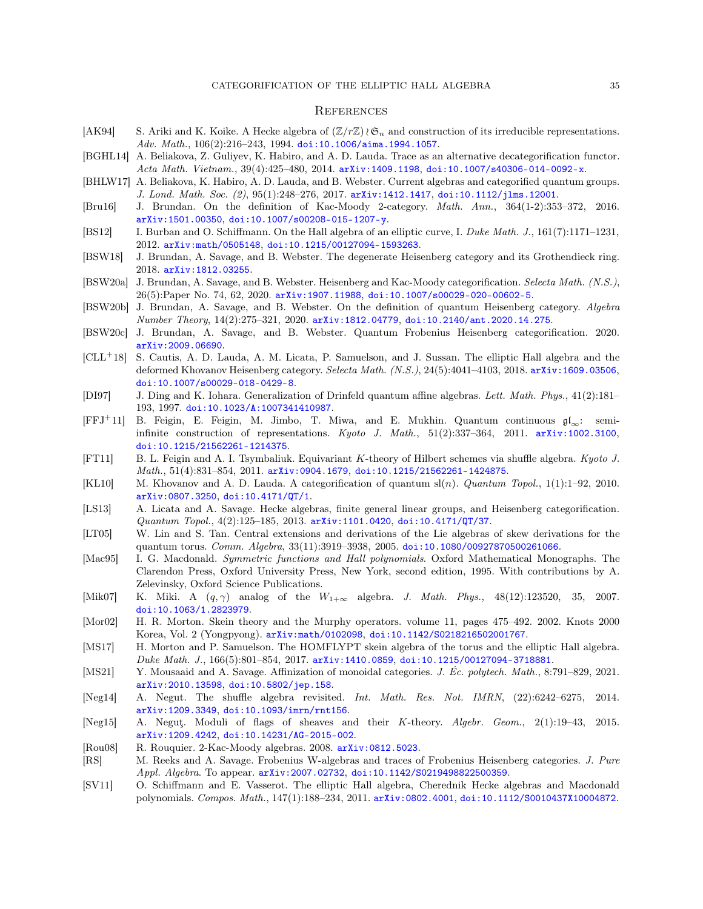#### <span id="page-34-0"></span>**REFERENCES**

- <span id="page-34-21"></span>[AK94] S. Ariki and K. Koike. A Hecke algebra of  $(\mathbb{Z}/r\mathbb{Z})\wr\mathfrak{S}_n$  and construction of its irreducible representations. Adv. Math., 106(2):216-243, 1994. [doi:10.1006/aima.1994.1057](https://doi.org/10.1006/aima.1994.1057).
- <span id="page-34-16"></span>[BGHL14] A. Beliakova, Z. Guliyev, K. Habiro, and A. D. Lauda. Trace as an alternative decategorification functor. Acta Math. Vietnam., 39(4):425–480, 2014. [arXiv:1409.1198](http://arxiv.org/abs/1409.1198), [doi:10.1007/s40306-014-0092-x](https://doi.org/10.1007/s40306-014-0092-x).
- <span id="page-34-17"></span>[BHLW17] A. Beliakova, K. Habiro, A. D. Lauda, and B. Webster. Current algebras and categorified quantum groups. J. Lond. Math. Soc. (2), 95(1):248–276, 2017. [arXiv:1412.1417](http://arxiv.org/abs/1412.1417), [doi:10.1112/jlms.12001](https://doi.org/10.1112/jlms.12001).
- <span id="page-34-25"></span>[Bru16] J. Brundan. On the definition of Kac-Moody 2-category. Math. Ann., 364(1-2):353–372, 2016. [arXiv:1501.00350](http://arxiv.org/abs/1501.00350), [doi:10.1007/s00208-015-1207-y](https://doi.org/10.1007/s00208-015-1207-y).
- <span id="page-34-1"></span>[BS12] I. Burban and O. Schiffmann. On the Hall algebra of an elliptic curve, I. Duke Math. J., 161(7):1171–1231, 2012. [arXiv:math/0505148](http://arxiv.org/abs/math/0505148), [doi:10.1215/00127094-1593263](https://doi.org/10.1215/00127094-1593263).
- <span id="page-34-13"></span>[BSW18] J. Brundan, A. Savage, and B. Webster. The degenerate Heisenberg category and its Grothendieck ring. 2018. [arXiv:1812.03255](http://arxiv.org/abs/1812.03255).
- <span id="page-34-22"></span>[BSW20a] J. Brundan, A. Savage, and B. Webster. Heisenberg and Kac-Moody categorification. Selecta Math. (N.S.), 26(5):Paper No. 74, 62, 2020. [arXiv:1907.11988](http://arxiv.org/abs/1907.11988), [doi:10.1007/s00029-020-00602-5](https://doi.org/10.1007/s00029-020-00602-5).
- <span id="page-34-9"></span>[BSW20b] J. Brundan, A. Savage, and B. Webster. On the definition of quantum Heisenberg category. Algebra Number Theory, 14(2):275–321, 2020. [arXiv:1812.04779](http://arxiv.org/abs/1812.04779), [doi:10.2140/ant.2020.14.275](https://doi.org/10.2140/ant.2020.14.275).
- <span id="page-34-14"></span>[BSW20c] J. Brundan, A. Savage, and B. Webster. Quantum Frobenius Heisenberg categorification. 2020. [arXiv:2009.06690](http://arxiv.org/abs/2009.06690).
- <span id="page-34-12"></span>[CLL<sup>+</sup>18] S. Cautis, A. D. Lauda, A. M. Licata, P. Samuelson, and J. Sussan. The elliptic Hall algebra and the deformed Khovanov Heisenberg category. Selecta Math. (N.S.), 24(5):4041-4103, 2018. [arXiv:1609.03506](http://arxiv.org/abs/1609.03506), [doi:10.1007/s00029-018-0429-8](https://doi.org/10.1007/s00029-018-0429-8).
- <span id="page-34-2"></span>[DI97] J. Ding and K. Iohara. Generalization of Drinfeld quantum affine algebras. Lett. Math. Phys., 41(2):181– 193, 1997. [doi:10.1023/A:1007341410987](https://doi.org/10.1023/A:1007341410987).
- <span id="page-34-7"></span>[FFJ+11] B. Feigin, E. Feigin, M. Jimbo, T. Miwa, and E. Mukhin. Quantum continuous  $\mathfrak{gl}_{\infty}$ : semiinfinite construction of representations.  $Kyoto$  J. Math.,  $51(2):337-364$ ,  $2011$ .  $arXiv:1002.3100$ , [doi:10.1215/21562261-1214375](https://doi.org/10.1215/21562261-1214375).
- <span id="page-34-4"></span>[FT11] B. L. Feigin and A. I. Tsymbaliuk. Equivariant K-theory of Hilbert schemes via shuffle algebra. Kyoto J. Math., 51(4):831–854, 2011. [arXiv:0904.1679](http://arxiv.org/abs/0904.1679), [doi:10.1215/21562261-1424875](https://doi.org/10.1215/21562261-1424875).
- <span id="page-34-23"></span>[KL10] M. Khovanov and A. D. Lauda. A categorification of quantum  $sl(n)$ . Quantum Topol., 1(1):1–92, 2010. [arXiv:0807.3250](http://arxiv.org/abs/0807.3250), [doi:10.4171/QT/1](https://doi.org/10.4171/QT/1).
- <span id="page-34-10"></span>[LS13] A. Licata and A. Savage. Hecke algebras, finite general linear groups, and Heisenberg categorification. Quantum Topol., 4(2):125–185, 2013. [arXiv:1101.0420](http://arxiv.org/abs/1101.0420), [doi:10.4171/QT/37](https://doi.org/10.4171/QT/37).
- <span id="page-34-26"></span>[LT05] W. Lin and S. Tan. Central extensions and derivations of the Lie algebras of skew derivations for the quantum torus. Comm. Algebra, 33(11):3919–3938, 2005. [doi:10.1080/00927870500261066](https://doi.org/10.1080/00927870500261066).
- <span id="page-34-18"></span>[Mac95] I. G. Macdonald. Symmetric functions and Hall polynomials. Oxford Mathematical Monographs. The Clarendon Press, Oxford University Press, New York, second edition, 1995. With contributions by A. Zelevinsky, Oxford Science Publications.
- <span id="page-34-3"></span>[Mik07] K. Miki. A  $(q, \gamma)$  analog of the  $W_{1+\infty}$  algebra. J. Math. Phys., 48(12):123520, 35, 2007. [doi:10.1063/1.2823979](https://doi.org/10.1063/1.2823979).
- <span id="page-34-20"></span>[Mor02] H. R. Morton. Skein theory and the Murphy operators. volume 11, pages 475–492. 2002. Knots 2000 Korea, Vol. 2 (Yongpyong). [arXiv:math/0102098](http://arxiv.org/abs/math/0102098), [doi:10.1142/S0218216502001767](https://doi.org/10.1142/S0218216502001767).
- <span id="page-34-11"></span>[MS17] H. Morton and P. Samuelson. The HOMFLYPT skein algebra of the torus and the elliptic Hall algebra. Duke Math. J., 166(5):801–854, 2017. [arXiv:1410.0859](http://arxiv.org/abs/1410.0859), [doi:10.1215/00127094-3718881](https://doi.org/10.1215/00127094-3718881).
- <span id="page-34-19"></span>[MS21] Y. Mousaaid and A. Savage. Affinization of monoidal categories. J. Éc. polytech. Math., 8:791–829, 2021. [arXiv:2010.13598](http://arxiv.org/abs/2010.13598), [doi:10.5802/jep.158](https://doi.org/10.5802/jep.158).
- <span id="page-34-5"></span>[Neg14] A. Negut. The shuffle algebra revisited. Int. Math. Res. Not. IMRN, (22):6242–6275, 2014. [arXiv:1209.3349](http://arxiv.org/abs/1209.3349), [doi:10.1093/imrn/rnt156](https://doi.org/10.1093/imrn/rnt156).
- <span id="page-34-8"></span>[Neg15] A. Neguţ. Moduli of flags of sheaves and their K-theory. Algebr. Geom., 2(1):19–43, 2015. [arXiv:1209.4242](http://arxiv.org/abs/1209.4242), [doi:10.14231/AG-2015-002](https://doi.org/10.14231/AG-2015-002).
- <span id="page-34-24"></span>[Rou08] R. Rouquier. 2-Kac-Moody algebras. 2008. [arXiv:0812.5023](http://arxiv.org/abs/0812.5023).
- <span id="page-34-15"></span>[RS] M. Reeks and A. Savage. Frobenius W-algebras and traces of Frobenius Heisenberg categories. J. Pure Appl. Algebra. To appear. [arXiv:2007.02732](http://arxiv.org/abs/2007.02732), [doi:10.1142/S0219498822500359](https://doi.org/10.1142/S0219498822500359).
- <span id="page-34-6"></span>[SV11] O. Schiffmann and E. Vasserot. The elliptic Hall algebra, Cherednik Hecke algebras and Macdonald polynomials. Compos. Math., 147(1):188–234, 2011. [arXiv:0802.4001](http://arxiv.org/abs/0802.4001), [doi:10.1112/S0010437X10004872](https://doi.org/10.1112/S0010437X10004872).